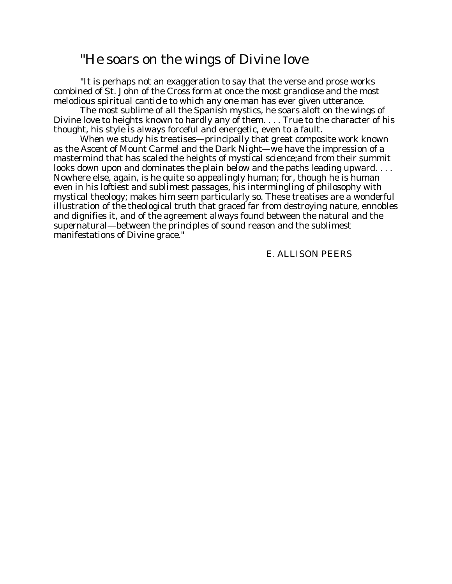# "He soars on the wings of Divine love

"It is perhaps not an exaggeration to say that the verse and prose works combined of St. John of the Cross form at once the most grandiose and the most melodious spiritual canticle to which any one man has ever given utterance.

The most sublime of all the Spanish mystics, he soars aloft on the wings of Divine love to heights known to hardly any of them.... True to the character of his thought, his style is always forceful and energetic, even to a fault.

When we study his treatises—principally that great composite work known as the *Ascent of Mount Carmel* and the *Dark Night*—we have the impression of a mastermind that has scaled the heights of mystical science;and from their summit looks down upon and dominates the plain below and the paths leading upward.... Nowhere else, again, is he quite so appealingly human; for, though he is human even in his loftiest and sublimest passages, his intermingling of philosophy with mystical theology; makes him seem particularly so. These treatises are a wonderful illustration of the theological truth that graced far from destroying nature, ennobles and dignifies it, and of the agreement always found between the natural and the supernatural—between the principles of sound reason and the sublimest manifestations of Divine grace."

#### E. ALLISON PEERS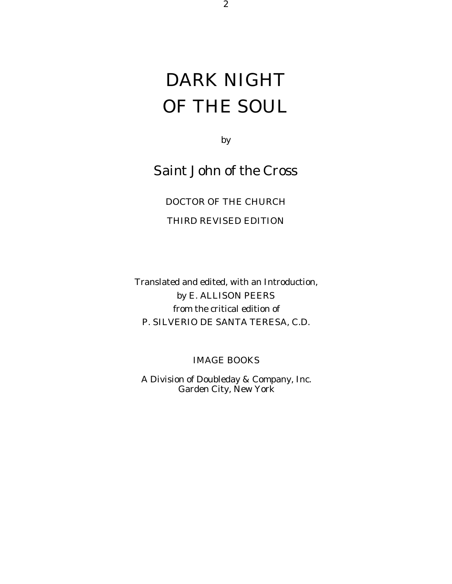# DARK NIGHT OF THE SOUL

by

# Saint John of the Cross

DOCTOR OF THE CHURCH THIRD REVISED EDITION

Translated and edited, with an Introduction, by E. ALLISON PEERS from the critical edition of P. SILVERIO DE SANTA TERESA, C.D.

IMAGE BOOKS

A Division of Doubleday & Company, Inc. Garden City, New York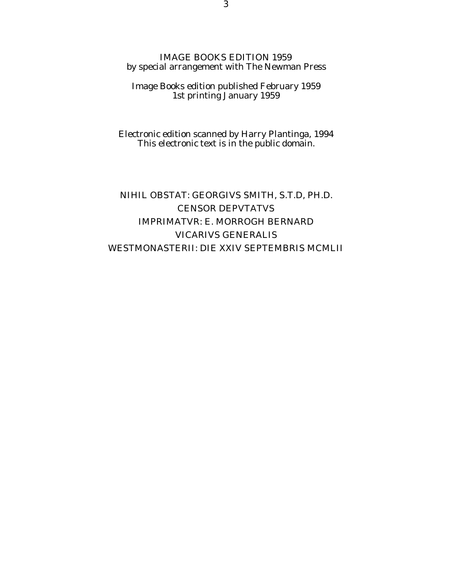### IMAGE BOOKS EDITION 1959 by special arrangement with The Newman Press

### Image Books edition published February 1959 1st printing January 1959

Electronic edition scanned by Harry Plantinga, 1994 This electronic text is in the public domain.

# NIHIL OBSTAT: GEORGIVS SMITH, S.T.D, PH.D. CENSOR DEPVTATVS IMPRIMATVR: E. MORROGH BERNARD VICARIVS GENERALIS WESTMONASTERII: DIE XXIV SEPTEMBRIS MCMLII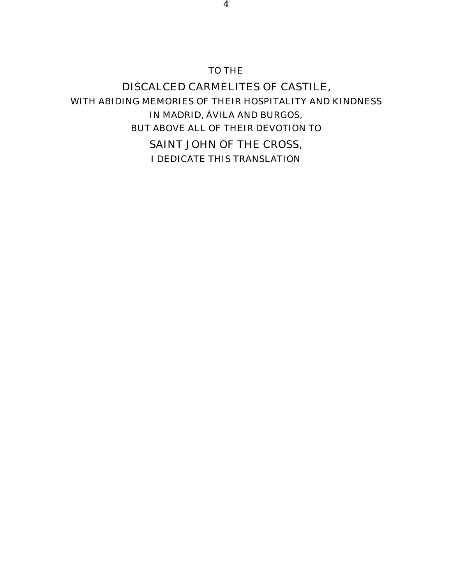TO THE

DISCALCED CARMELITES OF CASTILE, WITH ABIDING MEMORIES OF THEIR HOSPITALITY AND KINDNESS IN MADRID, ÁVILA AND BURGOS, BUT ABOVE ALL OF THEIR DEVOTION TO SAINT JOHN OF THE CROSS, I DEDICATE THIS TRANSLATION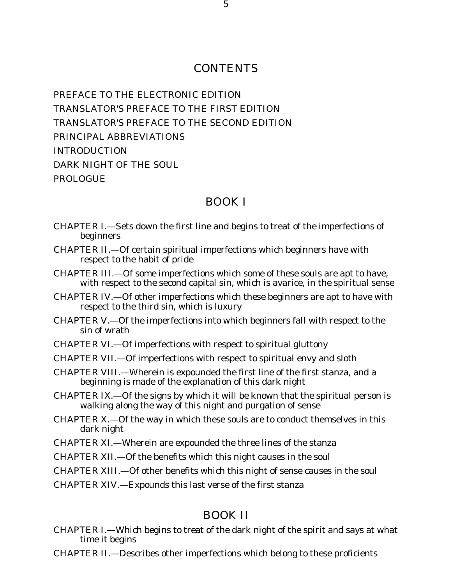# CONTENTS

PREFACE TO THE ELECTRONIC EDITION TRANSLATOR'S PREFACE TO THE FIRST EDITION TRANSLATOR'S PREFACE TO THE SECOND EDITION PRINCIPAL ABBREVIATIONS INTRODUCTION DARK NIGHT OF THE SOUL PROLOGUE

# BOOK I

- CHAPTER I.—Sets down the first line and begins to treat of the imperfections of beginners
- CHAPTER II.—Of certain spiritual imperfections which beginners have with respect to the habit of pride
- CHAPTER III.—Of some imperfections which some of these souls are apt to have, with respect to the second capital sin, which is avarice, in the spiritual sense
- CHAPTER IV.—Of other imperfections which these beginners are apt to have with respect to the third sin, which is luxury
- CHAPTER V.—Of the imperfections into which beginners fall with respect to the sin of wrath
- CHAPTER VI.—Of imperfections with respect to spiritual gluttony
- CHAPTER VII.—Of imperfections with respect to spiritual envy and sloth
- CHAPTER VIII.—Wherein is expounded the first line of the first stanza, and a beginning is made of the explanation of this dark night
- CHAPTER IX.—Of the signs by which it will be known that the spiritual person is walking along the way of this night and purgation of sense
- CHAPTER X.—Of the way in which these souls are to conduct themselves in this dark night
- CHAPTER XI.—Wherein are expounded the three lines of the stanza
- CHAPTER XII.—Of the benefits which this night causes in the soul

CHAPTER XIII.—Of other benefits which this night of sense causes in the soul

CHAPTER XIV.—Expounds this last verse of the first stanza

# BOOK II

- CHAPTER I.—Which begins to treat of the dark night of the spirit and says at what time it begins
- CHAPTER II.—Describes other imperfections which belong to these proficients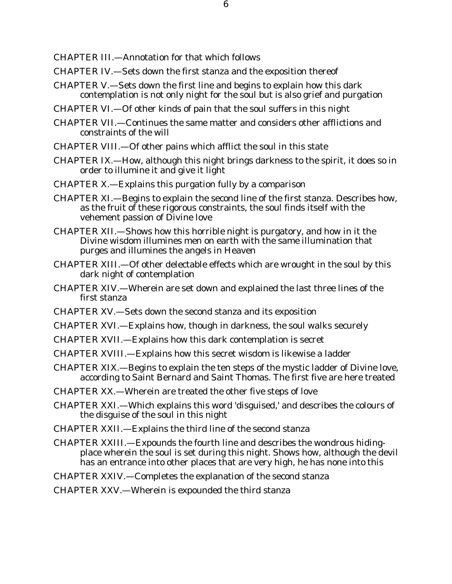- CHAPTER III.—Annotation for that which follows
- CHAPTER IV.—Sets down the first stanza and the exposition thereof
- CHAPTER V.—Sets down the first line and begins to explain how this dark contemplation is not only night for the soul but is also grief and purgation
- CHAPTER VI.—Of other kinds of pain that the soul suffers in this night
- CHAPTER VII.—Continues the same matter and considers other afflictions and constraints of the will
- CHAPTER VIII.—Of other pains which afflict the soul in this state
- CHAPTER IX.—How, although this night brings darkness to the spirit, it does so in order to illumine it and give it light
- CHAPTER X.—Explains this purgation fully by a comparison
- CHAPTER XI.—Begins to explain the second line of the first stanza. Describes how, as the fruit of these rigorous constraints, the soul finds itself with the vehement passion of Divine love
- CHAPTER XII.—Shows how this horrible night is purgatory, and how in it the Divine wisdom illumines men on earth with the same illumination that purges and illumines the angels in Heaven
- CHAPTER XIII.—Of other delectable effects which are wrought in the soul by this dark night of contemplation
- CHAPTER XIV.—Wherein are set down and explained the last three lines of the first stanza
- CHAPTER XV.—Sets down the second stanza and its exposition
- CHAPTER XVI.—Explains how, though in darkness, the soul walks securely
- CHAPTER XVII.—Explains how this dark contemplation is secret
- CHAPTER XVIII.—Explains how this secret wisdom is likewise a ladder
- CHAPTER XIX.—Begins to explain the ten steps of the mystic ladder of Divine love, according to Saint Bernard and Saint Thomas. The first five are here treated
- CHAPTER XX.—Wherein are treated the other five steps of love
- CHAPTER XXI.—Which explains this word 'disguised,' and describes the colours of the disguise of the soul in this night
- CHAPTER XXII.—Explains the third line of the second stanza
- CHAPTER XXIII.—Expounds the fourth line and describes the wondrous hidingplace wherein the soul is set during this night. Shows how, although the devil has an entrance into other places that are very high, he has none into this
- CHAPTER XXIV.—Completes the explanation of the second stanza
- CHAPTER XXV.—Wherein is expounded the third stanza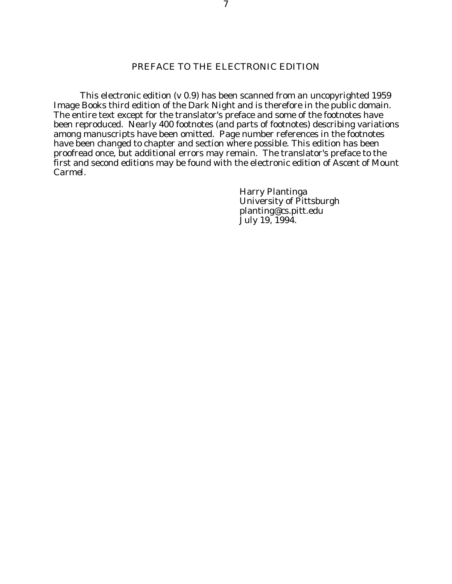#### PREFACE TO THE ELECTRONIC EDITION

This electronic edition (v 0.9) has been scanned from an uncopyrighted 1959 Image Books third edition of the *Dark Night* and is therefore in the public domain. The entire text except for the translator's preface and some of the footnotes have been reproduced. Nearly 400 footnotes (and parts of footnotes) describing variations among manuscripts have been omitted. Page number references in the footnotes have been changed to chapter and section where possible. This edition has been proofread once, but additional errors may remain. The translator's preface to the first and second editions may be found with the electronic edition of *Ascent of Mount Carmel.*

> Harry Plantinga University of Pittsburgh planting@cs.pitt.edu July 19, 1994.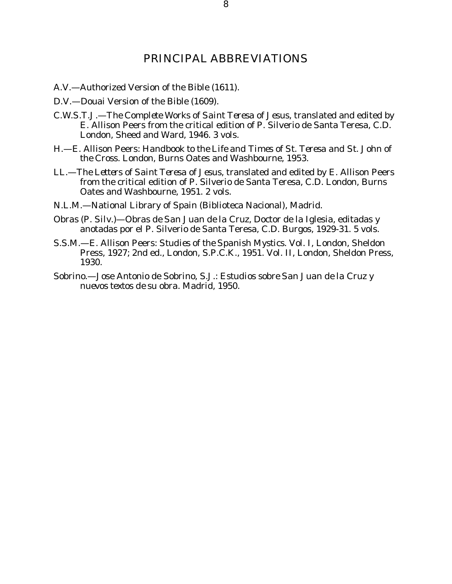# PRINCIPAL ABBREVIATIONS

- A.V.—Authorized Version of the Bible (1611).
- D.V.—Douai Version of the Bible (1609).
- *C.W.S.T.J.—The Complete Works of Saint Teresa of Jesus*, translated and edited by E. Allison Peers from the critical edition of P. Silverio de Santa Teresa, C.D. London, Sheed and Ward, 1946. 3 vols.
- H.—E. Allison Peers: *Handbook to the Life and Times of St. Teresa and St. John of the Cross*. London, Burns Oates and Washbourne, 1953.
- LL.—*The Letters of Saint Teresa of Jesus*, translated and edited by E. Allison Peers from the critical edition of P. Silverio de Santa Teresa, C.D. London, Burns Oates and Washbourne, 1951. 2 vols.
- N.L.M.—National Library of Spain (Biblioteca Nacional), Madrid.
- *Obras* (*P. Silv*.)—*Obras de San Juan de la Cruz*, Doctor de la Iglesia, editadas y anotadas por el P. Silverio de Santa Teresa, C.D. Burgos, 1929-31. 5 vols.
- S.S.M.—E. Allison Peers: *Studies of the Spanish Mystics*. Vol. I, London, Sheldon Press, 1927; 2nd ed., London, S.P.C.K., 1951. Vol. II, London, Sheldon Press, 1930.
- Sobrino.—Jose Antonio de Sobrino, S.J.: *Estudios sobre San Juan de la Cruz y nuevos textos de su obra*. Madrid, 1950.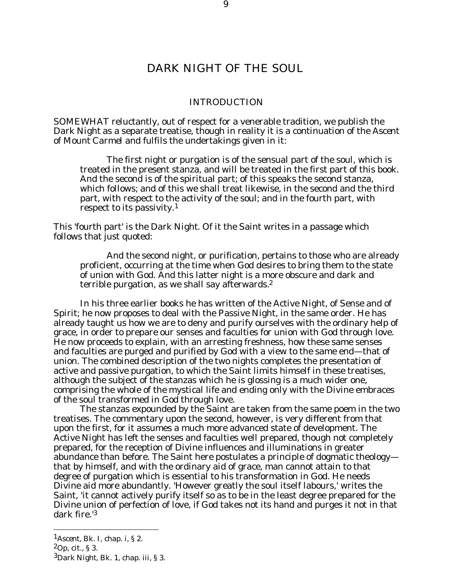# DARK NIGHT OF THE SOUL

#### INTRODUCTION

SOMEWHAT reluctantly, out of respect for a venerable tradition, we publish the *Dark Night* as a separate treatise, though in reality it is a continuation of the *Ascent of Mount Carmel* and fulfils the undertakings given in it:

The first night or purgation is of the sensual part of the soul, which is treated in the present stanza, and will be treated in the first part of this book. And the second is of the spiritual part; of this speaks the second stanza, which follows; and of this we shall treat likewise, in the second and the third part, with respect to the activity of the soul; and in the fourth part, with respect to its passivity.1

This 'fourth part' is the *Dark Night*. Of it the Saint writes in a passage which follows that just quoted:

And the second night, or purification, pertains to those who are already proficient, occurring at the time when God desires to bring them to the state of union with God. And this latter night is a more obscure and dark and terrible purgation, as we shall say afterwards.<sup>2</sup>

In his three earlier books he has written of the Active Night, of Sense and of Spirit; he now proposes to deal with the Passive Night, in the same order. He has already taught us how we are to deny and purify ourselves with the ordinary help of grace, in order to prepare our senses and faculties for union with God through love. He now proceeds to explain, with an arresting freshness, how these same senses and faculties are purged and purified by God with a view to the same end—that of union. The combined description of the two nights completes the presentation of active and passive purgation, to which the Saint limits himself in these treatises, although the subject of the stanzas which he is glossing is a much wider one, comprising the whole of the mystical life and ending only with the Divine embraces of the soul transformed in God through love.

The stanzas expounded by the Saint are taken from the same poem in the two treatises. The commentary upon the second, however, is very different from that upon the first, for it assumes a much more advanced state of development. The Active Night has left the senses and faculties well prepared, though not completely prepared, for the reception of Divine influences and illuminations in greater abundance than before. The Saint here postulates a principle of dogmatic theology that by himself, and with the ordinary aid of grace, man cannot attain to that degree of purgation which is essential to his transformation in God. He needs Divine aid more abundantly. 'However greatly the soul itself labours,' writes the Saint, 'it cannot actively purify itself so as to be in the least degree prepared for the Divine union of perfection of love, if God takes not its hand and purges it not in that dark fire.'3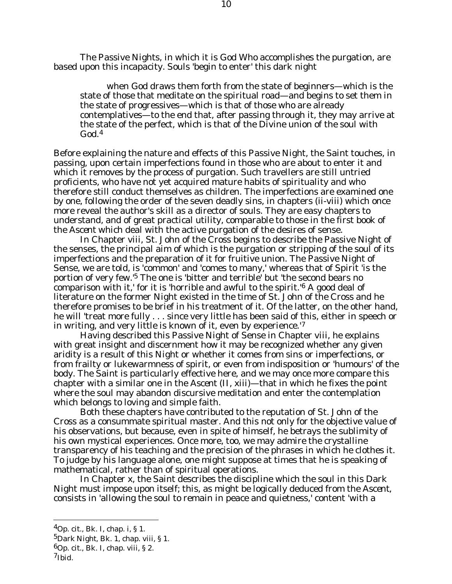The Passive Nights, in which it is God Who accomplishes the purgation, are based upon this incapacity. Souls 'begin to enter' this dark night

when God draws them forth from the state of beginners—which is the state of those that meditate on the spiritual road—and begins to set them in the state of progressives—which is that of those who are already contemplatives—to the end that, after passing through it, they may arrive at the state of the perfect, which is that of the Divine union of the soul with God.4

Before explaining the nature and effects of this Passive Night, the Saint touches, in passing, upon certain imperfections found in those who are about to enter it and which it removes by the process of purgation. Such travellers are still untried proficients, who have not yet acquired mature habits of spirituality and who therefore still conduct themselves as children. The imperfections are examined one by one, following the order of the seven deadly sins, in chapters (ii-viii) which once more reveal the author's skill as a director of souls. They are easy chapters to understand, and of great practical utility, comparable to those in the first book of the *Ascent* which deal with the active purgation of the desires of sense.

In Chapter viii, St. John of the Cross begins to describe the Passive Night of the senses, the principal aim of which is the purgation or stripping of the soul of its imperfections and the preparation of it for fruitive union. The Passive Night of Sense, we are told, is 'common' and 'comes to many,' whereas that of Spirit 'is the portion of very few.'5 The one is 'bitter and terrible' but 'the second bears no comparison with it,' for it is 'horrible and awful to the spirit.'6 A good deal of literature on the former Night existed in the time of St. John of the Cross and he therefore promises to be brief in his treatment of it. Of the latter, on the other hand, he will 'treat more fully . . . since very little has been said of this, either in speech or in writing, and very little is known of it, even by experience.'7

Having described this Passive Night of Sense in Chapter viii, he explains with great insight and discernment how it may be recognized whether any given aridity is a result of this Night or whether it comes from sins or imperfections, or from frailty or lukewarmness of spirit, or even from indisposition or 'humours' of the body. The Saint is particularly effective here, and we may once more compare this chapter with a similar one in the *Ascent* (II, xiii)—that in which he fixes the point where the soul may abandon discursive meditation and enter the contemplation which belongs to loving and simple faith.

Both these chapters have contributed to the reputation of St. John of the Cross as a consummate spiritual master. And this not only for the objective value of his observations, but because, even in spite of himself, he betrays the sublimity of his own mystical experiences. Once more, too, we may admire the crystalline transparency of his teaching and the precision of the phrases in which he clothes it. To judge by his language alone, one might suppose at times that he is speaking of mathematical, rather than of spiritual operations.

In Chapter x, the Saint describes the discipline which the soul in this Dark Night must impose upon itself; this, as might be logically deduced from the *Ascent*, consists in 'allowing the soul to remain in peace and quietness,' content 'with a

<sup>4</sup>*Op. cit.,* Bk. I, chap. i, § 1.

<sup>5</sup>*Dark Night*, Bk. 1, chap. viii, § 1.

<sup>6</sup>*Op. cit*., Bk. I, chap. viii, § 2.

<sup>7</sup>*Ibid.*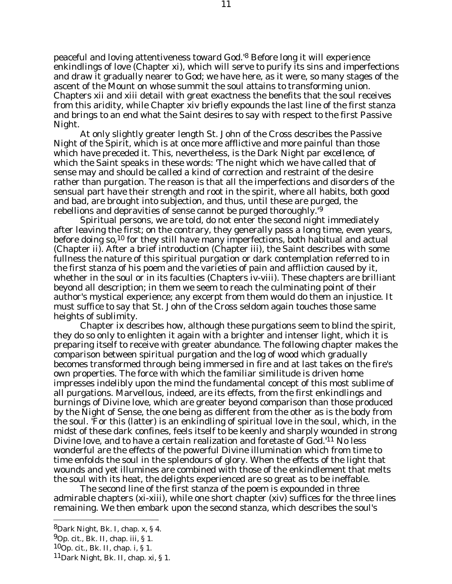peaceful and loving attentiveness toward God.'8 Before long it will experience enkindlings of love (Chapter xi), which will serve to purify its sins and imperfections and draw it gradually nearer to God; we have here, as it were, so many stages of the ascent of the Mount on whose summit the soul attains to transforming union. Chapters xii and xiii detail with great exactness the benefits that the soul receives from this aridity, while Chapter xiv briefly expounds the last line of the first stanza and brings to an end what the Saint desires to say with respect to the first Passive Night.

At only slightly greater length St. John of the Cross describes the Passive Night of the Spirit, which is at once more afflictive and more painful than those which have preceded it. This, nevertheless, is the Dark Night *par excellence*, of which the Saint speaks in these words: 'The night which we have called that of sense may and should be called a kind of correction and restraint of the desire rather than purgation. The reason is that all the imperfections and disorders of the sensual part have their strength and root in the spirit, where all habits, both good and bad, are brought into subjection, and thus, until these are purged, the rebellions and depravities of sense cannot be purged thoroughly.'9

Spiritual persons, we are told, do not enter the second night immediately after leaving the first; on the contrary, they generally pass a long time, even years, before doing so,10 for they still have many imperfections, both habitual and actual (Chapter ii). After a brief introduction (Chapter iii), the Saint describes with some fullness the nature of this spiritual purgation or dark contemplation referred to in the first stanza of his poem and the varieties of pain and affliction caused by it, whether in the soul or in its faculties (Chapters iv-viii). These chapters are brilliant beyond all description; in them we seem to reach the culminating point of their author's mystical experience; any excerpt from them would do them an injustice. It must suffice to say that St. John of the Cross seldom again touches those same heights of sublimity.

Chapter ix describes how, although these purgations seem to blind the spirit, they do so only to enlighten it again with a brighter and intenser light, which it is preparing itself to receive with greater abundance. The following chapter makes the comparison between spiritual purgation and the log of wood which gradually becomes transformed through being immersed in fire and at last takes on the fire's own properties. The force with which the familiar similitude is driven home impresses indelibly upon the mind the fundamental concept of this most sublime of all purgations. Marvellous, indeed, are its effects, from the first enkindlings and burnings of Divine love, which are greater beyond comparison than those produced by the Night of Sense, the one being as different from the other as is the body from the soul. 'For this (latter) is an enkindling of spiritual love in the soul, which, in the midst of these dark confines, feels itself to be keenly and sharply wounded in strong Divine love, and to have a certain realization and foretaste of God.'11 No less wonderful are the effects of the powerful Divine illumination which from time to time enfolds the soul in the splendours of glory. When the effects of the light that wounds and yet illumines are combined with those of the enkindlement that melts the soul with its heat, the delights experienced are so great as to be ineffable.

The second line of the first stanza of the poem is expounded in three admirable chapters (xi-xiii), while one short chapter (xiv) suffices for the three lines remaining. We then embark upon the second stanza, which describes the soul's

<sup>8</sup>*Dark Night*, Bk. I, chap. x, § 4.

<sup>9</sup>*Op. cit*., Bk. II, chap. iii, § 1.

<sup>10</sup>*Op. cit*., Bk. II, chap. i, § 1.

<sup>11</sup>*Dark Night*, Bk. II, chap. xi, § 1.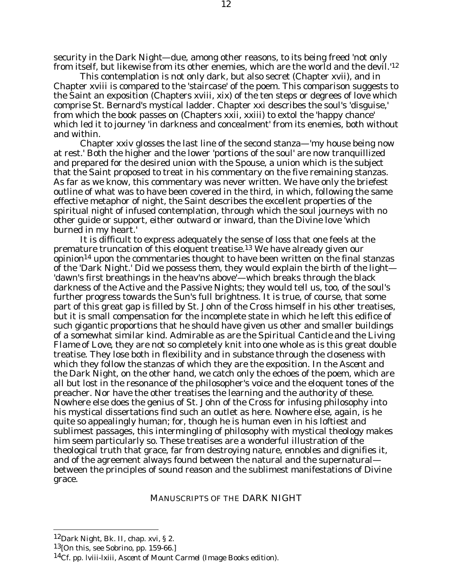security in the *Dark Night*—due, among other reasons, to its being freed 'not only from itself, but likewise from its other enemies, which are the world and the devil.'12

This contemplation is not only dark, but also secret (Chapter xvii), and in Chapter xviii is compared to the 'staircase' of the poem. This comparison suggests to the Saint an exposition (Chapters xviii, xix) of the ten steps or degrees of love which comprise St. Bernard's mystical ladder. Chapter xxi describes the soul's 'disguise,' from which the book passes on (Chapters xxii, xxiii) to extol the 'happy chance' which led it to journey 'in darkness and concealment' from its enemies, both without and within.

Chapter xxiv glosses the last line of the second stanza—'my house being now at rest.' Both the higher and the lower 'portions of the soul' are now tranquillized and prepared for the desired union with the Spouse, a union which is the subject that the Saint proposed to treat in his commentary on the five remaining stanzas. As far as we know, this commentary was never written. We have only the briefest outline of what was to have been covered in the third, in which, following the same effective metaphor of night, the Saint describes the excellent properties of the spiritual night of infused contemplation, through which the soul journeys with no other guide or support, either outward or inward, than the Divine love 'which burned in my heart.'

It is difficult to express adequately the sense of loss that one feels at the premature truncation of this eloquent treatise.13 We have already given our opinion<sup>14</sup> upon the commentaries thought to have been written on the final stanzas of the 'Dark Night.' Did we possess them, they would explain the birth of the light— 'dawn's first breathings in the heav'ns above'—which breaks through the black darkness of the Active and the Passive Nights; they would tell us, too, of the soul's further progress towards the Sun's full brightness. It is true, of course, that some part of this great gap is filled by St. John of the Cross himself in his other treatises, but it is small compensation for the incomplete state in which he left this edifice of such gigantic proportions that he should have given us other and smaller buildings of a somewhat similar kind. Admirable as are the *Spiritual Canticle* and the *Living Flame of Love*, they are not so completely knit into one whole as is this great double treatise. They lose both in flexibility and in substance through the closeness with which they follow the stanzas of which they are the exposition. In the *Ascent* and the *Dark Night*, on the other hand, we catch only the echoes of the poem, which are all but lost in the resonance of the philosopher's voice and the eloquent tones of the preacher. Nor have the other treatises the learning and the authority of these. Nowhere else does the genius of St. John of the Cross for infusing philosophy into his mystical dissertations find such an outlet as here. Nowhere else, again, is he quite so appealingly human; for, though he is human even in his loftiest and sublimest passages, this intermingling of philosophy with mystical theology makes him seem particularly so. These treatises are a wonderful illustration of the theological truth that grace, far from destroying nature, ennobles and dignifies it, and of the agreement always found between the natural and the supernatural between the principles of sound reason and the sublimest manifestations of Divine grace.

#### MANUSCRIPTS OF THE *DARK NIGHT*

<sup>12</sup>*Dark Night*, Bk. II, chap. xvi, § 2.

 $13$ [On this, see Sobrino, pp. 159-66.]

<sup>14</sup>Cf. pp. lviii-lxiii, *Ascent of Mount Carmel* (Image Books edition).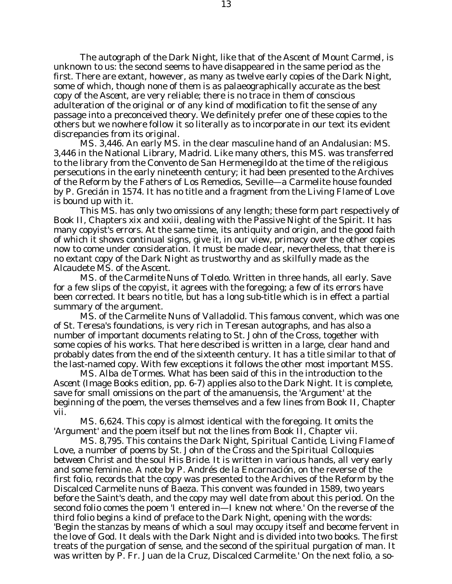The autograph of the *Dark Night*, like that of the *Ascent of Mount Carmel*, is unknown to us: the second seems to have disappeared in the same period as the first. There are extant, however, as many as twelve early copies of the *Dark Night*, some of which, though none of them is as palaeographically accurate as the best copy of the *Ascent*, are very reliable; there is no trace in them of conscious adulteration of the original or of any kind of modification to fit the sense of any passage into a preconceived theory. We definitely prefer one of these copies to the others but we nowhere follow it so literally as to incorporate in our text its evident discrepancies from its original.

*MS*. 3,446. An early MS. in the clear masculine hand of an Andalusian: MS. 3,446 in the National Library, Madrid. Like many others, this MS. was transferred to the library from the Convento de San Hermenegildo at the time of the religious persecutions in the early nineteenth century; it had been presented to the Archives of the Reform by the Fathers of Los Remedios, Seville—a Carmelite house founded by P. Grecián in 1574. It has no title and a fragment from the *Living Flame of Love* is bound up with it.

This MS. has only two omissions of any length; these form part respectively of Book II, Chapters xix and xxiii, dealing with the Passive Night of the Spirit. It has many copyist's errors. At the same time, its antiquity and origin, and the good faith of which it shows continual signs, give it, in our view, primacy over the other copies now to come under consideration. It must be made clear, nevertheless, that there is no extant copy of the *Dark Night* as trustworthy and as skilfully made as the Alcaudete MS. of the *Ascent*.

*MS. of the Carmelite Nuns of Toledo*. Written in three hands, all early. Save for a few slips of the copyist, it agrees with the foregoing; a few of its errors have been corrected. It bears no title, but has a long sub-title which is in effect a partial summary of the argument.

MS. of the Carmelite Nuns of Valladolid. This famous convent, which was one of St. Teresa's foundations, is very rich in Teresan autographs, and has also a number of important documents relating to St. John of the Cross, together with some copies of his works. That here described is written in a large, clear hand and probably dates from the end of the sixteenth century. It has a title similar to that of the last-named copy. With few exceptions it follows the other most important MSS.

*MS. Alba de Tormes*. What has been said of this in the introduction to the *Ascent* (Image Books edition, pp. 6-7) applies also to the *Dark Night*. It is complete, save for small omissions on the part of the amanuensis, the 'Argument' at the beginning of the poem, the verses themselves and a few lines from Book II, Chapter vii.

*MS*. 6,624. This copy is almost identical with the foregoing. It omits the 'Argument' and the poem itself but not the lines from Book II, Chapter vii.

*MS*. 8,795. This contains the *Dark Night*, *Spiritual Canticle*, *Living Flame* of Love, a number of poems by St. John of the Cross and the *Spiritual Colloquies between Christ and the soul His Bride.* It is written in various hands, all very early and some feminine. A note by P. Andrés de la Encarnación, on the reverse of the first folio, records that the copy was presented to the Archives of the Reform by the Discalced Carmelite nuns of Baeza. This convent was founded in 1589, two years before the Saint's death, and the copy may well date from about this period. On the second folio comes the poem 'I entered in—I knew not where.' On the reverse of the third folio begins a kind of preface to the *Dark Night*, opening with the words: 'Begin the stanzas by means of which a soul may occupy itself and become fervent in the love of God. It deals with the Dark Night and is divided into two books. The first treats of the purgation of sense, and the second of the spiritual purgation of man. It was written by P. Fr. Juan de la Cruz, Discalced Carmelite.' On the next folio, a so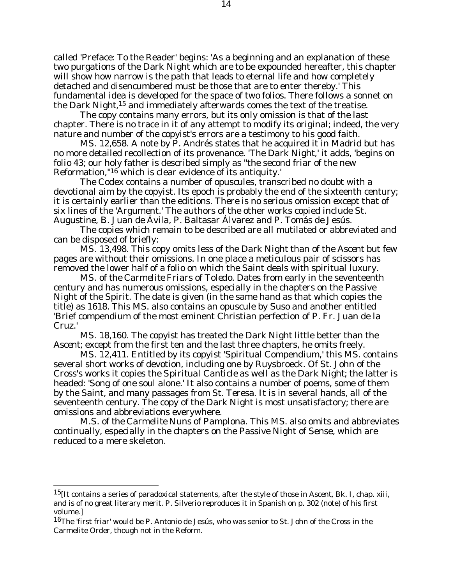called 'Preface: To the Reader' begins: 'As a beginning and an explanation of these two purgations of the Dark Night which are to be expounded hereafter, this chapter will show how narrow is the path that leads to eternal life and how completely detached and disencumbered must be those that are to enter thereby.' This fundamental idea is developed for the space of two folios. There follows a sonnet on the *Dark Night*, 15 and immediately afterwards comes the text of the treatise.

The copy contains many errors, but its only omission is that of the last chapter. There is no trace in it of any attempt to modify its original; indeed, the very nature and number of the copyist's errors are a testimony to his good faith.

MS. 12,658. A note by P. Andrés states that he acquired it in Madrid but has no more detailed recollection of its provenance. 'The *Dark Night*,' it adds, 'begins on folio 43; our holy father is described simply as ''the second friar of the new Reformation,"16 which is clear evidence of its antiquity.'

The Codex contains a number of opuscules, transcribed no doubt with a devotional aim by the copyist. Its epoch is probably the end of the sixteenth century; it is certainly earlier than the editions. There is no serious omission except that of six lines of the 'Argument.' The authors of the other works copied include St. Augustine, B. Juan de Ávila, P. Baltasar Álvarez and P. Tomás de Jesús.

The copies which remain to be described are all mutilated or abbreviated and can be disposed of briefly:

*MS*. 13,498. This copy omits less of the *Dark Night* than of the *Ascent* but few pages are without their omissions. In one place a meticulous pair of scissors has removed the lower half of a folio on which the Saint deals with spiritual luxury.

*MS. of the Carmelite Friars of Toledo*. Dates from early in the seventeenth century and has numerous omissions, especially in the chapters on the Passive Night of the Spirit. The date is given (in the same hand as that which copies the title) as 1618. This MS. also contains an opuscule by Suso and another entitled 'Brief compendium of the most eminent Christian perfection of P. Fr. Juan de la Cruz.'

*MS*. 18,160. The copyist has treated the *Dark Night* little better than the *Ascent*; except from the first ten and the last three chapters, he omits freely.

*MS*. 12,411. Entitled by its copyist 'Spiritual Compendium,' this MS. contains several short works of devotion, including one by Ruysbroeck. Of St. John of the Cross's works it copies the *Spiritual Canticle* as well as the *Dark Night*; the latter is headed: 'Song of one soul alone.' It also contains a number of poems, some of them by the Saint, and many passages from St. Teresa. It is in several hands, all of the seventeenth century. The copy of the *Dark Night* is most unsatisfactory; there are omissions and abbreviations everywhere.

*M.S. of the Carmelite Nuns of Pamplona*. This MS. also omits and abbreviates continually, especially in the chapters on the Passive Night of Sense, which are reduced to a mere skeleton.

<sup>15</sup>[It contains a series of paradoxical statements, after the style of those in *Ascent*, Bk. I, chap. xiii, and is of no great literary merit. P. Silverio reproduces it in Spanish on p. 302 (note) of his first volume.]

<sup>16</sup>The 'first friar' would be P. Antonio de Jesús, who was senior to St. John of the Cross in the Carmelite Order, though not in the Reform.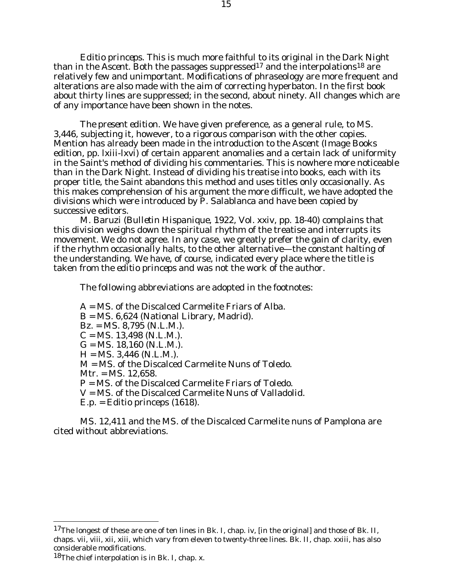*Editio princeps*. This is much more faithful to its original in the *Dark Night* than in the *Ascent*. Both the passages suppressed<sup>17</sup> and the interpolations<sup>18</sup> are relatively few and unimportant. Modifications of phraseology are more frequent and alterations are also made with the aim of correcting hyperbaton. In the first book about thirty lines are suppressed; in the second, about ninety. All changes which are of any importance have been shown in the notes.

*The present edition*. We have given preference, as a general rule, to MS. 3,446, subjecting it, however, to a rigorous comparison with the other copies. Mention has already been made in the introduction to the *Ascent* (Image Books edition, pp. lxiii-lxvi) of certain apparent anomalies and a certain lack of uniformity in the Saint's method of dividing his commentaries. This is nowhere more noticeable than in the *Dark Night*. Instead of dividing his treatise into books, each with its proper title, the Saint abandons this method and uses titles only occasionally. As this makes comprehension of his argument the more difficult, we have adopted the divisions which were introduced by P. Salablanca and have been copied by successive editors.

M. Baruzi (*Bulletin Hispanique*, 1922, Vol. xxiv, pp. 18-40) complains that this division weighs down the spiritual rhythm of the treatise and interrupts its movement. We do not agree. In any case, we greatly prefer the gain of clarity, even if the rhythm occasionally halts, to the other alternative—the constant halting of the understanding. We have, of course, indicated every place where the title is taken from the *editio princeps* and was not the work of the author.

The following abbreviations are adopted in the footnotes:

A = MS. of the Discalced Carmelite Friars of Alba. B = MS. 6,624 (National Library, Madrid).  $Bz = MS. 8,795 (N.L.M.).$  $C = MS. 13,498 (N.L.M.).$  $G = MS. 18,160 (N.L.M.).$  $H = MS. 3,446 (N.L.M.).$ M = MS. of the Discalced Carmelite Nuns of Toledo. Mtr. = MS. 12,658. P = MS. of the Discalced Carmelite Friars of Toledo. V = MS. of the Discalced Carmelite Nuns of Valladolid.  $E.p. =$  Editio princeps (1618).

MS. 12,411 and the MS. of the Discalced Carmelite nuns of Pamplona are cited without abbreviations.

<sup>&</sup>lt;sup>17</sup>The longest of these are one of ten lines in Bk. I, chap. iv, [in the original] and those of Bk. II, chaps. vii, viii, xii, xiii, which vary from eleven to twenty-three lines. Bk. II, chap. xxiii, has also considerable modifications.

<sup>&</sup>lt;sup>18</sup>The chief interpolation is in Bk. I, chap. x.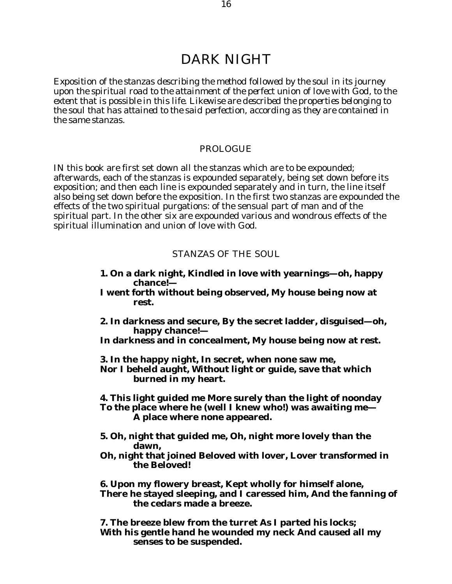# DARK NIGHT

*Exposition of the stanzas describing the method followed by the soul in its journey upon the spiritual road to the attainment of the perfect union of love with God, to the extent that is possible in this life. Likewise are described the properties belonging to the soul that has attained to the said perfection, according as they are contained in the same stanzas.*

#### PROLOGUE

IN this book are first set down all the stanzas which are to be expounded; afterwards, each of the stanzas is expounded separately, being set down before its exposition; and then each line is expounded separately and in turn, the line itself also being set down before the exposition. In the first two stanzas are expounded the effects of the two spiritual purgations: of the sensual part of man and of the spiritual part. In the other six are expounded various and wondrous effects of the spiritual illumination and union of love with God.

#### STANZAS OF THE SOUL

- **1. On a dark night, Kindled in love with yearnings—oh, happy chance!—**
- **I went forth without being observed, My house being now at rest.**
- **2. In darkness and secure, By the secret ladder, disguised—oh, happy chance!—**
- **In darkness and in concealment, My house being now at rest.**

**3. In the happy night, In secret, when none saw me, Nor I beheld aught, Without light or guide, save that which burned in my heart.**

**4. This light guided me More surely than the light of noonday To the place where he (well I knew who!) was awaiting me— A place where none appeared.**

- **5. Oh, night that guided me, Oh, night more lovely than the dawn,**
- **Oh, night that joined Beloved with lover, Lover transformed in the Beloved!**

**6. Upon my flowery breast, Kept wholly for himself alone, There he stayed sleeping, and I caressed him, And the fanning of the cedars made a breeze.**

**7. The breeze blew from the turret As I parted his locks; With his gentle hand he wounded my neck And caused all my senses to be suspended.**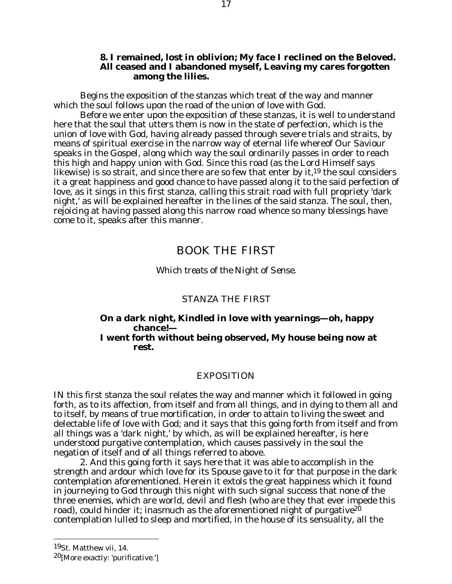#### **8. I remained, lost in oblivion; My face I reclined on the Beloved. All ceased and I abandoned myself, Leaving my cares forgotten among the lilies.**

Begins the exposition of the stanzas which treat of the way and manner which the soul follows upon the road of the union of love with God.

Before we enter upon the exposition of these stanzas, it is well to understand here that the soul that utters them is now in the state of perfection, which is the union of love with God, having already passed through severe trials and straits, by means of spiritual exercise in the narrow way of eternal life whereof Our Saviour speaks in the Gospel, along which way the soul ordinarily passes in order to reach this high and happy union with God. Since this road (as the Lord Himself says likewise) is so strait, and since there are so few that enter by it,  $19$  the soul considers it a great happiness and good chance to have passed along it to the said perfection of love, as it sings in this first stanza, calling this strait road with full propriety 'dark night,' as will be explained hereafter in the lines of the said stanza. The soul, then, rejoicing at having passed along this narrow road whence so many blessings have come to it, speaks after this manner.

### BOOK THE FIRST

#### *Which treats of the Night of Sense.*

#### STANZA THE FIRST

#### **On a dark night, Kindled in love with yearnings—oh, happy chance!— I went forth without being observed, My house being now at rest.**

#### EXPOSITION

IN this first stanza the soul relates the way and manner which it followed in going forth, as to its affection, from itself and from all things, and in dying to them all and to itself, by means of true mortification, in order to attain to living the sweet and delectable life of love with God; and it says that this going forth from itself and from all things was a 'dark night,' by which, as will be explained hereafter, is here understood purgative contemplation, which causes passively in the soul the negation of itself and of all things referred to above.

2. And this going forth it says here that it was able to accomplish in the strength and ardour which love for its Spouse gave to it for that purpose in the dark contemplation aforementioned. Herein it extols the great happiness which it found in journeying to God through this night with such signal success that none of the three enemies, which are world, devil and flesh (who are they that ever impede this road), could hinder it; inasmuch as the aforementioned night of purgative<sup>20</sup> contemplation lulled to sleep and mortified, in the house of its sensuality, all the

<sup>19</sup>St. Matthew vii, 14.

<sup>20</sup>[More exactly: 'purificative.']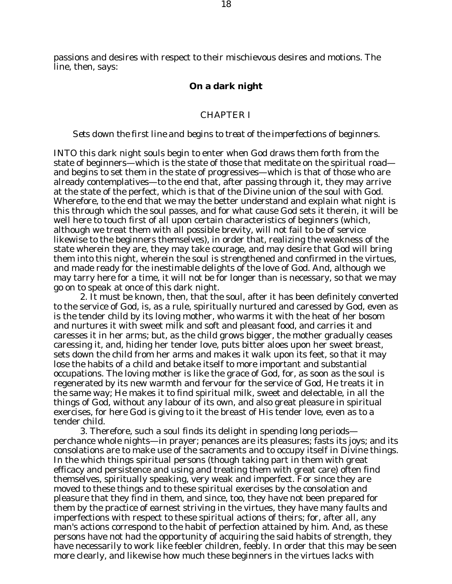passions and desires with respect to their mischievous desires and motions. The line, then, says:

#### **On a dark night**

#### CHAPTER I

#### *Sets down the first line and begins to treat of the imperfections of beginners.*

INTO this dark night souls begin to enter when God draws them forth from the state of beginners—which is the state of those that meditate on the spiritual road and begins to set them in the state of progressives—which is that of those who are already contemplatives—to the end that, after passing through it, they may arrive at the state of the perfect, which is that of the Divine union of the soul with God. Wherefore, to the end that we may the better understand and explain what night is this through which the soul passes, and for what cause God sets it therein, it will be well here to touch first of all upon certain characteristics of beginners (which, although we treat them with all possible brevity, will not fail to be of service likewise to the beginners themselves), in order that, realizing the weakness of the state wherein they are, they may take courage, and may desire that God will bring them into this night, wherein the soul is strengthened and confirmed in the virtues, and made ready for the inestimable delights of the love of God. And, although we may tarry here for a time, it will not be for longer than is necessary, so that we may go on to speak at once of this dark night.

2. It must be known, then, that the soul, after it has been definitely converted to the service of God, is, as a rule, spiritually nurtured and caressed by God, even as is the tender child by its loving mother, who warms it with the heat of her bosom and nurtures it with sweet milk and soft and pleasant food, and carries it and caresses it in her arms; but, as the child grows bigger, the mother gradually ceases caressing it, and, hiding her tender love, puts bitter aloes upon her sweet breast, sets down the child from her arms and makes it walk upon its feet, so that it may lose the habits of a child and betake itself to more important and substantial occupations. The loving mother is like the grace of God, for, as soon as the soul is regenerated by its new warmth and fervour for the service of God, He treats it in the same way; He makes it to find spiritual milk, sweet and delectable, in all the things of God, without any labour of its own, and also great pleasure in spiritual exercises, for here God is giving to it the breast of His tender love, even as to a tender child.

3. Therefore, such a soul finds its delight in spending long periods perchance whole nights—in prayer; penances are its pleasures; fasts its joys; and its consolations are to make use of the sacraments and to occupy itself in Divine things. In the which things spiritual persons (though taking part in them with great efficacy and persistence and using and treating them with great care) often find themselves, spiritually speaking, very weak and imperfect. For since they are moved to these things and to these spiritual exercises by the consolation and pleasure that they find in them, and since, too, they have not been prepared for them by the practice of earnest striving in the virtues, they have many faults and imperfections with respect to these spiritual actions of theirs; for, after all, any man's actions correspond to the habit of perfection attained by him. And, as these persons have not had the opportunity of acquiring the said habits of strength, they have necessarily to work like feebler children, feebly. In order that this may be seen more clearly, and likewise how much these beginners in the virtues lacks with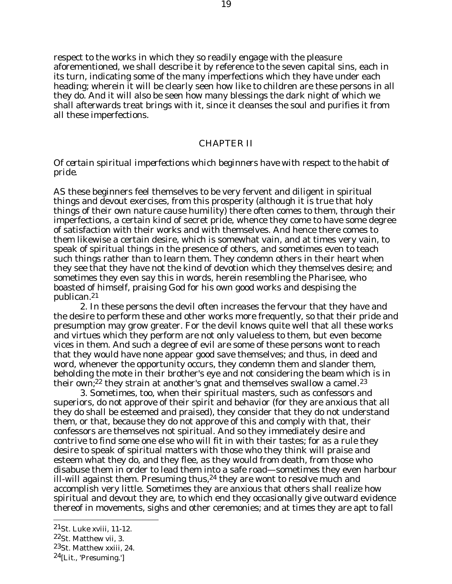respect to the works in which they so readily engage with the pleasure aforementioned, we shall describe it by reference to the seven capital sins, each in its turn, indicating some of the many imperfections which they have under each heading; wherein it will be clearly seen how like to children are these persons in all they do. And it will also be seen how many blessings the dark night of which we shall afterwards treat brings with it, since it cleanses the soul and purifies it from all these imperfections.

#### CHAPTER II

#### *Of certain spiritual imperfections which beginners have with respect to the habit of pride.*

AS these beginners feel themselves to be very fervent and diligent in spiritual things and devout exercises, from this prosperity (although it is true that holy things of their own nature cause humility) there often comes to them, through their imperfections, a certain kind of secret pride, whence they come to have some degree of satisfaction with their works and with themselves. And hence there comes to them likewise a certain desire, which is somewhat vain, and at times very vain, to speak of spiritual things in the presence of others, and sometimes even to teach such things rather than to learn them. They condemn others in their heart when they see that they have not the kind of devotion which they themselves desire; and sometimes they even say this in words, herein resembling the Pharisee, who boasted of himself, praising God for his own good works and despising the publican.21

2. In these persons the devil often increases the fervour that they have and the desire to perform these and other works more frequently, so that their pride and presumption may grow greater. For the devil knows quite well that all these works and virtues which they perform are not only valueless to them, but even become vices in them. And such a degree of evil are some of these persons wont to reach that they would have none appear good save themselves; and thus, in deed and word, whenever the opportunity occurs, they condemn them and slander them, beholding the mote in their brother's eye and not considering the beam which is in their own;<sup>22</sup> they strain at another's gnat and themselves swallow a camel.<sup>23</sup>

3. Sometimes, too, when their spiritual masters, such as confessors and superiors, do not approve of their spirit and behavior (for they are anxious that all they do shall be esteemed and praised), they consider that they do not understand them, or that, because they do not approve of this and comply with that, their confessors are themselves not spiritual. And so they immediately desire and contrive to find some one else who will fit in with their tastes; for as a rule they desire to speak of spiritual matters with those who they think will praise and esteem what they do, and they flee, as they would from death, from those who disabuse them in order to lead them into a safe road—sometimes they even harbour ill-will against them. Presuming thus,<sup>24</sup> they are wont to resolve much and accomplish very little. Sometimes they are anxious that others shall realize how spiritual and devout they are, to which end they occasionally give outward evidence thereof in movements, sighs and other ceremonies; and at times they are apt to fall

 $21$ St. Luke xviii, 11-12.

<sup>22</sup>St. Matthew vii, 3.

<sup>23</sup>St. Matthew xxiii, 24.

<sup>24</sup>[*Lit.*, 'Presuming.']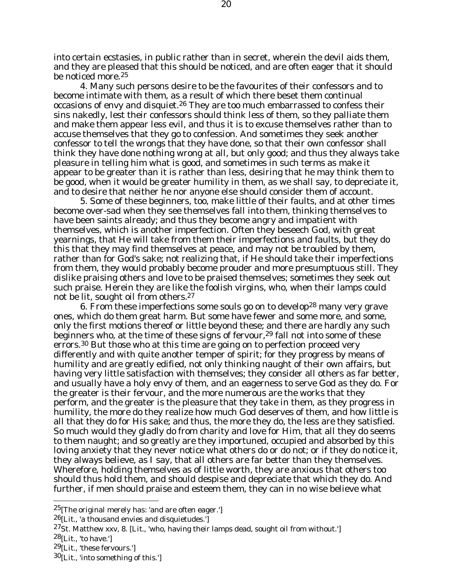into certain ecstasies, in public rather than in secret, wherein the devil aids them, and they are pleased that this should be noticed, and are often eager that it should be noticed more.25

4. Many such persons desire to be the favourites of their confessors and to become intimate with them, as a result of which there beset them continual occasions of envy and disquiet.<sup>26</sup> They are too much embarrassed to confess their sins nakedly, lest their confessors should think less of them, so they palliate them and make them appear less evil, and thus it is to excuse themselves rather than to accuse themselves that they go to confession. And sometimes they seek another confessor to tell the wrongs that they have done, so that their own confessor shall think they have done nothing wrong at all, but only good; and thus they always take pleasure in telling him what is good, and sometimes in such terms as make it appear to be greater than it is rather than less, desiring that he may think them to be good, when it would be greater humility in them, as we shall say, to depreciate it, and to desire that neither he nor anyone else should consider them of account.

5. Some of these beginners, too, make little of their faults, and at other times become over-sad when they see themselves fall into them, thinking themselves to have been saints already; and thus they become angry and impatient with themselves, which is another imperfection. Often they beseech God, with great yearnings, that He will take from them their imperfections and faults, but they do this that they may find themselves at peace, and may not be troubled by them, rather than for God's sake; not realizing that, if He should take their imperfections from them, they would probably become prouder and more presumptuous still. They dislike praising others and love to be praised themselves; sometimes they seek out such praise. Herein they are like the foolish virgins, who, when their lamps could not be lit, sought oil from others.27

6. From these imperfections some souls go on to develop28 many very grave ones, which do them great harm. But some have fewer and some more, and some, only the first motions thereof or little beyond these; and there are hardly any such beginners who, at the time of these signs of fervour,  $29$  fall not into some of these errors.30 But those who at this time are going on to perfection proceed very differently and with quite another temper of spirit; for they progress by means of humility and are greatly edified, not only thinking naught of their own affairs, but having very little satisfaction with themselves; they consider all others as far better, and usually have a holy envy of them, and an eagerness to serve God as they do. For the greater is their fervour, and the more numerous are the works that they perform, and the greater is the pleasure that they take in them, as they progress in humility, the more do they realize how much God deserves of them, and how little is all that they do for His sake; and thus, the more they do, the less are they satisfied. So much would they gladly do from charity and love for Him, that all they do seems to them naught; and so greatly are they importuned, occupied and absorbed by this loving anxiety that they never notice what others do or do not; or if they do notice it, they always believe, as I say, that all others are far better than they themselves. Wherefore, holding themselves as of little worth, they are anxious that others too should thus hold them, and should despise and depreciate that which they do. And further, if men should praise and esteem them, they can in no wise believe what

29[*Lit.*, 'these fervours.']

<sup>25</sup>[The original merely has: 'and are often eager.']

<sup>26</sup>[*Lit.*, 'a thousand envies and disquietudes.']

<sup>27</sup>St. Matthew xxv, 8. [*Lit.*, 'who, having their lamps dead, sought oil from without.']

<sup>28</sup>[*Lit.*, 'to have.']

<sup>30</sup>[*Lit.*, 'into something of this.']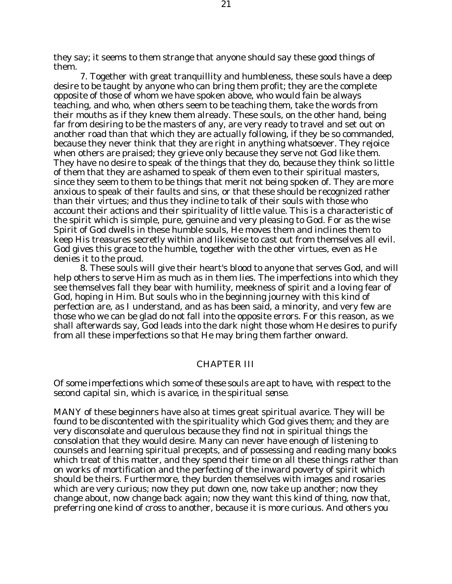they say; it seems to them strange that anyone should say these good things of them.

7. Together with great tranquillity and humbleness, these souls have a deep desire to be taught by anyone who can bring them profit; they are the complete opposite of those of whom we have spoken above, who would fain be always teaching, and who, when others seem to be teaching them, take the words from their mouths as if they knew them already. These souls, on the other hand, being far from desiring to be the masters of any, are very ready to travel and set out on another road than that which they are actually following, if they be so commanded, because they never think that they are right in anything whatsoever. They rejoice when others are praised; they grieve only because they serve not God like them. They have no desire to speak of the things that they do, because they think so little of them that they are ashamed to speak of them even to their spiritual masters, since they seem to them to be things that merit not being spoken of. They are more anxious to speak of their faults and sins, or that these should be recognized rather than their virtues; and thus they incline to talk of their souls with those who account their actions and their spirituality of little value. This is a characteristic of the spirit which is simple, pure, genuine and very pleasing to God. For as the wise Spirit of God dwells in these humble souls, He moves them and inclines them to keep His treasures secretly within and likewise to cast out from themselves all evil. God gives this grace to the humble, together with the other virtues, even as He denies it to the proud.

8. These souls will give their heart's blood to anyone that serves God, and will help others to serve Him as much as in them lies. The imperfections into which they see themselves fall they bear with humility, meekness of spirit and a loving fear of God, hoping in Him. But souls who in the beginning journey with this kind of perfection are, as I understand, and as has been said, a minority, and very few are those who we can be glad do not fall into the opposite errors. For this reason, as we shall afterwards say, God leads into the dark night those whom He desires to purify from all these imperfections so that He may bring them farther onward.

#### CHAPTER III

#### *Of some imperfections which some of these souls are apt to have, with respect to the second capital sin, which is avarice, in the spiritual sense.*

MANY of these beginners have also at times great spiritual avarice. They will be found to be discontented with the spirituality which God gives them; and they are very disconsolate and querulous because they find not in spiritual things the consolation that they would desire. Many can never have enough of listening to counsels and learning spiritual precepts, and of possessing and reading many books which treat of this matter, and they spend their time on all these things rather than on works of mortification and the perfecting of the inward poverty of spirit which should be theirs. Furthermore, they burden themselves with images and rosaries which are very curious; now they put down one, now take up another; now they change about, now change back again; now they want this kind of thing, now that, preferring one kind of cross to another, because it is more curious. And others you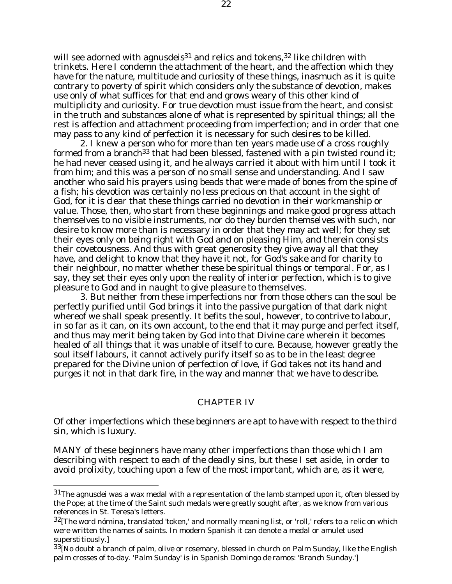will see adorned with agnusdeis<sup>31</sup> and relics and tokens,  $32$  like children with trinkets. Here I condemn the attachment of the heart, and the affection which they have for the nature, multitude and curiosity of these things, inasmuch as it is quite contrary to poverty of spirit which considers only the substance of devotion, makes use only of what suffices for that end and grows weary of this other kind of multiplicity and curiosity. For true devotion must issue from the heart, and consist in the truth and substances alone of what is represented by spiritual things; all the rest is affection and attachment proceeding from imperfection; and in order that one may pass to any kind of perfection it is necessary for such desires to be killed.

2. I knew a person who for more than ten years made use of a cross roughly formed from a branch<sup>33</sup> that had been blessed, fastened with a pin twisted round it; he had never ceased using it, and he always carried it about with him until I took it from him; and this was a person of no small sense and understanding. And I saw another who said his prayers using beads that were made of bones from the spine of a fish; his devotion was certainly no less precious on that account in the sight of God, for it is clear that these things carried no devotion in their workmanship or value. Those, then, who start from these beginnings and make good progress attach themselves to no visible instruments, nor do they burden themselves with such, nor desire to know more than is necessary in order that they may act well; for they set their eyes only on being right with God and on pleasing Him, and therein consists their covetousness. And thus with great generosity they give away all that they have, and delight to know that they have it not, for God's sake and for charity to their neighbour, no matter whether these be spiritual things or temporal. For, as I say, they set their eyes only upon the reality of interior perfection, which is to give pleasure to God and in naught to give pleasure to themselves.

3. But neither from these imperfections nor from those others can the soul be perfectly purified until God brings it into the passive purgation of that dark night whereof we shall speak presently. It befits the soul, however, to contrive to labour, in so far as it can, on its own account, to the end that it may purge and perfect itself, and thus may merit being taken by God into that Divine care wherein it becomes healed of all things that it was unable of itself to cure. Because, however greatly the soul itself labours, it cannot actively purify itself so as to be in the least degree prepared for the Divine union of perfection of love, if God takes not its hand and purges it not in that dark fire, in the way and manner that we have to describe.

#### CHAPTER IV

*Of other imperfections which these beginners are apt to have with respect to the third sin, which is luxury.*

MANY of these beginners have many other imperfections than those which I am describing with respect to each of the deadly sins, but these I set aside, in order to avoid prolixity, touching upon a few of the most important, which are, as it were,

<sup>31</sup>The *agnusdei* was a wax medal with a representation of the lamb stamped upon it, often blessed by the Pope; at the time of the Saint such medals were greatly sought after, as we know from various references in St. Teresa's letters.

<sup>32</sup>[The word *nómina*, translated 'token,' and normally meaning list, or 'roll,' refers to a relic on which were written the names of saints. In modern Spanish it can denote a medal or amulet used superstitiously.]

 $33$ [No doubt a branch of palm, olive or rosemary, blessed in church on Palm Sunday, like the English palm crosses of to-day. 'Palm Sunday' is in Spanish *Domingo de ramos:* 'Branch Sunday.']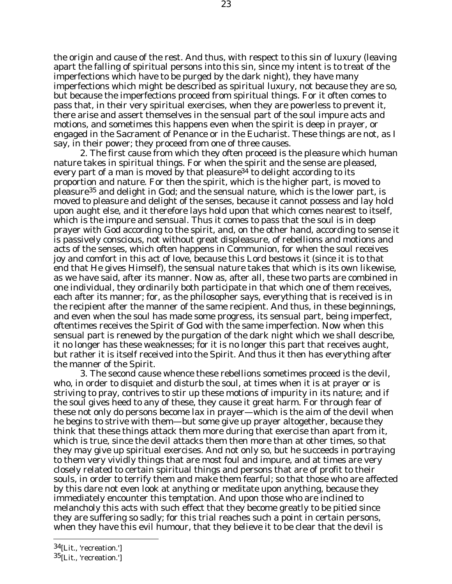the origin and cause of the rest. And thus, with respect to this sin of luxury (leaving apart the falling of spiritual persons into this sin, since my intent is to treat of the imperfections which have to be purged by the dark night), they have many imperfections which might be described as spiritual luxury, not because they are so, but because the imperfections proceed from spiritual things. For it often comes to pass that, in their very spiritual exercises, when they are powerless to prevent it, there arise and assert themselves in the sensual part of the soul impure acts and motions, and sometimes this happens even when the spirit is deep in prayer, or engaged in the Sacrament of Penance or in the Eucharist. These things are not, as I say, in their power; they proceed from one of three causes.

2. The first cause from which they often proceed is the pleasure which human nature takes in spiritual things. For when the spirit and the sense are pleased, every part of a man is moved by that pleasure  $34$  to delight according to its proportion and nature. For then the spirit, which is the higher part, is moved to pleasure35 and delight in God; and the sensual nature, which is the lower part, is moved to pleasure and delight of the senses, because it cannot possess and lay hold upon aught else, and it therefore lays hold upon that which comes nearest to itself, which is the impure and sensual. Thus it comes to pass that the soul is in deep prayer with God according to the spirit, and, on the other hand, according to sense it is passively conscious, not without great displeasure, of rebellions and motions and acts of the senses, which often happens in Communion, for when the soul receives joy and comfort in this act of love, because this Lord bestows it (since it is to that end that He gives Himself), the sensual nature takes that which is its own likewise, as we have said, after its manner. Now as, after all, these two parts are combined in one individual, they ordinarily both participate in that which one of them receives, each after its manner; for, as the philosopher says, everything that is received is in the recipient after the manner of the same recipient. And thus, in these beginnings, and even when the soul has made some progress, its sensual part, being imperfect, oftentimes receives the Spirit of God with the same imperfection. Now when this sensual part is renewed by the purgation of the dark night which we shall describe, it no longer has these weaknesses; for it is no longer this part that receives aught, but rather it is itself received into the Spirit. And thus it then has everything after the manner of the Spirit.

3. The second cause whence these rebellions sometimes proceed is the devil, who, in order to disquiet and disturb the soul, at times when it is at prayer or is striving to pray, contrives to stir up these motions of impurity in its nature; and if the soul gives heed to any of these, they cause it great harm. For through fear of these not only do persons become lax in prayer—which is the aim of the devil when he begins to strive with them—but some give up prayer altogether, because they think that these things attack them more during that exercise than apart from it, which is true, since the devil attacks them then more than at other times, so that they may give up spiritual exercises. And not only so, but he succeeds in portraying to them very vividly things that are most foul and impure, and at times are very closely related to certain spiritual things and persons that are of profit to their souls, in order to terrify them and make them fearful; so that those who are affected by this dare not even look at anything or meditate upon anything, because they immediately encounter this temptation. And upon those who are inclined to melancholy this acts with such effect that they become greatly to be pitied since they are suffering so sadly; for this trial reaches such a point in certain persons, when they have this evil humour, that they believe it to be clear that the devil is

<sup>34</sup>[*Lit.*, 'recreation.']

<sup>35</sup>[*Lit.*, 'recreation.']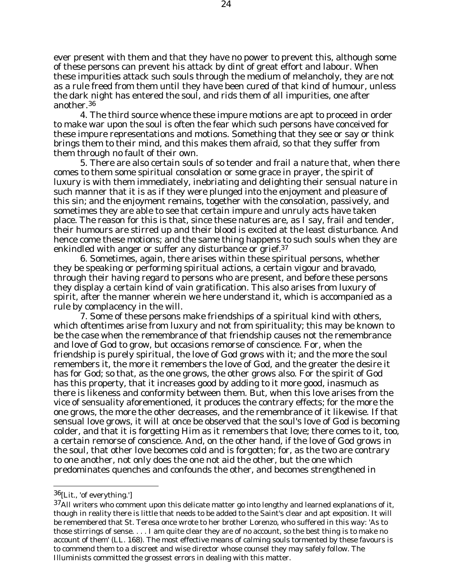ever present with them and that they have no power to prevent this, although some of these persons can prevent his attack by dint of great effort and labour. When these impurities attack such souls through the medium of melancholy, they are not as a rule freed from them until they have been cured of that kind of humour, unless the dark night has entered the soul, and rids them of all impurities, one after another.36

4. The third source whence these impure motions are apt to proceed in order to make war upon the soul is often the fear which such persons have conceived for these impure representations and motions. Something that they see or say or think brings them to their mind, and this makes them afraid, so that they suffer from them through no fault of their own.

5. There are also certain souls of so tender and frail a nature that, when there comes to them some spiritual consolation or some grace in prayer, the spirit of luxury is with them immediately, inebriating and delighting their sensual nature in such manner that it is as if they were plunged into the enjoyment and pleasure of this sin; and the enjoyment remains, together with the consolation, passively, and sometimes they are able to see that certain impure and unruly acts have taken place. The reason for this is that, since these natures are, as I say, frail and tender, their humours are stirred up and their blood is excited at the least disturbance. And hence come these motions; and the same thing happens to such souls when they are enkindled with anger or suffer any disturbance or grief.<sup>37</sup>

6. Sometimes, again, there arises within these spiritual persons, whether they be speaking or performing spiritual actions, a certain vigour and bravado, through their having regard to persons who are present, and before these persons they display a certain kind of vain gratification. This also arises from luxury of spirit, after the manner wherein we here understand it, which is accompanied as a rule by complacency in the will.

7. Some of these persons make friendships of a spiritual kind with others, which oftentimes arise from luxury and not from spirituality; this may be known to be the case when the remembrance of that friendship causes not the remembrance and love of God to grow, but occasions remorse of conscience. For, when the friendship is purely spiritual, the love of God grows with it; and the more the soul remembers it, the more it remembers the love of God, and the greater the desire it has for God; so that, as the one grows, the other grows also. For the spirit of God has this property, that it increases good by adding to it more good, inasmuch as there is likeness and conformity between them. But, when this love arises from the vice of sensuality aforementioned, it produces the contrary effects; for the more the one grows, the more the other decreases, and the remembrance of it likewise. If that sensual love grows, it will at once be observed that the soul's love of God is becoming colder, and that it is forgetting Him as it remembers that love; there comes to it, too, a certain remorse of conscience. And, on the other hand, if the love of God grows in the soul, that other love becomes cold and is forgotten; for, as the two are contrary to one another, not only does the one not aid the other, but the one which predominates quenches and confounds the other, and becomes strengthened in

<sup>36</sup>[*Lit.*, 'of everything.']

 $37$ All writers who comment upon this delicate matter go into lengthy and learned explanations of it, though in reality there is little that needs to be added to the Saint's clear and apt exposition. It will be remembered that St. Teresa once wrote to her brother Lorenzo, who suffered in this way: 'As to those stirrings of sense. . . . I am quite clear they are of no account, so the best thing is to make no account of them' (LL. 168). The most effective means of calming souls tormented by these favours is to commend them to a discreet and wise director whose counsel they may safely follow. The Illuminists committed the grossest errors in dealing with this matter.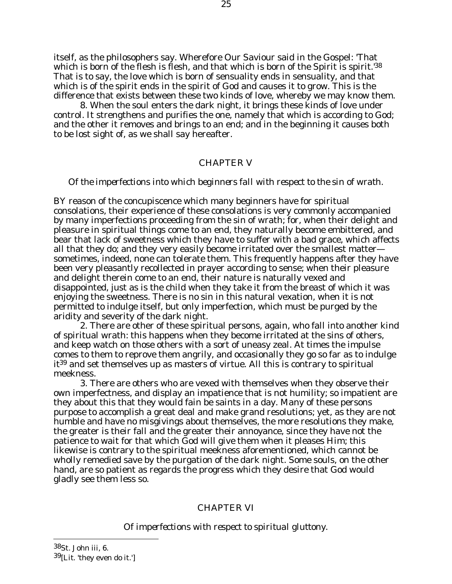itself, as the philosophers say. Wherefore Our Saviour said in the Gospel: 'That which is born of the flesh is flesh, and that which is born of the Spirit is spirit.<sup>'38</sup> That is to say, the love which is born of sensuality ends in sensuality, and that which is of the spirit ends in the spirit of God and causes it to grow. This is the difference that exists between these two kinds of love, whereby we may know them.

8. When the soul enters the dark night, it brings these kinds of love under control. It strengthens and purifies the one, namely that which is according to God; and the other it removes and brings to an end; and in the beginning it causes both to be lost sight of, as we shall say hereafter.

#### CHAPTER V

#### *Of the imperfections into which beginners fall with respect to the sin of wrath.*

BY reason of the concupiscence which many beginners have for spiritual consolations, their experience of these consolations is very commonly accompanied by many imperfections proceeding from the sin of wrath; for, when their delight and pleasure in spiritual things come to an end, they naturally become embittered, and bear that lack of sweetness which they have to suffer with a bad grace, which affects all that they do; and they very easily become irritated over the smallest matter sometimes, indeed, none can tolerate them. This frequently happens after they have been very pleasantly recollected in prayer according to sense; when their pleasure and delight therein come to an end, their nature is naturally vexed and disappointed, just as is the child when they take it from the breast of which it was enjoying the sweetness. There is no sin in this natural vexation, when it is not permitted to indulge itself, but only imperfection, which must be purged by the aridity and severity of the dark night.

2. There are other of these spiritual persons, again, who fall into another kind of spiritual wrath: this happens when they become irritated at the sins of others, and keep watch on those others with a sort of uneasy zeal. At times the impulse comes to them to reprove them angrily, and occasionally they go so far as to indulge it39 and set themselves up as masters of virtue. All this is contrary to spiritual meekness.

3. There are others who are vexed with themselves when they observe their own imperfectness, and display an impatience that is not humility; so impatient are they about this that they would fain be saints in a day. Many of these persons purpose to accomplish a great deal and make grand resolutions; yet, as they are not humble and have no misgivings about themselves, the more resolutions they make, the greater is their fall and the greater their annoyance, since they have not the patience to wait for that which God will give them when it pleases Him; this likewise is contrary to the spiritual meekness aforementioned, which cannot be wholly remedied save by the purgation of the dark night. Some souls, on the other hand, are so patient as regards the progress which they desire that God would gladly see them less so.

#### CHAPTER VI

*Of imperfections with respect to spiritual gluttony.*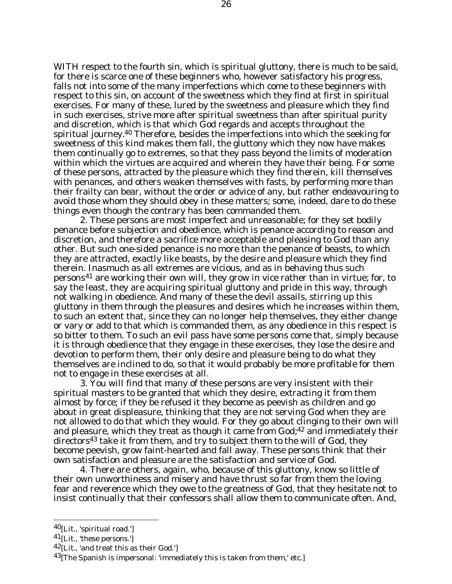WITH respect to the fourth sin, which is spiritual gluttony, there is much to be said, for there is scarce one of these beginners who, however satisfactory his progress, falls not into some of the many imperfections which come to these beginners with respect to this sin, on account of the sweetness which they find at first in spiritual exercises. For many of these, lured by the sweetness and pleasure which they find in such exercises, strive more after spiritual sweetness than after spiritual purity and discretion, which is that which God regards and accepts throughout the spiritual journey.40 Therefore, besides the imperfections into which the seeking for sweetness of this kind makes them fall, the gluttony which they now have makes them continually go to extremes, so that they pass beyond the limits of moderation within which the virtues are acquired and wherein they have their being. For some of these persons, attracted by the pleasure which they find therein, kill themselves with penances, and others weaken themselves with fasts, by performing more than their frailty can bear, without the order or advice of any, but rather endeavouring to avoid those whom they should obey in these matters; some, indeed, dare to do these things even though the contrary has been commanded them.

2. These persons are most imperfect and unreasonable; for they set bodily penance before subjection and obedience, which is penance according to reason and discretion, and therefore a sacrifice more acceptable and pleasing to God than any other. But such one-sided penance is no more than the penance of beasts, to which they are attracted, exactly like beasts, by the desire and pleasure which they find therein. Inasmuch as all extremes are vicious, and as in behaving thus such persons41 are working their own will, they grow in vice rather than in virtue; for, to say the least, they are acquiring spiritual gluttony and pride in this way, through not walking in obedience. And many of these the devil assails, stirring up this gluttony in them through the pleasures and desires which he increases within them, to such an extent that, since they can no longer help themselves, they either change or vary or add to that which is commanded them, as any obedience in this respect is so bitter to them. To such an evil pass have some persons come that, simply because it is through obedience that they engage in these exercises, they lose the desire and devotion to perform them, their only desire and pleasure being to do what they themselves are inclined to do, so that it would probably be more profitable for them not to engage in these exercises at all.

3. You will find that many of these persons are very insistent with their spiritual masters to be granted that which they desire, extracting it from them almost by force; if they be refused it they become as peevish as children and go about in great displeasure, thinking that they are not serving God when they are not allowed to do that which they would. For they go about clinging to their own will and pleasure, which they treat as though it came from God;42 and immediately their directors<sup>43</sup> take it from them, and try to subject them to the will of God, they become peevish, grow faint-hearted and fall away. These persons think that their own satisfaction and pleasure are the satisfaction and service of God.

4. There are others, again, who, because of this gluttony, know so little of their own unworthiness and misery and have thrust so far from them the loving fear and reverence which they owe to the greatness of God, that they hesitate not to insist continually that their confessors shall allow them to communicate often. And,

<sup>40</sup>[*Lit.*, 'spiritual road.']

<sup>41</sup>[*Lit.*, 'these persons.']

<sup>42</sup>[*Lit.*, 'and treat this as their God.']

 $^{43}$ [The Spanish is impersonal: 'immediately this is taken from them,' etc.]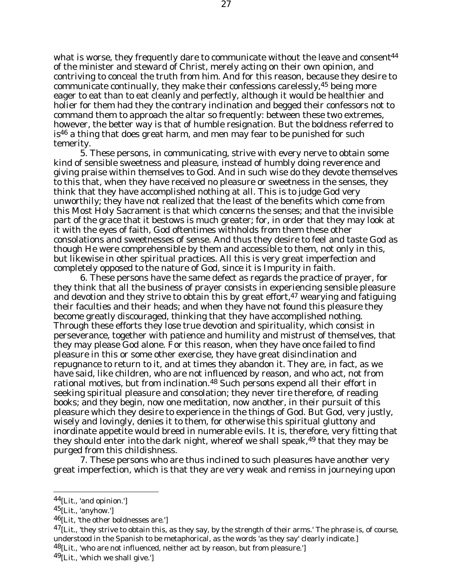what is worse, they frequently dare to communicate without the leave and consent<sup>44</sup> of the minister and steward of Christ, merely acting on their own opinion, and contriving to conceal the truth from him. And for this reason, because they desire to communicate continually, they make their confessions carelessly,45 being more eager to eat than to eat cleanly and perfectly, although it would be healthier and holier for them had they the contrary inclination and begged their confessors not to command them to approach the altar so frequently: between these two extremes, however, the better way is that of humble resignation. But the boldness referred to is46 a thing that does great harm, and men may fear to be punished for such temerity.

5. These persons, in communicating, strive with every nerve to obtain some kind of sensible sweetness and pleasure, instead of humbly doing reverence and giving praise within themselves to God. And in such wise do they devote themselves to this that, when they have received no pleasure or sweetness in the senses, they think that they have accomplished nothing at all. This is to judge God very unworthily; they have not realized that the least of the benefits which come from this Most Holy Sacrament is that which concerns the senses; and that the invisible part of the grace that it bestows is much greater; for, in order that they may look at it with the eyes of faith, God oftentimes withholds from them these other consolations and sweetnesses of sense. And thus they desire to feel and taste God as though He were comprehensible by them and accessible to them, not only in this, but likewise in other spiritual practices. All this is very great imperfection and completely opposed to the nature of God, since it is Impurity in faith.

6. These persons have the same defect as regards the practice of prayer, for they think that all the business of prayer consists in experiencing sensible pleasure and devotion and they strive to obtain this by great effort,  $47$  wearying and fatiguing their faculties and their heads; and when they have not found this pleasure they become greatly discouraged, thinking that they have accomplished nothing. Through these efforts they lose true devotion and spirituality, which consist in perseverance, together with patience and humility and mistrust of themselves, that they may please God alone. For this reason, when they have once failed to find pleasure in this or some other exercise, they have great disinclination and repugnance to return to it, and at times they abandon it. They are, in fact, as we have said, like children, who are not influenced by reason, and who act, not from rational motives, but from inclination.48 Such persons expend all their effort in seeking spiritual pleasure and consolation; they never tire therefore, of reading books; and they begin, now one meditation, now another, in their pursuit of this pleasure which they desire to experience in the things of God. But God, very justly, wisely and lovingly, denies it to them, for otherwise this spiritual gluttony and inordinate appetite would breed in numerable evils. It is, therefore, very fitting that they should enter into the dark night, whereof we shall speak, <sup>49</sup> that they may be purged from this childishness.

7. These persons who are thus inclined to such pleasures have another very great imperfection, which is that they are very weak and remiss in journeying upon

46[Lit, 'the other boldnesses are.']

 $47$ [*Lit.*, 'they strive to obtain this, as they say, by the strength of their arms.' The phrase is, of course, understood in the Spanish to be metaphorical, as the words 'as they say' clearly indicate.]

48[*Lit.*, 'who are not influenced, neither act by reason, but from pleasure.']

<sup>44</sup>[*Lit.*, 'and opinion.']

<sup>45</sup>[*Lit.*, 'anyhow.']

<sup>49</sup>[*Lit.*, 'which we shall give.']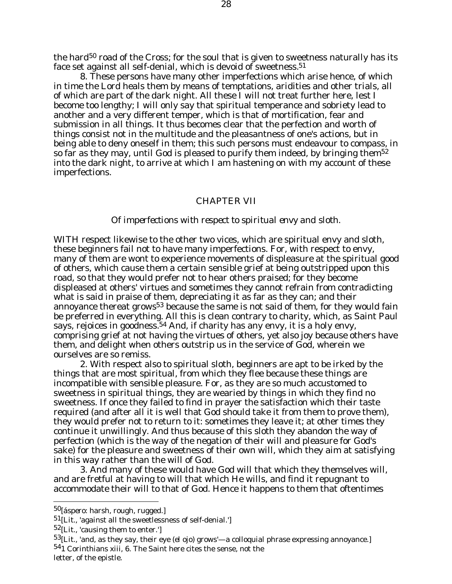the hard<sup>50</sup> road of the Cross; for the soul that is given to sweetness naturally has its face set against all self-denial, which is devoid of sweetness.51

8. These persons have many other imperfections which arise hence, of which in time the Lord heals them by means of temptations, aridities and other trials, all of which are part of the dark night. All these I will not treat further here, lest I become too lengthy; I will only say that spiritual temperance and sobriety lead to another and a very different temper, which is that of mortification, fear and submission in all things. It thus becomes clear that the perfection and worth of things consist not in the multitude and the pleasantness of one's actions, but in being able to deny oneself in them; this such persons must endeavour to compass, in so far as they may, until God is pleased to purify them indeed, by bringing them<sup>52</sup> into the dark night, to arrive at which I am hastening on with my account of these imperfections.

#### CHAPTER VII

#### *Of imperfections with respect to spiritual envy and sloth.*

WITH respect likewise to the other two vices, which are spiritual envy and sloth, these beginners fail not to have many imperfections. For, with respect to envy, many of them are wont to experience movements of displeasure at the spiritual good of others, which cause them a certain sensible grief at being outstripped upon this road, so that they would prefer not to hear others praised; for they become displeased at others' virtues and sometimes they cannot refrain from contradicting what is said in praise of them, depreciating it as far as they can; and their annoyance thereat grows<sup>53</sup> because the same is not said of them, for they would fain be preferred in everything. All this is clean contrary to charity, which, as Saint Paul says, rejoices in goodness.<sup>54</sup> And, if charity has any envy, it is a holy envy, comprising grief at not having the virtues of others, yet also joy because others have them, and delight when others outstrip us in the service of God, wherein we ourselves are so remiss.

2. With respect also to spiritual sloth, beginners are apt to be irked by the things that are most spiritual, from which they flee because these things are incompatible with sensible pleasure. For, as they are so much accustomed to sweetness in spiritual things, they are wearied by things in which they find no sweetness. If once they failed to find in prayer the satisfaction which their taste required (and after all it is well that God should take it from them to prove them), they would prefer not to return to it: sometimes they leave it; at other times they continue it unwillingly. And thus because of this sloth they abandon the way of perfection (which is the way of the negation of their will and pleasure for God's sake) for the pleasure and sweetness of their own will, which they aim at satisfying in this way rather than the will of God.

3. And many of these would have God will that which they themselves will, and are fretful at having to will that which He wills, and find it repugnant to accommodate their will to that of God. Hence it happens to them that oftentimes

<sup>50</sup>[*áspero:* harsh, rough, rugged.]

<sup>51</sup>[*Lit.*, 'against all the sweetlessness of self-denial.']

<sup>52</sup>[*Lit.*, 'causing them to enter.']

<sup>53</sup>[*Lit.*, 'and, as they say, their eye (*el ojo*) grows'—a colloquial phrase expressing annoyance.] 541 Corinthians xiii, 6. The Saint here cites the sense, not the letter, of the epistle.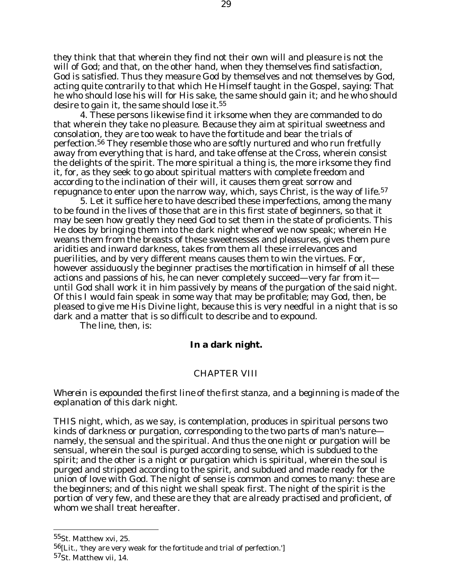they think that that wherein they find not their own will and pleasure is not the will of God; and that, on the other hand, when they themselves find satisfaction, God is satisfied. Thus they measure God by themselves and not themselves by God, acting quite contrarily to that which He Himself taught in the Gospel, saying: That he who should lose his will for His sake, the same should gain it; and he who should desire to gain it, the same should lose it.<sup>55</sup>

4. These persons likewise find it irksome when they are commanded to do that wherein they take no pleasure. Because they aim at spiritual sweetness and consolation, they are too weak to have the fortitude and bear the trials of perfection.56 They resemble those who are softly nurtured and who run fretfully away from everything that is hard, and take offense at the Cross, wherein consist the delights of the spirit. The more spiritual a thing is, the more irksome they find it, for, as they seek to go about spiritual matters with complete freedom and according to the inclination of their will, it causes them great sorrow and repugnance to enter upon the narrow way, which, says Christ, is the way of life.<sup>57</sup>

5. Let it suffice here to have described these imperfections, among the many to be found in the lives of those that are in this first state of beginners, so that it may be seen how greatly they need God to set them in the state of proficients. This He does by bringing them into the dark night whereof we now speak; wherein He weans them from the breasts of these sweetnesses and pleasures, gives them pure aridities and inward darkness, takes from them all these irrelevances and puerilities, and by very different means causes them to win the virtues. For, however assiduously the beginner practises the mortification in himself of all these actions and passions of his, he can never completely succeed—very far from it until God shall work it in him passively by means of the purgation of the said night. Of this I would fain speak in some way that may be profitable; may God, then, be pleased to give me His Divine light, because this is very needful in a night that is so dark and a matter that is so difficult to describe and to expound.

The line, then, is:

#### **In a dark night.**

#### CHAPTER VIII

#### *Wherein is expounded the first line of the first stanza, and a beginning is made of the explanation of this dark night.*

THIS night, which, as we say, is contemplation, produces in spiritual persons two kinds of darkness or purgation, corresponding to the two parts of man's nature namely, the sensual and the spiritual. And thus the one night or purgation will be sensual, wherein the soul is purged according to sense, which is subdued to the spirit; and the other is a night or purgation which is spiritual, wherein the soul is purged and stripped according to the spirit, and subdued and made ready for the union of love with God. The night of sense is common and comes to many: these are the beginners; and of this night we shall speak first. The night of the spirit is the portion of very few, and these are they that are already practised and proficient, of whom we shall treat hereafter.

<sup>55</sup>St. Matthew xvi, 25. 56[*Lit.*, 'they are very weak for the fortitude and trial of perfection.'] 57St. Matthew vii, 14.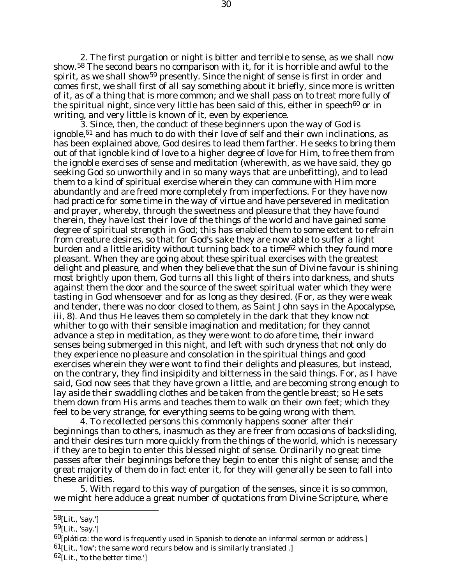2. The first purgation or night is bitter and terrible to sense, as we shall now show.58 The second bears no comparison with it, for it is horrible and awful to the spirit, as we shall show<sup>59</sup> presently. Since the night of sense is first in order and comes first, we shall first of all say something about it briefly, since more is written of it, as of a thing that is more common; and we shall pass on to treat more fully of the spiritual night, since very little has been said of this, either in speech<sup>60</sup> or in writing, and very little is known of it, even by experience.

3. Since, then, the conduct of these beginners upon the way of God is ignoble,61 and has much to do with their love of self and their own inclinations, as has been explained above, God desires to lead them farther. He seeks to bring them out of that ignoble kind of love to a higher degree of love for Him, to free them from the ignoble exercises of sense and meditation (wherewith, as we have said, they go seeking God so unworthily and in so many ways that are unbefitting), and to lead them to a kind of spiritual exercise wherein they can commune with Him more abundantly and are freed more completely from imperfections. For they have now had practice for some time in the way of virtue and have persevered in meditation and prayer, whereby, through the sweetness and pleasure that they have found therein, they have lost their love of the things of the world and have gained some degree of spiritual strength in God; this has enabled them to some extent to refrain from creature desires, so that for God's sake they are now able to suffer a light burden and a little aridity without turning back to a time<sup>62</sup> which they found more pleasant. When they are going about these spiritual exercises with the greatest delight and pleasure, and when they believe that the sun of Divine favour is shining most brightly upon them, God turns all this light of theirs into darkness, and shuts against them the door and the source of the sweet spiritual water which they were tasting in God whensoever and for as long as they desired. (For, as they were weak and tender, there was no door closed to them, as Saint John says in the Apocalypse, iii, 8). And thus He leaves them so completely in the dark that they know not whither to go with their sensible imagination and meditation; for they cannot advance a step in meditation, as they were wont to do afore time, their inward senses being submerged in this night, and left with such dryness that not only do they experience no pleasure and consolation in the spiritual things and good exercises wherein they were wont to find their delights and pleasures, but instead, on the contrary, they find insipidity and bitterness in the said things. For, as I have said, God now sees that they have grown a little, and are becoming strong enough to lay aside their swaddling clothes and be taken from the gentle breast; so He sets them down from His arms and teaches them to walk on their own feet; which they feel to be very strange, for everything seems to be going wrong with them.

4. To recollected persons this commonly happens sooner after their beginnings than to others, inasmuch as they are freer from occasions of backsliding, and their desires turn more quickly from the things of the world, which is necessary if they are to begin to enter this blessed night of sense. Ordinarily no great time passes after their beginnings before they begin to enter this night of sense; and the great majority of them do in fact enter it, for they will generally be seen to fall into these aridities.

5. With regard to this way of purgation of the senses, since it is so common, we might here adduce a great number of quotations from Divine Scripture, where

62[*Lit.*, 'to the better time.']

<sup>58</sup>[*Lit.*, 'say.']

<sup>59</sup>[*Lit.*, 'say.']

<sup>60</sup>[*plática:* the word is frequently used in Spanish to denote an informal sermon or address.]  $61$ [*Lit.*, 'low'; the same word recurs below and is similarly translated .]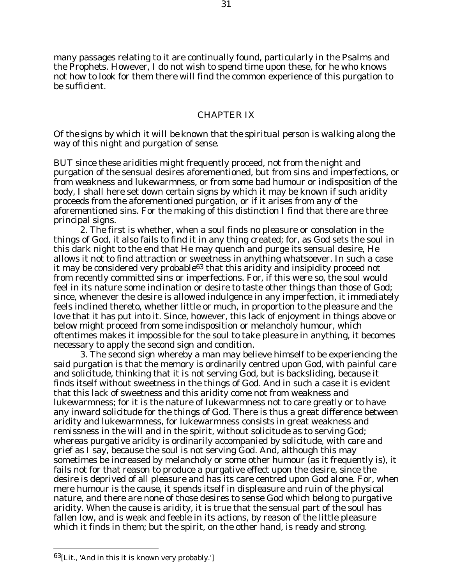many passages relating to it are continually found, particularly in the Psalms and the Prophets. However, I do not wish to spend time upon these, for he who knows not how to look for them there will find the common experience of this purgation to be sufficient.

#### CHAPTER IX

#### *Of the signs by which it will be known that the spiritual person is walking along the way of this night and purgation of sense.*

BUT since these aridities might frequently proceed, not from the night and purgation of the sensual desires aforementioned, but from sins and imperfections, or from weakness and lukewarmness, or from some bad humour or indisposition of the body, I shall here set down certain signs by which it may be known if such aridity proceeds from the aforementioned purgation, or if it arises from any of the aforementioned sins. For the making of this distinction I find that there are three principal signs.

2. The first is whether, when a soul finds no pleasure or consolation in the things of God, it also fails to find it in any thing created; for, as God sets the soul in this dark night to the end that He may quench and purge its sensual desire, He allows it not to find attraction or sweetness in anything whatsoever. In such a case it may be considered very probable<sup>63</sup> that this aridity and insipidity proceed not from recently committed sins or imperfections. For, if this were so, the soul would feel in its nature some inclination or desire to taste other things than those of God; since, whenever the desire is allowed indulgence in any imperfection, it immediately feels inclined thereto, whether little or much, in proportion to the pleasure and the love that it has put into it. Since, however, this lack of enjoyment in things above or below might proceed from some indisposition or melancholy humour, which oftentimes makes it impossible for the soul to take pleasure in anything, it becomes necessary to apply the second sign and condition.

3. The second sign whereby a man may believe himself to be experiencing the said purgation is that the memory is ordinarily centred upon God, with painful care and solicitude, thinking that it is not serving God, but is backsliding, because it finds itself without sweetness in the things of God. And in such a case it is evident that this lack of sweetness and this aridity come not from weakness and lukewarmness; for it is the nature of lukewarmness not to care greatly or to have any inward solicitude for the things of God. There is thus a great difference between aridity and lukewarmness, for lukewarmness consists in great weakness and remissness in the will and in the spirit, without solicitude as to serving God; whereas purgative aridity is ordinarily accompanied by solicitude, with care and grief as I say, because the soul is not serving God. And, although this may sometimes be increased by melancholy or some other humour (as it frequently is), it fails not for that reason to produce a purgative effect upon the desire, since the desire is deprived of all pleasure and has its care centred upon God alone. For, when mere humour is the cause, it spends itself in displeasure and ruin of the physical nature, and there are none of those desires to sense God which belong to purgative aridity. When the cause is aridity, it is true that the sensual part of the soul has fallen low, and is weak and feeble in its actions, by reason of the little pleasure which it finds in them; but the spirit, on the other hand, is ready and strong.

<sup>63</sup>[*Lit.*, 'And in this it is known very probably.']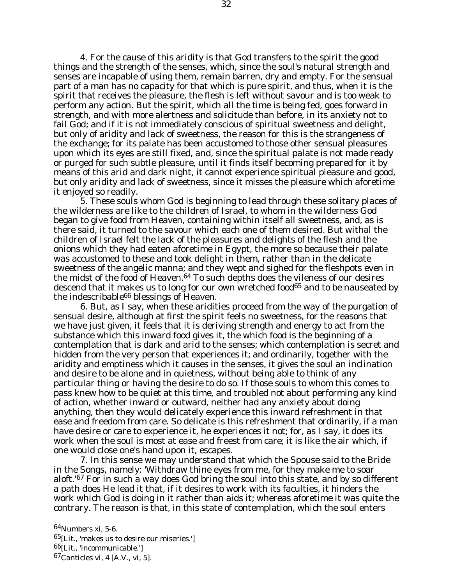4. For the cause of this aridity is that God transfers to the spirit the good things and the strength of the senses, which, since the soul's natural strength and senses are incapable of using them, remain barren, dry and empty. For the sensual part of a man has no capacity for that which is pure spirit, and thus, when it is the spirit that receives the pleasure, the flesh is left without savour and is too weak to perform any action. But the spirit, which all the time is being fed, goes forward in strength, and with more alertness and solicitude than before, in its anxiety not to fail God; and if it is not immediately conscious of spiritual sweetness and delight, but only of aridity and lack of sweetness, the reason for this is the strangeness of the exchange; for its palate has been accustomed to those other sensual pleasures upon which its eyes are still fixed, and, since the spiritual palate is not made ready or purged for such subtle pleasure, until it finds itself becoming prepared for it by means of this arid and dark night, it cannot experience spiritual pleasure and good, but only aridity and lack of sweetness, since it misses the pleasure which aforetime it enjoyed so readily.

5. These souls whom God is beginning to lead through these solitary places of the wilderness are like to the children of Israel, to whom in the wilderness God began to give food from Heaven, containing within itself all sweetness, and, as is there said, it turned to the savour which each one of them desired. But withal the children of Israel felt the lack of the pleasures and delights of the flesh and the onions which they had eaten aforetime in Egypt, the more so because their palate was accustomed to these and took delight in them, rather than in the delicate sweetness of the angelic manna; and they wept and sighed for the fleshpots even in the midst of the food of Heaven.64 To such depths does the vileness of our desires descend that it makes us to long for our own wretched food $65$  and to be nauseated by the indescribable $66$  blessings of Heaven.

6. But, as I say, when these aridities proceed from the way of the purgation of sensual desire, although at first the spirit feels no sweetness, for the reasons that we have just given, it feels that it is deriving strength and energy to act from the substance which this inward food gives it, the which food is the beginning of a contemplation that is dark and arid to the senses; which contemplation is secret and hidden from the very person that experiences it; and ordinarily, together with the aridity and emptiness which it causes in the senses, it gives the soul an inclination and desire to be alone and in quietness, without being able to think of any particular thing or having the desire to do so. If those souls to whom this comes to pass knew how to be quiet at this time, and troubled not about performing any kind of action, whether inward or outward, neither had any anxiety about doing anything, then they would delicately experience this inward refreshment in that ease and freedom from care. So delicate is this refreshment that ordinarily, if a man have desire or care to experience it, he experiences it not; for, as I say, it does its work when the soul is most at ease and freest from care; it is like the air which, if one would close one's hand upon it, escapes.

7. In this sense we may understand that which the Spouse said to the Bride in the Songs, namely: 'Withdraw thine eyes from me, for they make me to soar aloft.'67 For in such a way does God bring the soul into this state, and by so different a path does He lead it that, if it desires to work with its faculties, it hinders the work which God is doing in it rather than aids it; whereas aforetime it was quite the contrary. The reason is that, in this state of contemplation, which the soul enters

 $64$ Numbers xi, 5-6.

<sup>65</sup>[*Lit.*, 'makes us to desire our miseries.']

<sup>66</sup>[*Lit.*, 'incommunicable.']

<sup>67</sup>Canticles vi, 4 [A.V., vi, 5].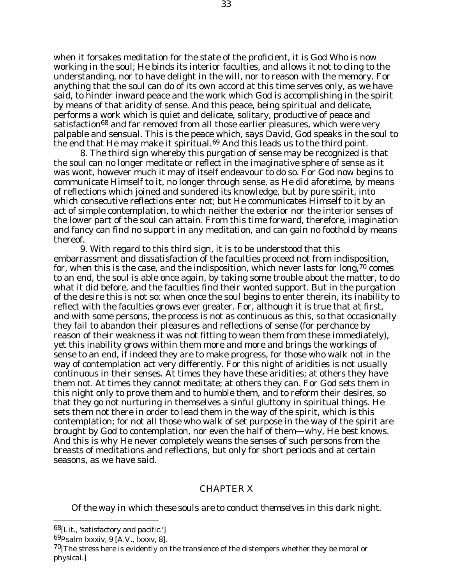when it forsakes meditation for the state of the proficient, it is God Who is now working in the soul; He binds its interior faculties, and allows it not to cling to the understanding, nor to have delight in the will, nor to reason with the memory. For anything that the soul can do of its own accord at this time serves only, as we have said, to hinder inward peace and the work which God is accomplishing in the spirit by means of that aridity of sense. And this peace, being spiritual and delicate, performs a work which is quiet and delicate, solitary, productive of peace and satisfaction<sup>68</sup> and far removed from all those earlier pleasures, which were very palpable and sensual. This is the peace which, says David, God speaks in the soul to the end that He may make it spiritual.69 And this leads us to the third point.

8. The third sign whereby this purgation of sense may be recognized is that the soul can no longer meditate or reflect in the imaginative sphere of sense as it was wont, however much it may of itself endeavour to do so. For God now begins to communicate Himself to it, no longer through sense, as He did aforetime, by means of reflections which joined and sundered its knowledge, but by pure spirit, into which consecutive reflections enter not; but He communicates Himself to it by an act of simple contemplation, to which neither the exterior nor the interior senses of the lower part of the soul can attain. From this time forward, therefore, imagination and fancy can find no support in any meditation, and can gain no foothold by means thereof.

9. With regard to this third sign, it is to be understood that this embarrassment and dissatisfaction of the faculties proceed not from indisposition, for, when this is the case, and the indisposition, which never lasts for long,  $70$  comes to an end, the soul is able once again, by taking some trouble about the matter, to do what it did before, and the faculties find their wonted support. But in the purgation of the desire this is not so: when once the soul begins to enter therein, its inability to reflect with the faculties grows ever greater. For, although it is true that at first, and with some persons, the process is not as continuous as this, so that occasionally they fail to abandon their pleasures and reflections of sense (for perchance by reason of their weakness it was not fitting to wean them from these immediately), yet this inability grows within them more and more and brings the workings of sense to an end, if indeed they are to make progress, for those who walk not in the way of contemplation act very differently. For this night of aridities is not usually continuous in their senses. At times they have these aridities; at others they have them not. At times they cannot meditate; at others they can. For God sets them in this night only to prove them and to humble them, and to reform their desires, so that they go not nurturing in themselves a sinful gluttony in spiritual things. He sets them not there in order to lead them in the way of the spirit, which is this contemplation; for not all those who walk of set purpose in the way of the spirit are brought by God to contemplation, nor even the half of them—why, He best knows. And this is why He never completely weans the senses of such persons from the breasts of meditations and reflections, but only for short periods and at certain seasons, as we have said.

#### CHAPTER X

*Of the way in which these souls are to conduct themselves in this dark night.*

<sup>68</sup>[*Lit.*, 'satisfactory and pacific.']

<sup>69</sup>Psalm lxxxiv, 9 [A.V., lxxxv, 8].

 $70$ [The stress here is evidently on the transience of the distempers whether they be moral or physical.]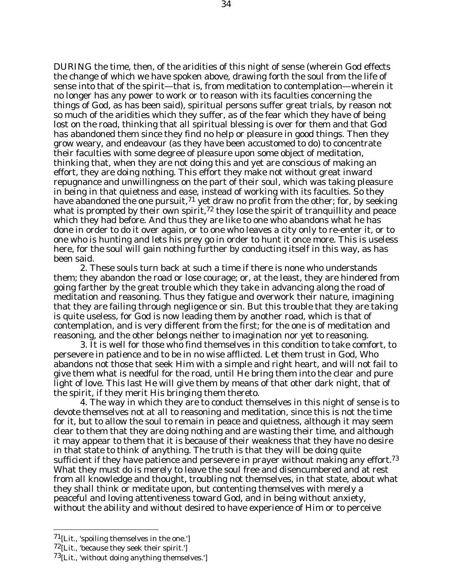DURING the time, then, of the aridities of this night of sense (wherein God effects the change of which we have spoken above, drawing forth the soul from the life of sense into that of the spirit—that is, from meditation to contemplation—wherein it no longer has any power to work or to reason with its faculties concerning the things of God, as has been said), spiritual persons suffer great trials, by reason not so much of the aridities which they suffer, as of the fear which they have of being lost on the road, thinking that all spiritual blessing is over for them and that God has abandoned them since they find no help or pleasure in good things. Then they grow weary, and endeavour (as they have been accustomed to do) to concentrate their faculties with some degree of pleasure upon some object of meditation, thinking that, when they are not doing this and yet are conscious of making an effort, they are doing nothing. This effort they make not without great inward repugnance and unwillingness on the part of their soul, which was taking pleasure in being in that quietness and ease, instead of working with its faculties. So they have abandoned the one pursuit,  $71$  yet draw no profit from the other; for, by seeking what is prompted by their own spirit,<sup>72</sup> they lose the spirit of tranquillity and peace which they had before. And thus they are like to one who abandons what he has done in order to do it over again, or to one who leaves a city only to re-enter it, or to one who is hunting and lets his prey go in order to hunt it once more. This is useless here, for the soul will gain nothing further by conducting itself in this way, as has been said.

2. These souls turn back at such a time if there is none who understands them; they abandon the road or lose courage; or, at the least, they are hindered from going farther by the great trouble which they take in advancing along the road of meditation and reasoning. Thus they fatigue and overwork their nature, imagining that they are failing through negligence or sin. But this trouble that they are taking is quite useless, for God is now leading them by another road, which is that of contemplation, and is very different from the first; for the one is of meditation and reasoning, and the other belongs neither to imagination nor yet to reasoning.

3. It is well for those who find themselves in this condition to take comfort, to persevere in patience and to be in no wise afflicted. Let them trust in God, Who abandons not those that seek Him with a simple and right heart, and will not fail to give them what is needful for the road, until He bring them into the clear and pure light of love. This last He will give them by means of that other dark night, that of the spirit, if they merit His bringing them thereto.

4. The way in which they are to conduct themselves in this night of sense is to devote themselves not at all to reasoning and meditation, since this is not the time for it, but to allow the soul to remain in peace and quietness, although it may seem clear to them that they are doing nothing and are wasting their time, and although it may appear to them that it is because of their weakness that they have no desire in that state to think of anything. The truth is that they will be doing quite sufficient if they have patience and persevere in prayer without making any effort.<sup>73</sup> What they must do is merely to leave the soul free and disencumbered and at rest from all knowledge and thought, troubling not themselves, in that state, about what they shall think or meditate upon, but contenting themselves with merely a peaceful and loving attentiveness toward God, and in being without anxiety, without the ability and without desired to have experience of Him or to perceive

<sup>71</sup>[*Lit.*, 'spoiling themselves in the one.']

<sup>72</sup>[*Lit.*, 'because they seek their spirit.']

<sup>73</sup>[*Lit.*, 'without doing anything themselves.']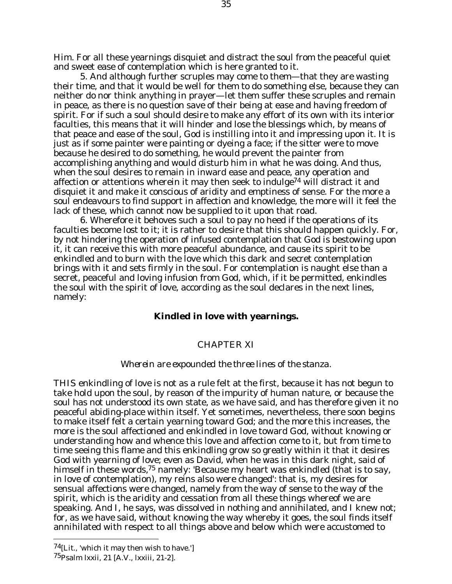Him. For all these yearnings disquiet and distract the soul from the peaceful quiet and sweet ease of contemplation which is here granted to it.

5. And although further scruples may come to them—that they are wasting their time, and that it would be well for them to do something else, because they can neither do nor think anything in prayer—let them suffer these scruples and remain in peace, as there is no question save of their being at ease and having freedom of spirit. For if such a soul should desire to make any effort of its own with its interior faculties, this means that it will hinder and lose the blessings which, by means of that peace and ease of the soul, God is instilling into it and impressing upon it. It is just as if some painter were painting or dyeing a face; if the sitter were to move because he desired to do something, he would prevent the painter from accomplishing anything and would disturb him in what he was doing. And thus, when the soul desires to remain in inward ease and peace, any operation and affection or attentions wherein it may then seek to indulge74 will distract it and disquiet it and make it conscious of aridity and emptiness of sense. For the more a soul endeavours to find support in affection and knowledge, the more will it feel the lack of these, which cannot now be supplied to it upon that road.

6. Wherefore it behoves such a soul to pay no heed if the operations of its faculties become lost to it; it is rather to desire that this should happen quickly. For, by not hindering the operation of infused contemplation that God is bestowing upon it, it can receive this with more peaceful abundance, and cause its spirit to be enkindled and to burn with the love which this dark and secret contemplation brings with it and sets firmly in the soul. For contemplation is naught else than a secret, peaceful and loving infusion from God, which, if it be permitted, enkindles the soul with the spirit of love, according as the soul declares in the next lines, namely:

### **Kindled in love with yearnings.**

#### CHAPTER XI

#### *Wherein are expounded the three lines of the stanza.*

THIS enkindling of love is not as a rule felt at the first, because it has not begun to take hold upon the soul, by reason of the impurity of human nature, or because the soul has not understood its own state, as we have said, and has therefore given it no peaceful abiding-place within itself. Yet sometimes, nevertheless, there soon begins to make itself felt a certain yearning toward God; and the more this increases, the more is the soul affectioned and enkindled in love toward God, without knowing or understanding how and whence this love and affection come to it, but from time to time seeing this flame and this enkindling grow so greatly within it that it desires God with yearning of love; even as David, when he was in this dark night, said of himself in these words,<sup>75</sup> namely: 'Because my heart was enkindled (that is to say, in love of contemplation), my reins also were changed': that is, my desires for sensual affections were changed, namely from the way of sense to the way of the spirit, which is the aridity and cessation from all these things whereof we are speaking. And I, he says, was dissolved in nothing and annihilated, and I knew not; for, as we have said, without knowing the way whereby it goes, the soul finds itself annihilated with respect to all things above and below which were accustomed to

<sup>74</sup>[*Lit.*, 'which it may then wish to have.']

<sup>75</sup>Psalm lxxii, 21 [A.V., lxxiii, 21-2].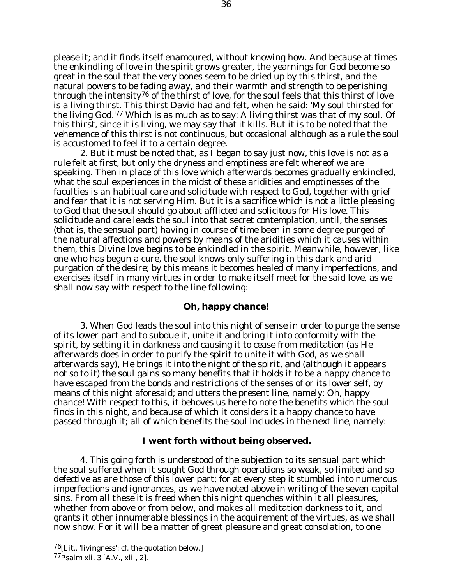please it; and it finds itself enamoured, without knowing how. And because at times the enkindling of love in the spirit grows greater, the yearnings for God become so great in the soul that the very bones seem to be dried up by this thirst, and the natural powers to be fading away, and their warmth and strength to be perishing through the intensity<sup>76</sup> of the thirst of love, for the soul feels that this thirst of love is a living thirst. This thirst David had and felt, when he said: 'My soul thirsted for the living God.'77 Which is as much as to say: A living thirst was that of my soul. Of this thirst, since it is living, we may say that it kills. But it is to be noted that the vehemence of this thirst is not continuous, but occasional although as a rule the soul is accustomed to feel it to a certain degree.

2. But it must be noted that, as I began to say just now, this love is not as a rule felt at first, but only the dryness and emptiness are felt whereof we are speaking. Then in place of this love which afterwards becomes gradually enkindled, what the soul experiences in the midst of these aridities and emptinesses of the faculties is an habitual care and solicitude with respect to God, together with grief and fear that it is not serving Him. But it is a sacrifice which is not a little pleasing to God that the soul should go about afflicted and solicitous for His love. This solicitude and care leads the soul into that secret contemplation, until, the senses (that is, the sensual part) having in course of time been in some degree purged of the natural affections and powers by means of the aridities which it causes within them, this Divine love begins to be enkindled in the spirit. Meanwhile, however, like one who has begun a cure, the soul knows only suffering in this dark and arid purgation of the desire; by this means it becomes healed of many imperfections, and exercises itself in many virtues in order to make itself meet for the said love, as we shall now say with respect to the line following:

#### **Oh, happy chance!**

3. When God leads the soul into this night of sense in order to purge the sense of its lower part and to subdue it, unite it and bring it into conformity with the spirit, by setting it in darkness and causing it to cease from meditation (as He afterwards does in order to purify the spirit to unite it with God, as we shall afterwards say), He brings it into the night of the spirit, and (although it appears not so to it) the soul gains so many benefits that it holds it to be a happy chance to have escaped from the bonds and restrictions of the senses of or its lower self, by means of this night aforesaid; and utters the present line, namely: Oh, happy chance! With respect to this, it behoves us here to note the benefits which the soul finds in this night, and because of which it considers it a happy chance to have passed through it; all of which benefits the soul includes in the next line, namely:

#### **I went forth without being observed.**

4. This going forth is understood of the subjection to its sensual part which the soul suffered when it sought God through operations so weak, so limited and so defective as are those of this lower part; for at every step it stumbled into numerous imperfections and ignorances, as we have noted above in writing of the seven capital sins. From all these it is freed when this night quenches within it all pleasures, whether from above or from below, and makes all meditation darkness to it, and grants it other innumerable blessings in the acquirement of the virtues, as we shall now show. For it will be a matter of great pleasure and great consolation, to one

<sup>76</sup>[*Lit.*, 'livingness': cf. the quotation below.]

<sup>77</sup>Psalm xli, 3 [A.V., xlii, 2].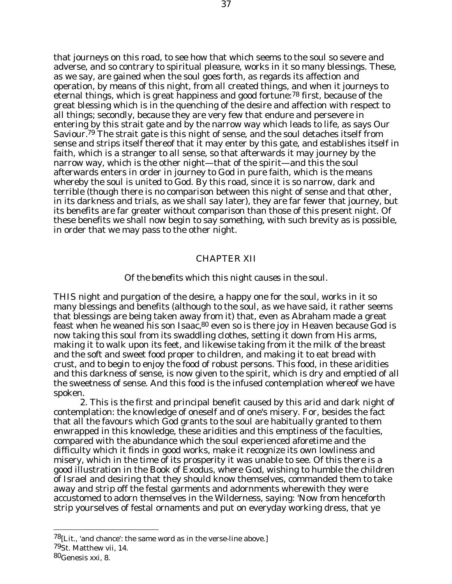that journeys on this road, to see how that which seems to the soul so severe and adverse, and so contrary to spiritual pleasure, works in it so many blessings. These, as we say, are gained when the soul goes forth, as regards its affection and operation, by means of this night, from all created things, and when it journeys to eternal things, which is great happiness and good fortune:78 first, because of the great blessing which is in the quenching of the desire and affection with respect to all things; secondly, because they are very few that endure and persevere in entering by this strait gate and by the narrow way which leads to life, as says Our Saviour.79 The strait gate is this night of sense, and the soul detaches itself from sense and strips itself thereof that it may enter by this gate, and establishes itself in faith, which is a stranger to all sense, so that afterwards it may journey by the narrow way, which is the other night—that of the spirit—and this the soul afterwards enters in order in journey to God in pure faith, which is the means whereby the soul is united to God. By this road, since it is so narrow, dark and terrible (though there is no comparison between this night of sense and that other, in its darkness and trials, as we shall say later), they are far fewer that journey, but its benefits are far greater without comparison than those of this present night. Of these benefits we shall now begin to say something, with such brevity as is possible, in order that we may pass to the other night.

# CHAPTER XII

#### *Of the benefits which this night causes in the soul.*

THIS night and purgation of the desire, a happy one for the soul, works in it so many blessings and benefits (although to the soul, as we have said, it rather seems that blessings are being taken away from it) that, even as Abraham made a great feast when he weaned his son Isaac,80 even so is there joy in Heaven because God is now taking this soul from its swaddling clothes, setting it down from His arms, making it to walk upon its feet, and likewise taking from it the milk of the breast and the soft and sweet food proper to children, and making it to eat bread with crust, and to begin to enjoy the food of robust persons. This food, in these aridities and this darkness of sense, is now given to the spirit, which is dry and emptied of all the sweetness of sense. And this food is the infused contemplation whereof we have spoken.

2. This is the first and principal benefit caused by this arid and dark night of contemplation: the knowledge of oneself and of one's misery. For, besides the fact that all the favours which God grants to the soul are habitually granted to them enwrapped in this knowledge, these aridities and this emptiness of the faculties, compared with the abundance which the soul experienced aforetime and the difficulty which it finds in good works, make it recognize its own lowliness and misery, which in the time of its prosperity it was unable to see. Of this there is a good illustration in the Book of Exodus, where God, wishing to humble the children of Israel and desiring that they should know themselves, commanded them to take away and strip off the festal garments and adornments wherewith they were accustomed to adorn themselves in the Wilderness, saying: 'Now from henceforth strip yourselves of festal ornaments and put on everyday working dress, that ye

78[*Lit.*, 'and chance': the same word as in the verse-line above.]

79St. Matthew vii, 14.

<sup>80</sup>Genesis xxi, 8.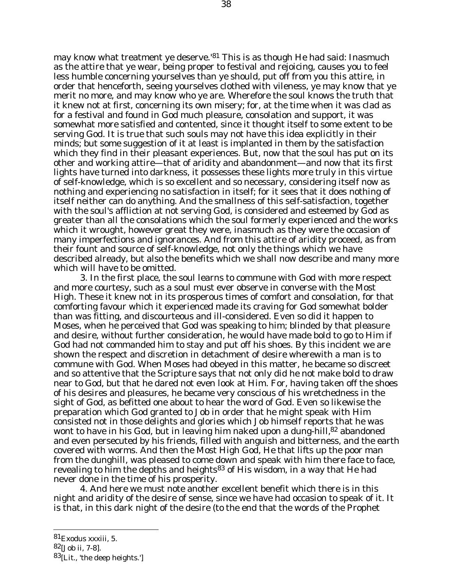may know what treatment ye deserve.'81 This is as though He had said: Inasmuch as the attire that ye wear, being proper to festival and rejoicing, causes you to feel less humble concerning yourselves than ye should, put off from you this attire, in order that henceforth, seeing yourselves clothed with vileness, ye may know that ye merit no more, and may know who ye are. Wherefore the soul knows the truth that it knew not at first, concerning its own misery; for, at the time when it was clad as for a festival and found in God much pleasure, consolation and support, it was somewhat more satisfied and contented, since it thought itself to some extent to be serving God. It is true that such souls may not have this idea explicitly in their minds; but some suggestion of it at least is implanted in them by the satisfaction which they find in their pleasant experiences. But, now that the soul has put on its other and working attire—that of aridity and abandonment—and now that its first lights have turned into darkness, it possesses these lights more truly in this virtue of self-knowledge, which is so excellent and so necessary, considering itself now as nothing and experiencing no satisfaction in itself; for it sees that it does nothing of itself neither can do anything. And the smallness of this self-satisfaction, together with the soul's affliction at not serving God, is considered and esteemed by God as greater than all the consolations which the soul formerly experienced and the works which it wrought, however great they were, inasmuch as they were the occasion of many imperfections and ignorances. And from this attire of aridity proceed, as from their fount and source of self-knowledge, not only the things which we have described already, but also the benefits which we shall now describe and many more which will have to be omitted.

3. In the first place, the soul learns to commune with God with more respect and more courtesy, such as a soul must ever observe in converse with the Most High. These it knew not in its prosperous times of comfort and consolation, for that comforting favour which it experienced made its craving for God somewhat bolder than was fitting, and discourteous and ill-considered. Even so did it happen to Moses, when he perceived that God was speaking to him; blinded by that pleasure and desire, without further consideration, he would have made bold to go to Him if God had not commanded him to stay and put off his shoes. By this incident we are shown the respect and discretion in detachment of desire wherewith a man is to commune with God. When Moses had obeyed in this matter, he became so discreet and so attentive that the Scripture says that not only did he not make bold to draw near to God, but that he dared not even look at Him. For, having taken off the shoes of his desires and pleasures, he became very conscious of his wretchedness in the sight of God, as befitted one about to hear the word of God. Even so likewise the preparation which God granted to Job in order that he might speak with Him consisted not in those delights and glories which Job himself reports that he was wont to have in his God, but in leaving him naked upon a dung-hill,<sup>82</sup> abandoned and even persecuted by his friends, filled with anguish and bitterness, and the earth covered with worms. And then the Most High God, He that lifts up the poor man from the dunghill, was pleased to come down and speak with him there face to face, revealing to him the depths and heights<sup>83</sup> of His wisdom, in a way that He had never done in the time of his prosperity.

4. And here we must note another excellent benefit which there is in this night and aridity of the desire of sense, since we have had occasion to speak of it. It is that, in this dark night of the desire (to the end that the words of the Prophet

<sup>81</sup>Exodus xxxiii, 5.

<sup>82</sup>[Job ii, 7-8].

<sup>83</sup>[*Lit.*, 'the deep heights.']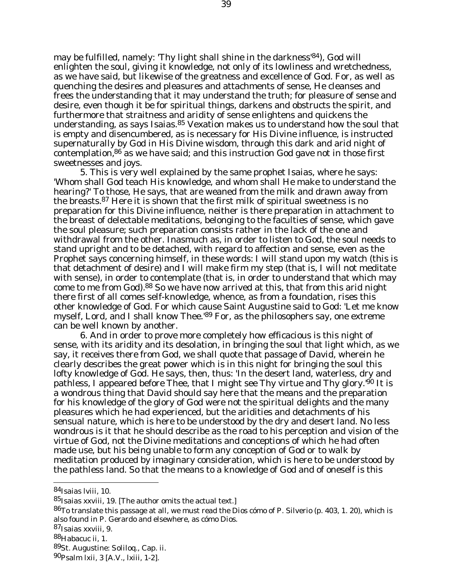may be fulfilled, namely: 'Thy light shall shine in the darkness'84), God will enlighten the soul, giving it knowledge, not only of its lowliness and wretchedness, as we have said, but likewise of the greatness and excellence of God. For, as well as quenching the desires and pleasures and attachments of sense, He cleanses and frees the understanding that it may understand the truth; for pleasure of sense and desire, even though it be for spiritual things, darkens and obstructs the spirit, and furthermore that straitness and aridity of sense enlightens and quickens the understanding, as says Isaias.<sup>85</sup> Vexation makes us to understand how the soul that is empty and disencumbered, as is necessary for His Divine influence, is instructed supernaturally by God in His Divine wisdom, through this dark and arid night of contemplation, $86$  as we have said; and this instruction God gave not in those first sweetnesses and joys.

5. This is very well explained by the same prophet Isaias, where he says: 'Whom shall God teach His knowledge, and whom shall He make to understand the hearing?' To those, He says, that are weaned from the milk and drawn away from the breasts.87 Here it is shown that the first milk of spiritual sweetness is no preparation for this Divine influence, neither is there preparation in attachment to the breast of delectable meditations, belonging to the faculties of sense, which gave the soul pleasure; such preparation consists rather in the lack of the one and withdrawal from the other. Inasmuch as, in order to listen to God, the soul needs to stand upright and to be detached, with regard to affection and sense, even as the Prophet says concerning himself, in these words: I will stand upon my watch (this is that detachment of desire) and I will make firm my step (that is, I will not meditate with sense), in order to contemplate (that is, in order to understand that which may come to me from God).88 So we have now arrived at this, that from this arid night there first of all comes self-knowledge, whence, as from a foundation, rises this other knowledge of God. For which cause Saint Augustine said to God: 'Let me know myself, Lord, and I shall know Thee.'89 For, as the philosophers say, one extreme can be well known by another.

6. And in order to prove more completely how efficacious is this night of sense, with its aridity and its desolation, in bringing the soul that light which, as we say, it receives there from God, we shall quote that passage of David, wherein he clearly describes the great power which is in this night for bringing the soul this lofty knowledge of God. He says, then, thus: 'In the desert land, waterless, dry and pathless, I appeared before Thee, that I might see Thy virtue and Thy glory.'90 It is a wondrous thing that David should say here that the means and the preparation for his knowledge of the glory of God were not the spiritual delights and the many pleasures which he had experienced, but the aridities and detachments of his sensual nature, which is here to be understood by the dry and desert land. No less wondrous is it that he should describe as the road to his perception and vision of the virtue of God, not the Divine meditations and conceptions of which he had often made use, but his being unable to form any conception of God or to walk by meditation produced by imaginary consideration, which is here to be understood by the pathless land. So that the means to a knowledge of God and of oneself is this

- 87Isaias xxviii, 9.
- 88Habacuc ii, 1.
- 89St. Augustine: *Soliloq.,* Cap. ii.

<sup>84</sup>Isaias lviii, 10.

<sup>85</sup>Isaias xxviii, 19. [The author omits the actual text.]

<sup>86</sup>To translate this passage at all, we must read the *Dios cómo* of P. Silverio (p. 403, 1. 20), which is also found in P. Gerardo and elsewhere, as *cómo Dios*.

<sup>90</sup>Psalm lxii, 3 [A.V., lxiii, 1-2].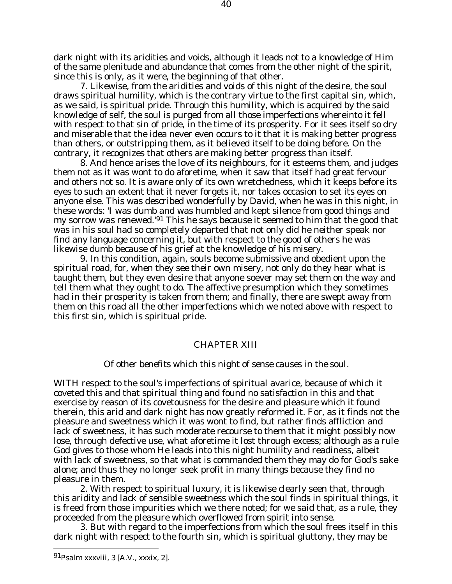dark night with its aridities and voids, although it leads not to a knowledge of Him of the same plenitude and abundance that comes from the other night of the spirit, since this is only, as it were, the beginning of that other.

7. Likewise, from the aridities and voids of this night of the desire, the soul draws spiritual humility, which is the contrary virtue to the first capital sin, which, as we said, is spiritual pride. Through this humility, which is acquired by the said knowledge of self, the soul is purged from all those imperfections whereinto it fell with respect to that sin of pride, in the time of its prosperity. For it sees itself so dry and miserable that the idea never even occurs to it that it is making better progress than others, or outstripping them, as it believed itself to be doing before. On the contrary, it recognizes that others are making better progress than itself.

8. And hence arises the love of its neighbours, for it esteems them, and judges them not as it was wont to do aforetime, when it saw that itself had great fervour and others not so. It is aware only of its own wretchedness, which it keeps before its eyes to such an extent that it never forgets it, nor takes occasion to set its eyes on anyone else. This was described wonderfully by David, when he was in this night, in these words: 'I was dumb and was humbled and kept silence from good things and my sorrow was renewed.'91 This he says because it seemed to him that the good that was in his soul had so completely departed that not only did he neither speak nor find any language concerning it, but with respect to the good of others he was likewise dumb because of his grief at the knowledge of his misery.

9. In this condition, again, souls become submissive and obedient upon the spiritual road, for, when they see their own misery, not only do they hear what is taught them, but they even desire that anyone soever may set them on the way and tell them what they ought to do. The affective presumption which they sometimes had in their prosperity is taken from them; and finally, there are swept away from them on this road all the other imperfections which we noted above with respect to this first sin, which is spiritual pride.

#### CHAPTER XIII

#### *Of other benefits which this night of sense causes in the soul.*

WITH respect to the soul's imperfections of spiritual avarice, because of which it coveted this and that spiritual thing and found no satisfaction in this and that exercise by reason of its covetousness for the desire and pleasure which it found therein, this arid and dark night has now greatly reformed it. For, as it finds not the pleasure and sweetness which it was wont to find, but rather finds affliction and lack of sweetness, it has such moderate recourse to them that it might possibly now lose, through defective use, what aforetime it lost through excess; although as a rule God gives to those whom He leads into this night humility and readiness, albeit with lack of sweetness, so that what is commanded them they may do for God's sake alone; and thus they no longer seek profit in many things because they find no pleasure in them.

2. With respect to spiritual luxury, it is likewise clearly seen that, through this aridity and lack of sensible sweetness which the soul finds in spiritual things, it is freed from those impurities which we there noted; for we said that, as a rule, they proceeded from the pleasure which overflowed from spirit into sense.

3. But with regard to the imperfections from which the soul frees itself in this dark night with respect to the fourth sin, which is spiritual gluttony, they may be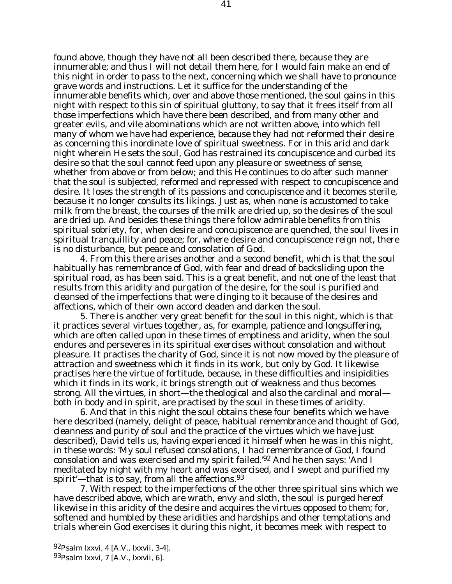found above, though they have not all been described there, because they are innumerable; and thus I will not detail them here, for I would fain make an end of this night in order to pass to the next, concerning which we shall have to pronounce grave words and instructions. Let it suffice for the understanding of the innumerable benefits which, over and above those mentioned, the soul gains in this night with respect to this sin of spiritual gluttony, to say that it frees itself from all those imperfections which have there been described, and from many other and greater evils, and vile abominations which are not written above, into which fell many of whom we have had experience, because they had not reformed their desire as concerning this inordinate love of spiritual sweetness. For in this arid and dark night wherein He sets the soul, God has restrained its concupiscence and curbed its desire so that the soul cannot feed upon any pleasure or sweetness of sense, whether from above or from below; and this He continues to do after such manner that the soul is subjected, reformed and repressed with respect to concupiscence and desire. It loses the strength of its passions and concupiscence and it becomes sterile, because it no longer consults its likings. Just as, when none is accustomed to take milk from the breast, the courses of the milk are dried up, so the desires of the soul are dried up. And besides these things there follow admirable benefits from this spiritual sobriety, for, when desire and concupiscence are quenched, the soul lives in spiritual tranquillity and peace; for, where desire and concupiscence reign not, there is no disturbance, but peace and consolation of God.

4. From this there arises another and a second benefit, which is that the soul habitually has remembrance of God, with fear and dread of backsliding upon the spiritual road, as has been said. This is a great benefit, and not one of the least that results from this aridity and purgation of the desire, for the soul is purified and cleansed of the imperfections that were clinging to it because of the desires and affections, which of their own accord deaden and darken the soul.

5. There is another very great benefit for the soul in this night, which is that it practices several virtues together, as, for example, patience and longsuffering, which are often called upon in these times of emptiness and aridity, when the soul endures and perseveres in its spiritual exercises without consolation and without pleasure. It practises the charity of God, since it is not now moved by the pleasure of attraction and sweetness which it finds in its work, but only by God. It likewise practises here the virtue of fortitude, because, in these difficulties and insipidities which it finds in its work, it brings strength out of weakness and thus becomes strong. All the virtues, in short—the theological and also the cardinal and moral both in body and in spirit, are practised by the soul in these times of aridity.

6. And that in this night the soul obtains these four benefits which we have here described (namely, delight of peace, habitual remembrance and thought of God, cleanness and purity of soul and the practice of the virtues which we have just described), David tells us, having experienced it himself when he was in this night, in these words: 'My soul refused consolations, I had remembrance of God, I found consolation and was exercised and my spirit failed.'92 And he then says: 'And I meditated by night with my heart and was exercised, and I swept and purified my spirit'—that is to say, from all the affections.<sup>93</sup>

7. With respect to the imperfections of the other three spiritual sins which we have described above, which are wrath, envy and sloth, the soul is purged hereof likewise in this aridity of the desire and acquires the virtues opposed to them; for, softened and humbled by these aridities and hardships and other temptations and trials wherein God exercises it during this night, it becomes meek with respect to

<sup>92</sup>Psalm lxxvi, 4 [A.V., lxxvii, 3-4].

<sup>93</sup>Psalm lxxvi, 7 [A.V., lxxvii, 6].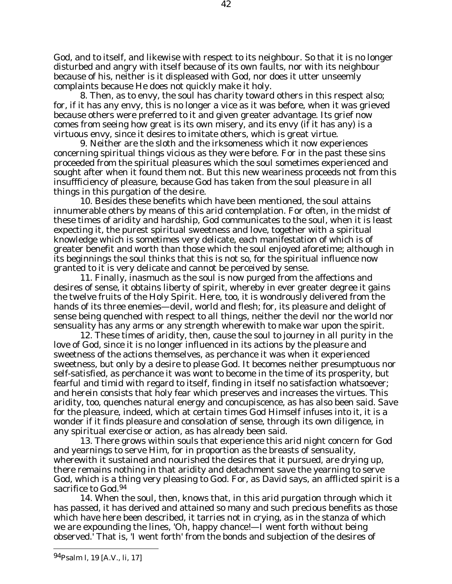God, and to itself, and likewise with respect to its neighbour. So that it is no longer disturbed and angry with itself because of its own faults, nor with its neighbour because of his, neither is it displeased with God, nor does it utter unseemly complaints because He does not quickly make it holy.

8. Then, as to envy, the soul has charity toward others in this respect also; for, if it has any envy, this is no longer a vice as it was before, when it was grieved because others were preferred to it and given greater advantage. Its grief now comes from seeing how great is its own misery, and its envy (if it has any) is a virtuous envy, since it desires to imitate others, which is great virtue.

9. Neither are the sloth and the irksomeness which it now experiences concerning spiritual things vicious as they were before. For in the past these sins proceeded from the spiritual pleasures which the soul sometimes experienced and sought after when it found them not. But this new weariness proceeds not from this insuffficiency of pleasure, because God has taken from the soul pleasure in all things in this purgation of the desire.

10. Besides these benefits which have been mentioned, the soul attains innumerable others by means of this arid contemplation. For often, in the midst of these times of aridity and hardship, God communicates to the soul, when it is least expecting it, the purest spiritual sweetness and love, together with a spiritual knowledge which is sometimes very delicate, each manifestation of which is of greater benefit and worth than those which the soul enjoyed aforetime; although in its beginnings the soul thinks that this is not so, for the spiritual influence now granted to it is very delicate and cannot be perceived by sense.

11. Finally, inasmuch as the soul is now purged from the affections and desires of sense, it obtains liberty of spirit, whereby in ever greater degree it gains the twelve fruits of the Holy Spirit. Here, too, it is wondrously delivered from the hands of its three enemies—devil, world and flesh; for, its pleasure and delight of sense being quenched with respect to all things, neither the devil nor the world nor sensuality has any arms or any strength wherewith to make war upon the spirit.

12. These times of aridity, then, cause the soul to journey in all purity in the love of God, since it is no longer influenced in its actions by the pleasure and sweetness of the actions themselves, as perchance it was when it experienced sweetness, but only by a desire to please God. It becomes neither presumptuous nor self-satisfied, as perchance it was wont to become in the time of its prosperity, but fearful and timid with regard to itself, finding in itself no satisfaction whatsoever; and herein consists that holy fear which preserves and increases the virtues. This aridity, too, quenches natural energy and concupiscence, as has also been said. Save for the pleasure, indeed, which at certain times God Himself infuses into it, it is a wonder if it finds pleasure and consolation of sense, through its own diligence, in any spiritual exercise or action, as has already been said.

13. There grows within souls that experience this arid night concern for God and yearnings to serve Him, for in proportion as the breasts of sensuality, wherewith it sustained and nourished the desires that it pursued, are drying up, there remains nothing in that aridity and detachment save the yearning to serve God, which is a thing very pleasing to God. For, as David says, an afflicted spirit is a sacrifice to God.94

14. When the soul, then, knows that, in this arid purgation through which it has passed, it has derived and attained so many and such precious benefits as those which have here been described, it tarries not in crying, as in the stanza of which we are expounding the lines, 'Oh, happy chance!—I went forth without being observed.' That is, 'I went forth' from the bonds and subjection of the desires of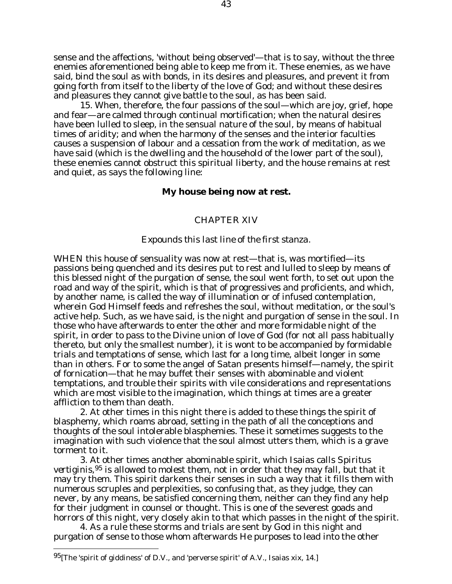sense and the affections, 'without being observed'—that is to say, without the three enemies aforementioned being able to keep me from it. These enemies, as we have said, bind the soul as with bonds, in its desires and pleasures, and prevent it from going forth from itself to the liberty of the love of God; and without these desires and pleasures they cannot give battle to the soul, as has been said.

15. When, therefore, the four passions of the soul—which are joy, grief, hope and fear—are calmed through continual mortification; when the natural desires have been lulled to sleep, in the sensual nature of the soul, by means of habitual times of aridity; and when the harmony of the senses and the interior faculties causes a suspension of labour and a cessation from the work of meditation, as we have said (which is the dwelling and the household of the lower part of the soul), these enemies cannot obstruct this spiritual liberty, and the house remains at rest and quiet, as says the following line:

#### **My house being now at rest.**

#### CHAPTER XIV

#### *Expounds this last line of the first stanza.*

WHEN this house of sensuality was now at rest—that is, was mortified—its passions being quenched and its desires put to rest and lulled to sleep by means of this blessed night of the purgation of sense, the soul went forth, to set out upon the road and way of the spirit, which is that of progressives and proficients, and which, by another name, is called the way of illumination or of infused contemplation, wherein God Himself feeds and refreshes the soul, without meditation, or the soul's active help. Such, as we have said, is the night and purgation of sense in the soul. In those who have afterwards to enter the other and more formidable night of the spirit, in order to pass to the Divine union of love of God (for not all pass habitually thereto, but only the smallest number), it is wont to be accompanied by formidable trials and temptations of sense, which last for a long time, albeit longer in some than in others. For to some the angel of Satan presents himself—namely, the spirit of fornication—that he may buffet their senses with abominable and violent temptations, and trouble their spirits with vile considerations and representations which are most visible to the imagination, which things at times are a greater affliction to them than death.

2. At other times in this night there is added to these things the spirit of blasphemy, which roams abroad, setting in the path of all the conceptions and thoughts of the soul intolerable blasphemies. These it sometimes suggests to the imagination with such violence that the soul almost utters them, which is a grave torment to it.

3. At other times another abominable spirit, which Isaias calls *Spiritus vertiginis*, 95 is allowed to molest them, not in order that they may fall, but that it may try them. This spirit darkens their senses in such a way that it fills them with numerous scruples and perplexities, so confusing that, as they judge, they can never, by any means, be satisfied concerning them, neither can they find any help for their judgment in counsel or thought. This is one of the severest goads and horrors of this night, very closely akin to that which passes in the night of the spirit.

4. As a rule these storms and trials are sent by God in this night and purgation of sense to those whom afterwards He purposes to lead into the other

 $95$ [The 'spirit of giddiness' of D.V., and 'perverse spirit' of A.V., Isaias xix, 14.]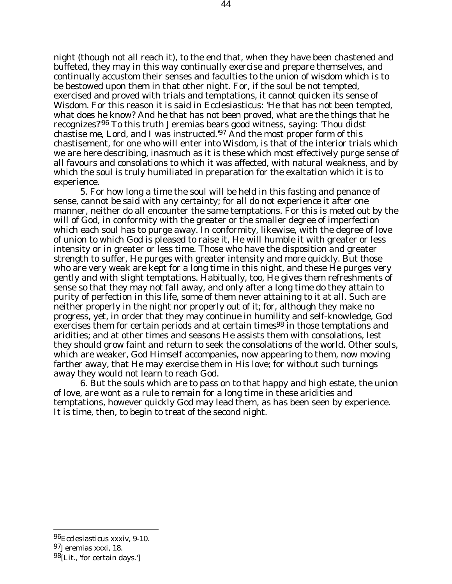night (though not all reach it), to the end that, when they have been chastened and buffeted, they may in this way continually exercise and prepare themselves, and continually accustom their senses and faculties to the union of wisdom which is to be bestowed upon them in that other night. For, if the soul be not tempted, exercised and proved with trials and temptations, it cannot quicken its sense of Wisdom. For this reason it is said in Ecclesiasticus: 'He that has not been tempted, what does he know? And he that has not been proved, what are the things that he recognizes?'96 To this truth Jeremias bears good witness, saying: 'Thou didst chastise me, Lord, and I was instructed.'97 And the most proper form of this chastisement, for one who will enter into Wisdom, is that of the interior trials which we are here describing, inasmuch as it is these which most effectively purge sense of all favours and consolations to which it was affected, with natural weakness, and by which the soul is truly humiliated in preparation for the exaltation which it is to experience.

5. For how long a time the soul will be held in this fasting and penance of sense, cannot be said with any certainty; for all do not experience it after one manner, neither do all encounter the same temptations. For this is meted out by the will of God, in conformity with the greater or the smaller degree of imperfection which each soul has to purge away. In conformity, likewise, with the degree of love of union to which God is pleased to raise it, He will humble it with greater or less intensity or in greater or less time. Those who have the disposition and greater strength to suffer, He purges with greater intensity and more quickly. But those who are very weak are kept for a long time in this night, and these He purges very gently and with slight temptations. Habitually, too, He gives them refreshments of sense so that they may not fall away, and only after a long time do they attain to purity of perfection in this life, some of them never attaining to it at all. Such are neither properly in the night nor properly out of it; for, although they make no progress, yet, in order that they may continue in humility and self-knowledge, God exercises them for certain periods and at certain times<sup>98</sup> in those temptations and aridities; and at other times and seasons He assists them with consolations, lest they should grow faint and return to seek the consolations of the world. Other souls, which are weaker, God Himself accompanies, now appearing to them, now moving farther away, that He may exercise them in His love; for without such turnings away they would not learn to reach God.

6. But the souls which are to pass on to that happy and high estate, the union of love, are wont as a rule to remain for a long time in these aridities and temptations, however quickly God may lead them, as has been seen by experience. It is time, then, to begin to treat of the second night.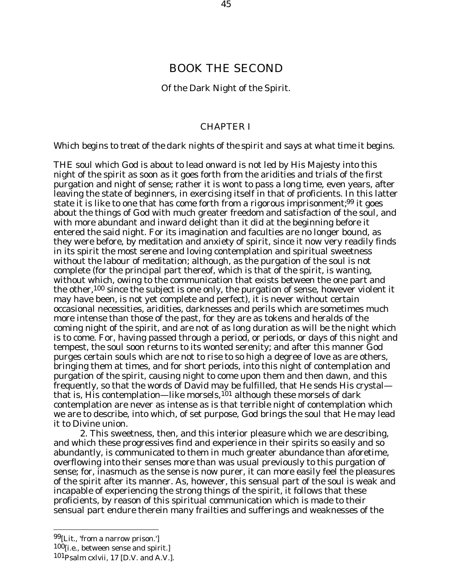# BOOK THE SECOND

### Of the Dark Night of the Spirit.

### CHAPTER I

#### *Which begins to treat of the dark nights of the spirit and says at what time it begins.*

THE soul which God is about to lead onward is not led by His Majesty into this night of the spirit as soon as it goes forth from the aridities and trials of the first purgation and night of sense; rather it is wont to pass a long time, even years, after leaving the state of beginners, in exercising itself in that of proficients. In this latter state it is like to one that has come forth from a rigorous imprisonment;<sup>99</sup> it goes about the things of God with much greater freedom and satisfaction of the soul, and with more abundant and inward delight than it did at the beginning before it entered the said night. For its imagination and faculties are no longer bound, as they were before, by meditation and anxiety of spirit, since it now very readily finds in its spirit the most serene and loving contemplation and spiritual sweetness without the labour of meditation; although, as the purgation of the soul is not complete (for the principal part thereof, which is that of the spirit, is wanting, without which, owing to the communication that exists between the one part and the other,100 since the subject is one only, the purgation of sense, however violent it may have been, is not yet complete and perfect), it is never without certain occasional necessities, aridities, darknesses and perils which are sometimes much more intense than those of the past, for they are as tokens and heralds of the coming night of the spirit, and are not of as long duration as will be the night which is to come. For, having passed through a period, or periods, or days of this night and tempest, the soul soon returns to its wonted serenity; and after this manner God purges certain souls which are not to rise to so high a degree of love as are others, bringing them at times, and for short periods, into this night of contemplation and purgation of the spirit, causing night to come upon them and then dawn, and this frequently, so that the words of David may be fulfilled, that He sends His crystal that is, His contemplation—like morsels,<sup>101</sup> although these morsels of dark contemplation are never as intense as is that terrible night of contemplation which we are to describe, into which, of set purpose, God brings the soul that He may lead it to Divine union.

2. This sweetness, then, and this interior pleasure which we are describing, and which these progressives find and experience in their spirits so easily and so abundantly, is communicated to them in much greater abundance than aforetime, overflowing into their senses more than was usual previously to this purgation of sense; for, inasmuch as the sense is now purer, it can more easily feel the pleasures of the spirit after its manner. As, however, this sensual part of the soul is weak and incapable of experiencing the strong things of the spirit, it follows that these proficients, by reason of this spiritual communication which is made to their sensual part endure therein many frailties and sufferings and weaknesses of the

<sup>99</sup>[*Lit.*, 'from a narrow prison.']

<sup>100</sup>[i.e., between sense and spirit.]

 $101$ Psalm cxlvii, 17 [D.V. and A.V.].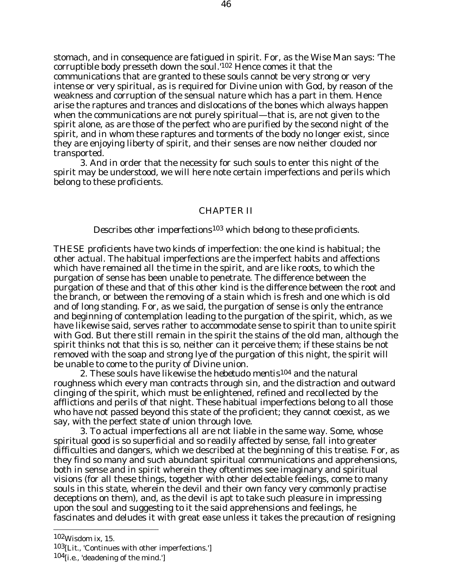stomach, and in consequence are fatigued in spirit. For, as the Wise Man says: 'The corruptible body presseth down the soul.'102 Hence comes it that the communications that are granted to these souls cannot be very strong or very intense or very spiritual, as is required for Divine union with God, by reason of the weakness and corruption of the sensual nature which has a part in them. Hence arise the raptures and trances and dislocations of the bones which always happen when the communications are not purely spiritual—that is, are not given to the spirit alone, as are those of the perfect who are purified by the second night of the spirit, and in whom these raptures and torments of the body no longer exist, since they are enjoying liberty of spirit, and their senses are now neither clouded nor transported.

3. And in order that the necessity for such souls to enter this night of the spirit may be understood, we will here note certain imperfections and perils which belong to these proficients.

#### CHAPTER II

#### *Describes other imperfections*103 *which belong to these proficients.*

THESE proficients have two kinds of imperfection: the one kind is habitual; the other actual. The habitual imperfections are the imperfect habits and affections which have remained all the time in the spirit, and are like roots, to which the purgation of sense has been unable to penetrate. The difference between the purgation of these and that of this other kind is the difference between the root and the branch, or between the removing of a stain which is fresh and one which is old and of long standing. For, as we said, the purgation of sense is only the entrance and beginning of contemplation leading to the purgation of the spirit, which, as we have likewise said, serves rather to accommodate sense to spirit than to unite spirit with God. But there still remain in the spirit the stains of the old man, although the spirit thinks not that this is so, neither can it perceive them; if these stains be not removed with the soap and strong lye of the purgation of this night, the spirit will be unable to come to the purity of Divine union.

2. These souls have likewise the *hebetudo mentis*<sup>104</sup> and the natural roughness which every man contracts through sin, and the distraction and outward clinging of the spirit, which must be enlightened, refined and recollected by the afflictions and perils of that night. These habitual imperfections belong to all those who have not passed beyond this state of the proficient; they cannot coexist, as we say, with the perfect state of union through love.

3. To actual imperfections all are not liable in the same way. Some, whose spiritual good is so superficial and so readily affected by sense, fall into greater difficulties and dangers, which we described at the beginning of this treatise. For, as they find so many and such abundant spiritual communications and apprehensions, both in sense and in spirit wherein they oftentimes see imaginary and spiritual visions (for all these things, together with other delectable feelings, come to many souls in this state, wherein the devil and their own fancy very commonly practise deceptions on them), and, as the devil is apt to take such pleasure in impressing upon the soul and suggesting to it the said apprehensions and feelings, he fascinates and deludes it with great ease unless it takes the precaution of resigning

<sup>102</sup>Wisdom ix, 15.

<sup>103</sup>[*Lit.*, 'Continues with other imperfections.']

 $104$ [i.e., 'deadening of the mind.']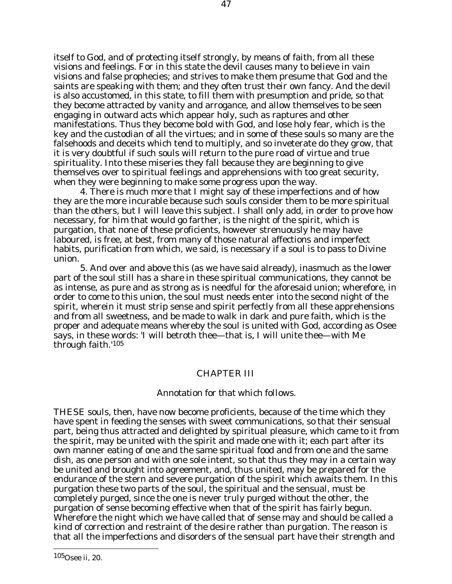itself to God, and of protecting itself strongly, by means of faith, from all these visions and feelings. For in this state the devil causes many to believe in vain visions and false prophecies; and strives to make them presume that God and the saints are speaking with them; and they often trust their own fancy. And the devil is also accustomed, in this state, to fill them with presumption and pride, so that they become attracted by vanity and arrogance, and allow themselves to be seen engaging in outward acts which appear holy, such as raptures and other manifestations. Thus they become bold with God, and lose holy fear, which is the key and the custodian of all the virtues; and in some of these souls so many are the falsehoods and deceits which tend to multiply, and so inveterate do they grow, that it is very doubtful if such souls will return to the pure road of virtue and true spirituality. Into these miseries they fall because they are beginning to give themselves over to spiritual feelings and apprehensions with too great security, when they were beginning to make some progress upon the way.

4. There is much more that I might say of these imperfections and of how they are the more incurable because such souls consider them to be more spiritual than the others, but I will leave this subject. I shall only add, in order to prove how necessary, for him that would go farther, is the night of the spirit, which is purgation, that none of these proficients, however strenuously he may have laboured, is free, at best, from many of those natural affections and imperfect habits, purification from which, we said, is necessary if a soul is to pass to Divine union.

5. And over and above this (as we have said already), inasmuch as the lower part of the soul still has a share in these spiritual communications, they cannot be as intense, as pure and as strong as is needful for the aforesaid union; wherefore, in order to come to this union, the soul must needs enter into the second night of the spirit, wherein it must strip sense and spirit perfectly from all these apprehensions and from all sweetness, and be made to walk in dark and pure faith, which is the proper and adequate means whereby the soul is united with God, according as Osee says, in these words: 'I will betroth thee—that is, I will unite thee—with Me through faith.'105

### CHAPTER III

### *Annotation for that which follows.*

THESE souls, then, have now become proficients, because of the time which they have spent in feeding the senses with sweet communications, so that their sensual part, being thus attracted and delighted by spiritual pleasure, which came to it from the spirit, may be united with the spirit and made one with it; each part after its own manner eating of one and the same spiritual food and from one and the same dish, as one person and with one sole intent, so that thus they may in a certain way be united and brought into agreement, and, thus united, may be prepared for the endurance of the stern and severe purgation of the spirit which awaits them. In this purgation these two parts of the soul, the spiritual and the sensual, must be completely purged, since the one is never truly purged without the other, the purgation of sense becoming effective when that of the spirit has fairly begun. Wherefore the night which we have called that of sense may and should be called a kind of correction and restraint of the desire rather than purgation. The reason is that all the imperfections and disorders of the sensual part have their strength and

105Osee ii, 20.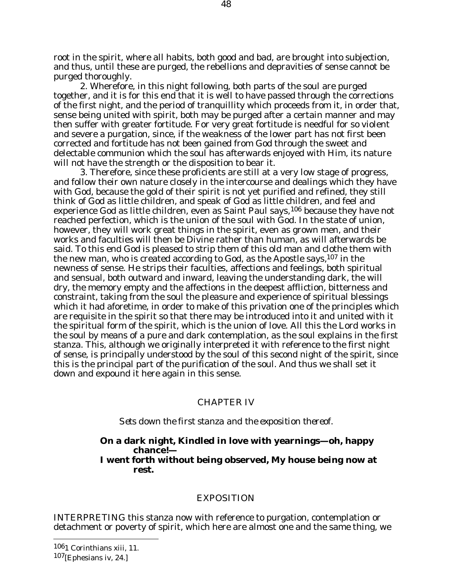root in the spirit, where all habits, both good and bad, are brought into subjection, and thus, until these are purged, the rebellions and depravities of sense cannot be purged thoroughly.

2. Wherefore, in this night following, both parts of the soul are purged together, and it is for this end that it is well to have passed through the corrections of the first night, and the period of tranquillity which proceeds from it, in order that, sense being united with spirit, both may be purged after a certain manner and may then suffer with greater fortitude. For very great fortitude is needful for so violent and severe a purgation, since, if the weakness of the lower part has not first been corrected and fortitude has not been gained from God through the sweet and delectable communion which the soul has afterwards enjoyed with Him, its nature will not have the strength or the disposition to bear it.

3. Therefore, since these proficients are still at a very low stage of progress, and follow their own nature closely in the intercourse and dealings which they have with God, because the gold of their spirit is not yet purified and refined, they still think of God as little children, and speak of God as little children, and feel and experience God as little children, even as Saint Paul says, <sup>106</sup> because they have not reached perfection, which is the union of the soul with God. In the state of union, however, they will work great things in the spirit, even as grown men, and their works and faculties will then be Divine rather than human, as will afterwards be said. To this end God is pleased to strip them of this old man and clothe them with the new man, who is created according to God, as the Apostle says,  $107$  in the newness of sense. He strips their faculties, affections and feelings, both spiritual and sensual, both outward and inward, leaving the understanding dark, the will dry, the memory empty and the affections in the deepest affliction, bitterness and constraint, taking from the soul the pleasure and experience of spiritual blessings which it had aforetime, in order to make of this privation one of the principles which are requisite in the spirit so that there may be introduced into it and united with it the spiritual form of the spirit, which is the union of love. All this the Lord works in the soul by means of a pure and dark contemplation, as the soul explains in the first stanza. This, although we originally interpreted it with reference to the first night of sense, is principally understood by the soul of this second night of the spirit, since this is the principal part of the purification of the soul. And thus we shall set it down and expound it here again in this sense.

### CHAPTER IV

*Sets down the first stanza and the exposition thereof.*

# **On a dark night, Kindled in love with yearnings—oh, happy chance!— I went forth without being observed, My house being now at rest.**

# EXPOSITION

INTERPRETING this stanza now with reference to purgation, contemplation or detachment or poverty of spirit, which here are almost one and the same thing, we

<sup>106</sup>1 Corinthians xiii, 11.

<sup>107</sup>[Ephesians iv, 24.]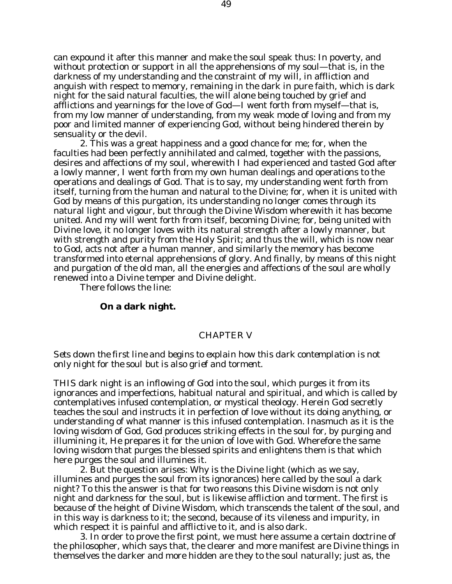can expound it after this manner and make the soul speak thus: In poverty, and without protection or support in all the apprehensions of my soul—that is, in the darkness of my understanding and the constraint of my will, in affliction and anguish with respect to memory, remaining in the dark in pure faith, which is dark night for the said natural faculties, the will alone being touched by grief and afflictions and yearnings for the love of God—I went forth from myself—that is, from my low manner of understanding, from my weak mode of loving and from my poor and limited manner of experiencing God, without being hindered therein by sensuality or the devil.

2. This was a great happiness and a good chance for me; for, when the faculties had been perfectly annihilated and calmed, together with the passions, desires and affections of my soul, wherewith I had experienced and tasted God after a lowly manner, I went forth from my own human dealings and operations to the operations and dealings of God. That is to say, my understanding went forth from itself, turning from the human and natural to the Divine; for, when it is united with God by means of this purgation, its understanding no longer comes through its natural light and vigour, but through the Divine Wisdom wherewith it has become united. And my will went forth from itself, becoming Divine; for, being united with Divine love, it no longer loves with its natural strength after a lowly manner, but with strength and purity from the Holy Spirit; and thus the will, which is now near to God, acts not after a human manner, and similarly the memory has become transformed into eternal apprehensions of glory. And finally, by means of this night and purgation of the old man, all the energies and affections of the soul are wholly renewed into a Divine temper and Divine delight.

There follows the line:

#### **On a dark night.**

#### CHAPTER V

### *Sets down the first line and begins to explain how this dark contemplation is not only night for the soul but is also grief and torment.*

THIS dark night is an inflowing of God into the soul, which purges it from its ignorances and imperfections, habitual natural and spiritual, and which is called by contemplatives infused contemplation, or mystical theology. Herein God secretly teaches the soul and instructs it in perfection of love without its doing anything, or understanding of what manner is this infused contemplation. Inasmuch as it is the loving wisdom of God, God produces striking effects in the soul for, by purging and illumining it, He prepares it for the union of love with God. Wherefore the same loving wisdom that purges the blessed spirits and enlightens them is that which here purges the soul and illumines it.

2. But the question arises: Why is the Divine light (which as we say, illumines and purges the soul from its ignorances) here called by the soul a dark night? To this the answer is that for two reasons this Divine wisdom is not only night and darkness for the soul, but is likewise affliction and torment. The first is because of the height of Divine Wisdom, which transcends the talent of the soul, and in this way is darkness to it; the second, because of its vileness and impurity, in which respect it is painful and afflictive to it, and is also dark.

3. In order to prove the first point, we must here assume a certain doctrine of the philosopher, which says that, the clearer and more manifest are Divine things in themselves the darker and more hidden are they to the soul naturally; just as, the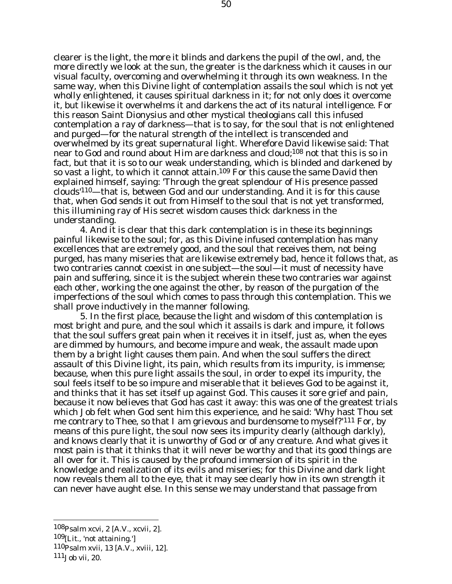clearer is the light, the more it blinds and darkens the pupil of the owl, and, the more directly we look at the sun, the greater is the darkness which it causes in our visual faculty, overcoming and overwhelming it through its own weakness. In the same way, when this Divine light of contemplation assails the soul which is not yet wholly enlightened, it causes spiritual darkness in it; for not only does it overcome it, but likewise it overwhelms it and darkens the act of its natural intelligence. For this reason Saint Dionysius and other mystical theologians call this infused contemplation a ray of darkness—that is to say, for the soul that is not enlightened and purged—for the natural strength of the intellect is transcended and overwhelmed by its great supernatural light. Wherefore David likewise said: That near to God and round about Him are darkness and cloud;108 not that this is so in fact, but that it is so to our weak understanding, which is blinded and darkened by so vast a light, to which it cannot attain.<sup>109</sup> For this cause the same David then explained himself, saying: 'Through the great splendour of His presence passed clouds'110—that is, between God and our understanding. And it is for this cause that, when God sends it out from Himself to the soul that is not yet transformed, this illumining ray of His secret wisdom causes thick darkness in the understanding.

4. And it is clear that this dark contemplation is in these its beginnings painful likewise to the soul; for, as this Divine infused contemplation has many excellences that are extremely good, and the soul that receives them, not being purged, has many miseries that are likewise extremely bad, hence it follows that, as two contraries cannot coexist in one subject—the soul—it must of necessity have pain and suffering, since it is the subject wherein these two contraries war against each other, working the one against the other, by reason of the purgation of the imperfections of the soul which comes to pass through this contemplation. This we shall prove inductively in the manner following.

5. In the first place, because the light and wisdom of this contemplation is most bright and pure, and the soul which it assails is dark and impure, it follows that the soul suffers great pain when it receives it in itself, just as, when the eyes are dimmed by humours, and become impure and weak, the assault made upon them by a bright light causes them pain. And when the soul suffers the direct assault of this Divine light, its pain, which results from its impurity, is immense; because, when this pure light assails the soul, in order to expel its impurity, the soul feels itself to be so impure and miserable that it believes God to be against it, and thinks that it has set itself up against God. This causes it sore grief and pain, because it now believes that God has cast it away: this was one of the greatest trials which Job felt when God sent him this experience, and he said: 'Why hast Thou set me contrary to Thee, so that I am grievous and burdensome to myself?'111 For, by means of this pure light, the soul now sees its impurity clearly (although darkly), and knows clearly that it is unworthy of God or of any creature. And what gives it most pain is that it thinks that it will never be worthy and that its good things are all over for it. This is caused by the profound immersion of its spirit in the knowledge and realization of its evils and miseries; for this Divine and dark light now reveals them all to the eye, that it may see clearly how in its own strength it can never have aught else. In this sense we may understand that passage from

<sup>108</sup>Psalm xcvi, 2 [A.V., xcvii, 2].

<sup>109</sup>[*Lit.*, 'not attaining.']

<sup>110</sup>Psalm xvii, 13 [A.V., xviii, 12].

<sup>111</sup>Job vii, 20.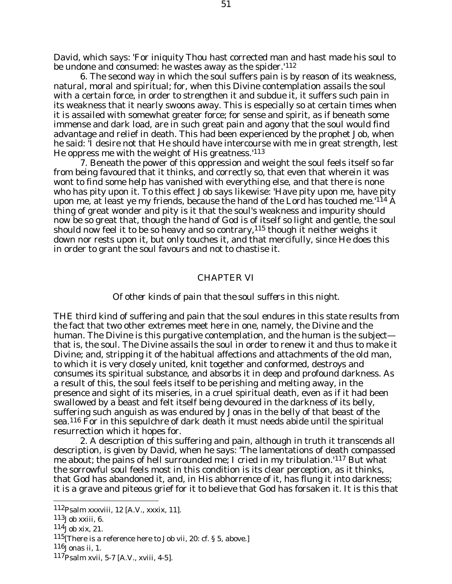David, which says: 'For iniquity Thou hast corrected man and hast made his soul to be undone and consumed: he wastes away as the spider.'112

6. The second way in which the soul suffers pain is by reason of its weakness, natural, moral and spiritual; for, when this Divine contemplation assails the soul with a certain force, in order to strengthen it and subdue it, it suffers such pain in its weakness that it nearly swoons away. This is especially so at certain times when it is assailed with somewhat greater force; for sense and spirit, as if beneath some immense and dark load, are in such great pain and agony that the soul would find advantage and relief in death. This had been experienced by the prophet Job, when he said: 'I desire not that He should have intercourse with me in great strength, lest He oppress me with the weight of His greatness.'113

7. Beneath the power of this oppression and weight the soul feels itself so far from being favoured that it thinks, and correctly so, that even that wherein it was wont to find some help has vanished with everything else, and that there is none who has pity upon it. To this effect Job says likewise: 'Have pity upon me, have pity upon me, at least ye my friends, because the hand of the Lord has touched me.'114 A thing of great wonder and pity is it that the soul's weakness and impurity should now be so great that, though the hand of God is of itself so light and gentle, the soul should now feel it to be so heavy and so contrary,  $115$  though it neither weighs it down nor rests upon it, but only touches it, and that mercifully, since He does this in order to grant the soul favours and not to chastise it.

#### CHAPTER VI

#### *Of other kinds of pain that the soul suffers in this night.*

THE third kind of suffering and pain that the soul endures in this state results from the fact that two other extremes meet here in one, namely, the Divine and the human. The Divine is this purgative contemplation, and the human is the subject that is, the soul. The Divine assails the soul in order to renew it and thus to make it Divine; and, stripping it of the habitual affections and attachments of the old man, to which it is very closely united, knit together and conformed, destroys and consumes its spiritual substance, and absorbs it in deep and profound darkness. As a result of this, the soul feels itself to be perishing and melting away, in the presence and sight of its miseries, in a cruel spiritual death, even as if it had been swallowed by a beast and felt itself being devoured in the darkness of its belly, suffering such anguish as was endured by Jonas in the belly of that beast of the sea.116 For in this sepulchre of dark death it must needs abide until the spiritual resurrection which it hopes for.

2. A description of this suffering and pain, although in truth it transcends all description, is given by David, when he says: 'The lamentations of death compassed me about; the pains of hell surrounded me; I cried in my tribulation.'117 But what the sorrowful soul feels most in this condition is its clear perception, as it thinks, that God has abandoned it, and, in His abhorrence of it, has flung it into darkness; it is a grave and piteous grief for it to believe that God has forsaken it. It is this that

<sup>112</sup>Psalm xxxviii, 12 [A.V., xxxix, 11].

 $113$ Job xxiii, 6.

<sup>114</sup>Job xix, 21.

 $115$ [There is a reference here to Job vii, 20: cf. § 5, above.]

<sup>116</sup>Jonas ii, 1.

<sup>117</sup>Psalm xvii, 5-7 [A.V., xviii, 4-5].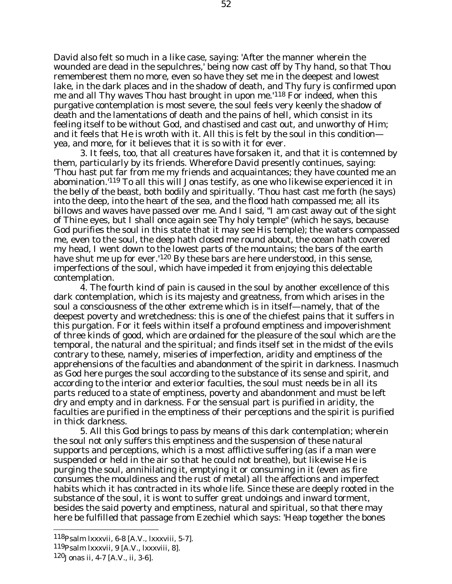David also felt so much in a like case, saying: 'After the manner wherein the wounded are dead in the sepulchres,' being now cast off by Thy hand, so that Thou rememberest them no more, even so have they set me in the deepest and lowest lake, in the dark places and in the shadow of death, and Thy fury is confirmed upon me and all Thy waves Thou hast brought in upon me.'118 For indeed, when this purgative contemplation is most severe, the soul feels very keenly the shadow of death and the lamentations of death and the pains of hell, which consist in its feeling itself to be without God, and chastised and cast out, and unworthy of Him; and it feels that He is wroth with it. All this is felt by the soul in this condition yea, and more, for it believes that it is so with it for ever.

3. It feels, too, that all creatures have forsaken it, and that it is contemned by them, particularly by its friends. Wherefore David presently continues, saying: 'Thou hast put far from me my friends and acquaintances; they have counted me an abomination.'119 To all this will Jonas testify, as one who likewise experienced it in the belly of the beast, both bodily and spiritually. 'Thou hast cast me forth (he says) into the deep, into the heart of the sea, and the flood hath compassed me; all its billows and waves have passed over me. And I said, "I am cast away out of the sight of Thine eyes, but I shall once again see Thy holy temple" (which he says, because God purifies the soul in this state that it may see His temple); the waters compassed me, even to the soul, the deep hath closed me round about, the ocean hath covered my head, I went down to the lowest parts of the mountains; the bars of the earth have shut me up for ever.<sup>'120</sup> By these bars are here understood, in this sense, imperfections of the soul, which have impeded it from enjoying this delectable contemplation.

4. The fourth kind of pain is caused in the soul by another excellence of this dark contemplation, which is its majesty and greatness, from which arises in the soul a consciousness of the other extreme which is in itself—namely, that of the deepest poverty and wretchedness: this is one of the chiefest pains that it suffers in this purgation. For it feels within itself a profound emptiness and impoverishment of three kinds of good, which are ordained for the pleasure of the soul which are the temporal, the natural and the spiritual; and finds itself set in the midst of the evils contrary to these, namely, miseries of imperfection, aridity and emptiness of the apprehensions of the faculties and abandonment of the spirit in darkness. Inasmuch as God here purges the soul according to the substance of its sense and spirit, and according to the interior and exterior faculties, the soul must needs be in all its parts reduced to a state of emptiness, poverty and abandonment and must be left dry and empty and in darkness. For the sensual part is purified in aridity, the faculties are purified in the emptiness of their perceptions and the spirit is purified in thick darkness.

5. All this God brings to pass by means of this dark contemplation; wherein the soul not only suffers this emptiness and the suspension of these natural supports and perceptions, which is a most afflictive suffering (as if a man were suspended or held in the air so that he could not breathe), but likewise He is purging the soul, annihilating it, emptying it or consuming in it (even as fire consumes the mouldiness and the rust of metal) all the affections and imperfect habits which it has contracted in its whole life. Since these are deeply rooted in the substance of the soul, it is wont to suffer great undoings and inward torment, besides the said poverty and emptiness, natural and spiritual, so that there may here be fulfilled that passage from Ezechiel which says: 'Heap together the bones

<sup>118</sup>Psalm lxxxvii, 6-8 [A.V., lxxxviii, 5-7].

<sup>119</sup>Psalm lxxxvii, 9 [A.V., lxxxviii, 8].

<sup>120</sup>Jonas ii, 4-7 [A.V., ii, 3-6].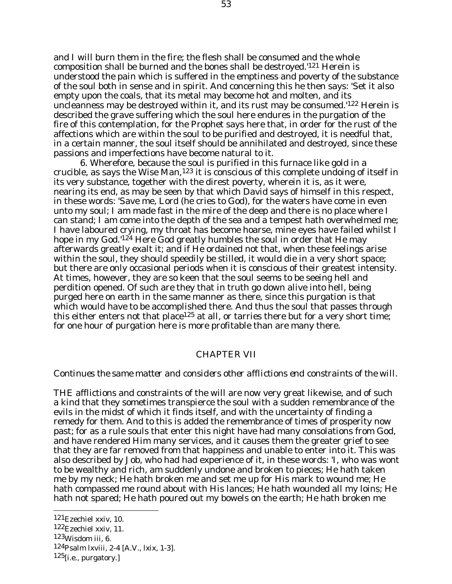and I will burn them in the fire; the flesh shall be consumed and the whole composition shall be burned and the bones shall be destroyed.'121 Herein is understood the pain which is suffered in the emptiness and poverty of the substance of the soul both in sense and in spirit. And concerning this he then says: 'Set it also empty upon the coals, that its metal may become hot and molten, and its uncleanness may be destroyed within it, and its rust may be consumed.'122 Herein is described the grave suffering which the soul here endures in the purgation of the fire of this contemplation, for the Prophet says here that, in order for the rust of the affections which are within the soul to be purified and destroyed, it is needful that, in a certain manner, the soul itself should be annihilated and destroyed, since these passions and imperfections have become natural to it.

6. Wherefore, because the soul is purified in this furnace like gold in a crucible, as says the Wise Man,  $123$  it is conscious of this complete undoing of itself in its very substance, together with the direst poverty, wherein it is, as it were, nearing its end, as may be seen by that which David says of himself in this respect, in these words: 'Save me, Lord (he cries to God), for the waters have come in even unto my soul; I am made fast in the mire of the deep and there is no place where I can stand; I am come into the depth of the sea and a tempest hath overwhelmed me; I have laboured crying, my throat has become hoarse, mine eyes have failed whilst I hope in my God.'124 Here God greatly humbles the soul in order that He may afterwards greatly exalt it; and if He ordained not that, when these feelings arise within the soul, they should speedily be stilled, it would die in a very short space; but there are only occasional periods when it is conscious of their greatest intensity. At times, however, they are so keen that the soul seems to be seeing hell and perdition opened. Of such are they that in truth go down alive into hell, being purged here on earth in the same manner as there, since this purgation is that which would have to be accomplished there. And thus the soul that passes through this either enters not that place<sup>125</sup> at all, or tarries there but for a very short time; for one hour of purgation here is more profitable than are many there.

### CHAPTER VII

### *Continues the same matter and considers other afflictions end constraints of the will.*

THE afflictions and constraints of the will are now very great likewise, and of such a kind that they sometimes transpierce the soul with a sudden remembrance of the evils in the midst of which it finds itself, and with the uncertainty of finding a remedy for them. And to this is added the remembrance of times of prosperity now past; for as a rule souls that enter this night have had many consolations from God, and have rendered Him many services, and it causes them the greater grief to see that they are far removed from that happiness and unable to enter into it. This was also described by Job, who had had experience of it, in these words: 'I, who was wont to be wealthy and rich, am suddenly undone and broken to pieces; He hath taken me by my neck; He hath broken me and set me up for His mark to wound me; He hath compassed me round about with His lances; He hath wounded all my loins; He hath not spared; He hath poured out my bowels on the earth; He hath broken me

<sup>121</sup>Ezechiel xxiv, 10.

<sup>122</sup>Ezechiel xxiv, 11.

<sup>123</sup>Wisdom iii, 6.

<sup>124</sup>Psalm lxviii, 2-4 [A.V., lxix, 1-3].

 $125$ [i.e., purgatory.]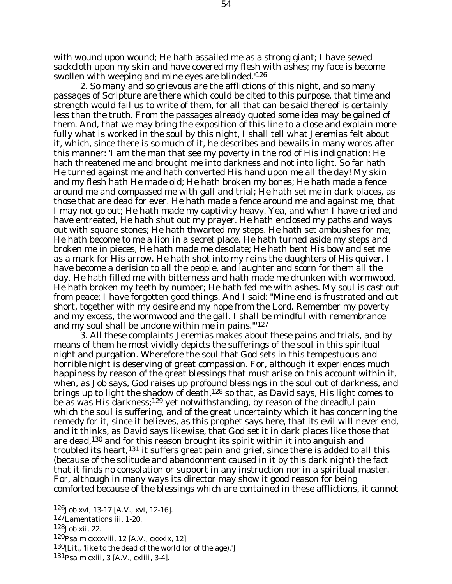with wound upon wound; He hath assailed me as a strong giant; I have sewed sackcloth upon my skin and have covered my flesh with ashes; my face is become swollen with weeping and mine eyes are blinded.'126

2. So many and so grievous are the afflictions of this night, and so many passages of Scripture are there which could be cited to this purpose, that time and strength would fail us to write of them, for all that can be said thereof is certainly less than the truth. From the passages already quoted some idea may be gained of them. And, that we may bring the exposition of this line to a close and explain more fully what is worked in the soul by this night, I shall tell what Jeremias felt about it, which, since there is so much of it, he describes and bewails in many words after this manner: 'I am the man that see my poverty in the rod of His indignation; He hath threatened me and brought me into darkness and not into light. So far hath He turned against me and hath converted His hand upon me all the day! My skin and my flesh hath He made old; He hath broken my bones; He hath made a fence around me and compassed me with gall and trial; He hath set me in dark places, as those that are dead for ever. He hath made a fence around me and against me, that I may not go out; He hath made my captivity heavy. Yea, and when I have cried and have entreated, He hath shut out my prayer. He hath enclosed my paths and ways out with square stones; He hath thwarted my steps. He hath set ambushes for me; He hath become to me a lion in a secret place. He hath turned aside my steps and broken me in pieces, He hath made me desolate; He hath bent His bow and set me as a mark for His arrow. He hath shot into my reins the daughters of His quiver. I have become a derision to all the people, and laughter and scorn for them all the day. He hath filled me with bitterness and hath made me drunken with wormwood. He hath broken my teeth by number; He hath fed me with ashes. My soul is cast out from peace; I have forgotten good things. And I said: "Mine end is frustrated and cut short, together with my desire and my hope from the Lord. Remember my poverty and my excess, the wormwood and the gall. I shall be mindful with remembrance and my soul shall be undone within me in pains."'127

3. All these complaints Jeremias makes about these pains and trials, and by means of them he most vividly depicts the sufferings of the soul in this spiritual night and purgation. Wherefore the soul that God sets in this tempestuous and horrible night is deserving of great compassion. For, although it experiences much happiness by reason of the great blessings that must arise on this account within it, when, as Job says, God raises up profound blessings in the soul out of darkness, and brings up to light the shadow of death,<sup>128</sup> so that, as David says, His light comes to be as was His darkness;129 yet notwithstanding, by reason of the dreadful pain which the soul is suffering, and of the great uncertainty which it has concerning the remedy for it, since it believes, as this prophet says here, that its evil will never end, and it thinks, as David says likewise, that God set it in dark places like those that are dead,130 and for this reason brought its spirit within it into anguish and troubled its heart,131 it suffers great pain and grief, since there is added to all this (because of the solitude and abandonment caused in it by this dark night) the fact that it finds no consolation or support in any instruction nor in a spiritual master. For, although in many ways its director may show it good reason for being comforted because of the blessings which are contained in these afflictions, it cannot

 $126$ Job xvi, 13-17 [A.V., xvi, 12-16].

<sup>127</sup>Lamentations iii, 1-20.

<sup>128</sup>Job xii, 22.

 $129$ Psalm cxxxviii, 12 [A.V., cxxxix, 12].

<sup>130</sup>[*Lit.*, 'like to the dead of the world (*or* of the age).']

<sup>131</sup>Psalm cxlii, 3 [A.V., cxliii, 3-4].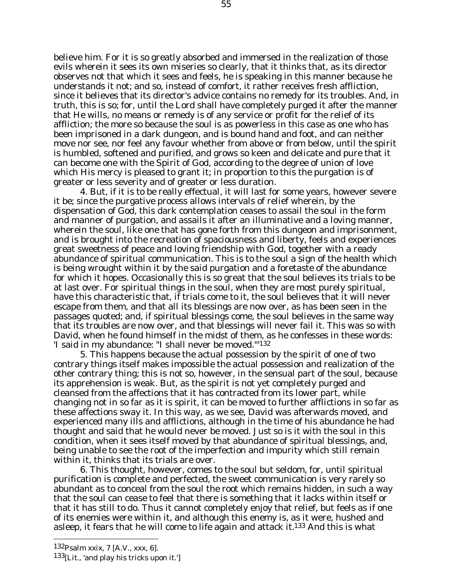believe him. For it is so greatly absorbed and immersed in the realization of those evils wherein it sees its own miseries so clearly, that it thinks that, as its director observes not that which it sees and feels, he is speaking in this manner because he understands it not; and so, instead of comfort, it rather receives fresh affliction, since it believes that its director's advice contains no remedy for its troubles. And, in truth, this is so; for, until the Lord shall have completely purged it after the manner that He wills, no means or remedy is of any service or profit for the relief of its affliction; the more so because the soul is as powerless in this case as one who has been imprisoned in a dark dungeon, and is bound hand and foot, and can neither move nor see, nor feel any favour whether from above or from below, until the spirit is humbled, softened and purified, and grows so keen and delicate and pure that it can become one with the Spirit of God, according to the degree of union of love which His mercy is pleased to grant it; in proportion to this the purgation is of greater or less severity and of greater or less duration.

4. But, if it is to be really effectual, it will last for some years, however severe it be; since the purgative process allows intervals of relief wherein, by the dispensation of God, this dark contemplation ceases to assail the soul in the form and manner of purgation, and assails it after an illuminative and a loving manner, wherein the soul, like one that has gone forth from this dungeon and imprisonment, and is brought into the recreation of spaciousness and liberty, feels and experiences great sweetness of peace and loving friendship with God, together with a ready abundance of spiritual communication. This is to the soul a sign of the health which is being wrought within it by the said purgation and a foretaste of the abundance for which it hopes. Occasionally this is so great that the soul believes its trials to be at last over. For spiritual things in the soul, when they are most purely spiritual, have this characteristic that, if trials come to it, the soul believes that it will never escape from them, and that all its blessings are now over, as has been seen in the passages quoted; and, if spiritual blessings come, the soul believes in the same way that its troubles are now over, and that blessings will never fail it. This was so with David, when he found himself in the midst of them, as he confesses in these words: 'I said in my abundance: "I shall never be moved."'132

5. This happens because the actual possession by the spirit of one of two contrary things itself makes impossible the actual possession and realization of the other contrary thing; this is not so, however, in the sensual part of the soul, because its apprehension is weak. But, as the spirit is not yet completely purged and cleansed from the affections that it has contracted from its lower part, while changing not in so far as it is spirit, it can be moved to further afflictions in so far as these affections sway it. In this way, as we see, David was afterwards moved, and experienced many ills and afflictions, although in the time of his abundance he had thought and said that he would never be moved. Just so is it with the soul in this condition, when it sees itself moved by that abundance of spiritual blessings, and, being unable to see the root of the imperfection and impurity which still remain within it, thinks that its trials are over.

6. This thought, however, comes to the soul but seldom, for, until spiritual purification is complete and perfected, the sweet communication is very rarely so abundant as to conceal from the soul the root which remains hidden, in such a way that the soul can cease to feel that there is something that it lacks within itself or that it has still to do. Thus it cannot completely enjoy that relief, but feels as if one of its enemies were within it, and although this enemy is, as it were, hushed and asleep, it fears that he will come to life again and attack it.133 And this is what

 $132$ Psalm xxix, 7 [A.V., xxx, 6].

<sup>133</sup>[*Lit.*, 'and play his tricks upon it.']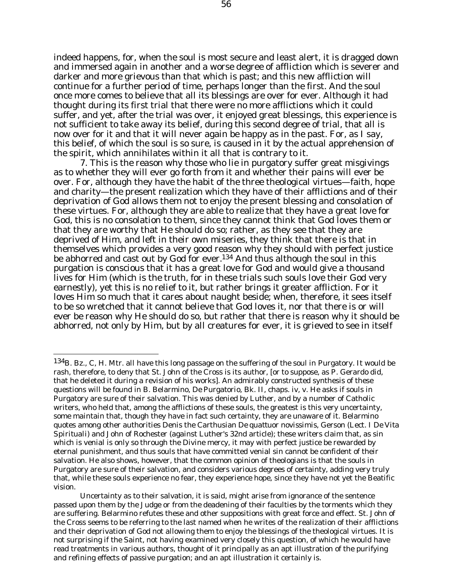indeed happens, for, when the soul is most secure and least alert, it is dragged down and immersed again in another and a worse degree of affliction which is severer and darker and more grievous than that which is past; and this new affliction will continue for a further period of time, perhaps longer than the first. And the soul once more comes to believe that all its blessings are over for ever. Although it had thought during its first trial that there were no more afflictions which it could suffer, and yet, after the trial was over, it enjoyed great blessings, this experience is not sufficient to take away its belief, during this second degree of trial, that all is now over for it and that it will never again be happy as in the past. For, as I say, this belief, of which the soul is so sure, is caused in it by the actual apprehension of the spirit, which annihilates within it all that is contrary to it.

7. This is the reason why those who lie in purgatory suffer great misgivings as to whether they will ever go forth from it and whether their pains will ever be over. For, although they have the habit of the three theological virtues—faith, hope and charity—the present realization which they have of their afflictions and of their deprivation of God allows them not to enjoy the present blessing and consolation of these virtues. For, although they are able to realize that they have a great love for God, this is no consolation to them, since they cannot think that God loves them or that they are worthy that He should do so; rather, as they see that they are deprived of Him, and left in their own miseries, they think that there is that in themselves which provides a very good reason why they should with perfect justice be abhorred and cast out by God for ever.134 And thus although the soul in this purgation is conscious that it has a great love for God and would give a thousand lives for Him (which is the truth, for in these trials such souls love their God very earnestly), yet this is no relief to it, but rather brings it greater affliction. For it loves Him so much that it cares about naught beside; when, therefore, it sees itself to be so wretched that it cannot believe that God loves it, nor that there is or will ever be reason why He should do so, but rather that there is reason why it should be abhorred, not only by Him, but by all creatures for ever, it is grieved to see in itself

Uncertainty as to their salvation, it is said, might arise from ignorance of the sentence passed upon them by the Judge or from the deadening of their faculties by the torments which they are suffering. Belarmino refutes these and other suppositions with great force and effect. St. John of the Cross seems to be referring to the last named when he writes of the realization of their afflictions and their deprivation of God not allowing them to enjoy the blessings of the theological virtues. It is not surprising if the Saint, not having examined very closely this question, of which he would have read treatments in various authors, thought of it principally as an apt illustration of the purifying and refining effects of passive purgation; and an apt illustration it certainly is.

<sup>134</sup>B. Bz., C, H. Mtr. all have this long passage on the suffering of the soul in Purgatory. It would be rash, therefore, to deny that St. John of the Cross is its author, [or to suppose, as P. Gerardo did, that he deleted it during a revision of his works]. An admirably constructed synthesis of these questions will be found in B. Belarmino, *De Purgatorio*, Bk. II, chaps. iv, v. He asks if souls in Purgatory are sure of their salvation. This was denied by Luther, and by a number of Catholic writers, who held that, among the afflictions of these souls, the greatest is this very uncertainty, some maintain that, though they have in fact such certainty, they are unaware of it. Belarmino quotes among other authorities Denis the Carthusian *De quattuor novissimis*, Gerson (Lect. I *De Vita Spirituali*) and John of Rochester (against Luther's 32nd article); these writers claim that, as sin which is venial is only so through the Divine mercy, it may with perfect justice be rewarded by eternal punishment, and thus souls that have committed venial sin cannot be confident of their salvation. He also shows, however, that the common opinion of theologians is that the souls in Purgatory are sure of their salvation, and considers various degrees of certainty, adding very truly that, while these souls experience no fear, they experience hope, since they have not yet the Beatific vision.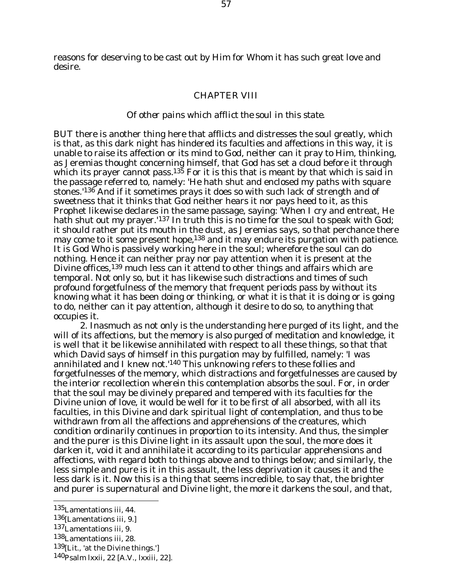reasons for deserving to be cast out by Him for Whom it has such great love and desire.

#### CHAPTER VIII

#### *Of other pains which afflict the soul in this state.*

BUT there is another thing here that afflicts and distresses the soul greatly, which is that, as this dark night has hindered its faculties and affections in this way, it is unable to raise its affection or its mind to God, neither can it pray to Him, thinking, as Jeremias thought concerning himself, that God has set a cloud before it through which its prayer cannot pass.<sup>135</sup> For it is this that is meant by that which is said in the passage referred to, namely: 'He hath shut and enclosed my paths with square stones.'136 And if it sometimes prays it does so with such lack of strength and of sweetness that it thinks that God neither hears it nor pays heed to it, as this Prophet likewise declares in the same passage, saying: 'When I cry and entreat, He hath shut out my prayer.<sup>'137</sup> In truth this is no time for the soul to speak with God; it should rather put its mouth in the dust, as Jeremias says, so that perchance there may come to it some present hope,<sup>138</sup> and it may endure its purgation with patience. It is God Who is passively working here in the soul; wherefore the soul can do nothing. Hence it can neither pray nor pay attention when it is present at the Divine offices,<sup>139</sup> much less can it attend to other things and affairs which are temporal. Not only so, but it has likewise such distractions and times of such profound forgetfulness of the memory that frequent periods pass by without its knowing what it has been doing or thinking, or what it is that it is doing or is going to do, neither can it pay attention, although it desire to do so, to anything that occupies it.

2. Inasmuch as not only is the understanding here purged of its light, and the will of its affections, but the memory is also purged of meditation and knowledge, it is well that it be likewise annihilated with respect to all these things, so that that which David says of himself in this purgation may by fulfilled, namely: 'I was annihilated and I knew not.'140 This unknowing refers to these follies and forgetfulnesses of the memory, which distractions and forgetfulnesses are caused by the interior recollection wherein this contemplation absorbs the soul. For, in order that the soul may be divinely prepared and tempered with its faculties for the Divine union of love, it would be well for it to be first of all absorbed, with all its faculties, in this Divine and dark spiritual light of contemplation, and thus to be withdrawn from all the affections and apprehensions of the creatures, which condition ordinarily continues in proportion to its intensity. And thus, the simpler and the purer is this Divine light in its assault upon the soul, the more does it darken it, void it and annihilate it according to its particular apprehensions and affections, with regard both to things above and to things below; and similarly, the less simple and pure is it in this assault, the less deprivation it causes it and the less dark is it. Now this is a thing that seems incredible, to say that, the brighter and purer is supernatural and Divine light, the more it darkens the soul, and that,

139[*Lit.*, 'at the Divine things.']

<sup>135</sup>Lamentations iii, 44.

<sup>136</sup>[Lamentations iii, 9.]

<sup>137</sup>Lamentations iii, 9.

<sup>138</sup>Lamentations iii, 28.

<sup>140</sup>Psalm lxxii, 22 [A.V., lxxiii, 22].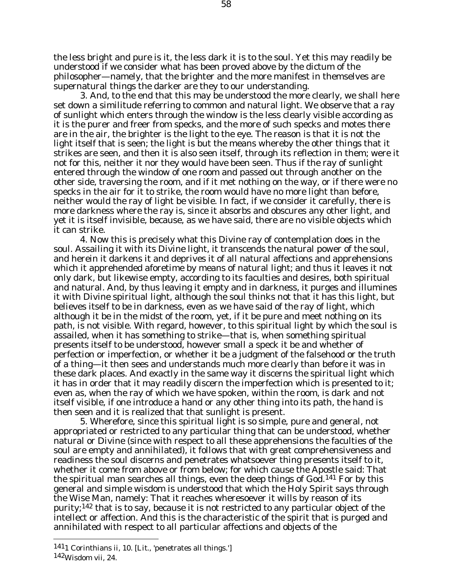the less bright and pure is it, the less dark it is to the soul. Yet this may readily be understood if we consider what has been proved above by the dictum of the philosopher—namely, that the brighter and the more manifest in themselves are supernatural things the darker are they to our understanding.

3. And, to the end that this may be understood the more clearly, we shall here set down a similitude referring to common and natural light. We observe that a ray of sunlight which enters through the window is the less clearly visible according as it is the purer and freer from specks, and the more of such specks and motes there are in the air, the brighter is the light to the eye. The reason is that it is not the light itself that is seen; the light is but the means whereby the other things that it strikes are seen, and then it is also seen itself, through its reflection in them; were it not for this, neither it nor they would have been seen. Thus if the ray of sunlight entered through the window of one room and passed out through another on the other side, traversing the room, and if it met nothing on the way, or if there were no specks in the air for it to strike, the room would have no more light than before, neither would the ray of light be visible. In fact, if we consider it carefully, there is more darkness where the ray is, since it absorbs and obscures any other light, and yet it is itself invisible, because, as we have said, there are no visible objects which it can strike.

4. Now this is precisely what this Divine ray of contemplation does in the soul. Assailing it with its Divine light, it transcends the natural power of the soul, and herein it darkens it and deprives it of all natural affections and apprehensions which it apprehended aforetime by means of natural light; and thus it leaves it not only dark, but likewise empty, according to its faculties and desires, both spiritual and natural. And, by thus leaving it empty and in darkness, it purges and illumines it with Divine spiritual light, although the soul thinks not that it has this light, but believes itself to be in darkness, even as we have said of the ray of light, which although it be in the midst of the room, yet, if it be pure and meet nothing on its path, is not visible. With regard, however, to this spiritual light by which the soul is assailed, when it has something to strike—that is, when something spiritual presents itself to be understood, however small a speck it be and whether of perfection or imperfection, or whether it be a judgment of the falsehood or the truth of a thing—it then sees and understands much more clearly than before it was in these dark places. And exactly in the same way it discerns the spiritual light which it has in order that it may readily discern the imperfection which is presented to it; even as, when the ray of which we have spoken, within the room, is dark and not itself visible, if one introduce a hand or any other thing into its path, the hand is then seen and it is realized that that sunlight is present.

5. Wherefore, since this spiritual light is so simple, pure and general, not appropriated or restricted to any particular thing that can be understood, whether natural or Divine (since with respect to all these apprehensions the faculties of the soul are empty and annihilated), it follows that with great comprehensiveness and readiness the soul discerns and penetrates whatsoever thing presents itself to it, whether it come from above or from below; for which cause the Apostle said: That the spiritual man searches all things, even the deep things of God.141 For by this general and simple wisdom is understood that which the Holy Spirit says through the Wise Man, namely: That it reaches wheresoever it wills by reason of its purity;142 that is to say, because it is not restricted to any particular object of the intellect or affection. And this is the characteristic of the spirit that is purged and annihilated with respect to all particular affections and objects of the

<sup>141</sup>1 Corinthians ii, 10. [*Lit.*, 'penetrates all things.'] 142Wisdom vii, 24.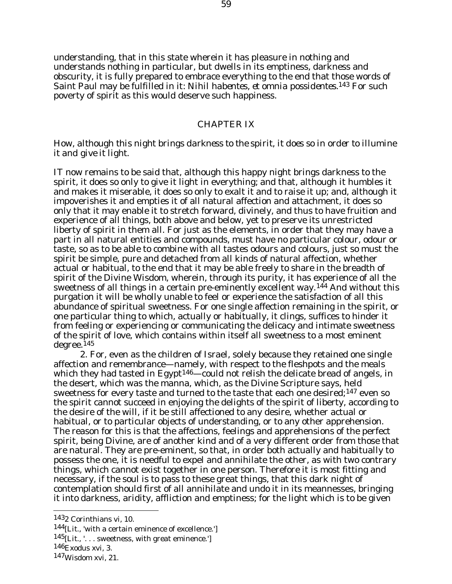understanding, that in this state wherein it has pleasure in nothing and understands nothing in particular, but dwells in its emptiness, darkness and obscurity, it is fully prepared to embrace everything to the end that those words of Saint Paul may be fulfilled in it: *Nihil habentes, et omnia possidentes*. 143 For such poverty of spirit as this would deserve such happiness.

### CHAPTER IX

## *How, although this night brings darkness to the spirit, it does so in order to illumine it and give it light.*

IT now remains to be said that, although this happy night brings darkness to the spirit, it does so only to give it light in everything; and that, although it humbles it and makes it miserable, it does so only to exalt it and to raise it up; and, although it impoverishes it and empties it of all natural affection and attachment, it does so only that it may enable it to stretch forward, divinely, and thus to have fruition and experience of all things, both above and below, yet to preserve its unrestricted liberty of spirit in them all. For just as the elements, in order that they may have a part in all natural entities and compounds, must have no particular colour, odour or taste, so as to be able to combine with all tastes odours and colours, just so must the spirit be simple, pure and detached from all kinds of natural affection, whether actual or habitual, to the end that it may be able freely to share in the breadth of spirit of the Divine Wisdom, wherein, through its purity, it has experience of all the sweetness of all things in a certain pre-eminently excellent way.144 And without this purgation it will be wholly unable to feel or experience the satisfaction of all this abundance of spiritual sweetness. For one single affection remaining in the spirit, or one particular thing to which, actually or habitually, it clings, suffices to hinder it from feeling or experiencing or communicating the delicacy and intimate sweetness of the spirit of love, which contains within itself all sweetness to a most eminent  $degree$ .<sup>145</sup>

2. For, even as the children of Israel, solely because they retained one single affection and remembrance—namely, with respect to the fleshpots and the meals which they had tasted in Egypt<sup>146</sup>—could not relish the delicate bread of angels, in the desert, which was the manna, which, as the Divine Scripture says, held sweetness for every taste and turned to the taste that each one desired;<sup>147</sup> even so the spirit cannot succeed in enjoying the delights of the spirit of liberty, according to the desire of the will, if it be still affectioned to any desire, whether actual or habitual, or to particular objects of understanding, or to any other apprehension. The reason for this is that the affections, feelings and apprehensions of the perfect spirit, being Divine, are of another kind and of a very different order from those that are natural. They are pre-eminent, so that, in order both actually and habitually to possess the one, it is needful to expel and annihilate the other, as with two contrary things, which cannot exist together in one person. Therefore it is most fitting and necessary, if the soul is to pass to these great things, that this dark night of contemplation should first of all annihilate and undo it in its meannesses, bringing it into darkness, aridity, affliction and emptiness; for the light which is to be given

<sup>143</sup>2 Corinthians vi, 10.

<sup>144</sup>[*Lit.*, 'with a certain eminence of excellence.']

<sup>145</sup>[*Lit.*, '. . . sweetness, with great eminence.']

<sup>146</sup>Exodus xvi, 3.

<sup>147</sup>Wisdom xvi, 21.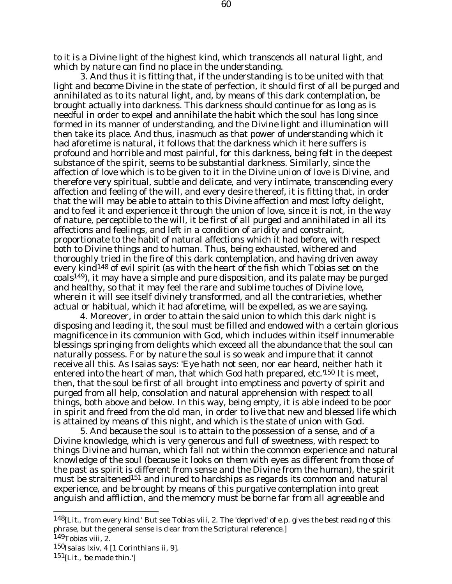to it is a Divine light of the highest kind, which transcends all natural light, and which by nature can find no place in the understanding.

3. And thus it is fitting that, if the understanding is to be united with that light and become Divine in the state of perfection, it should first of all be purged and annihilated as to its natural light, and, by means of this dark contemplation, be brought actually into darkness. This darkness should continue for as long as is needful in order to expel and annihilate the habit which the soul has long since formed in its manner of understanding, and the Divine light and illumination will then take its place. And thus, inasmuch as that power of understanding which it had aforetime is natural, it follows that the darkness which it here suffers is profound and horrible and most painful, for this darkness, being felt in the deepest substance of the spirit, seems to be substantial darkness. Similarly, since the affection of love which is to be given to it in the Divine union of love is Divine, and therefore very spiritual, subtle and delicate, and very intimate, transcending every affection and feeling of the will, and every desire thereof, it is fitting that, in order that the will may be able to attain to this Divine affection and most lofty delight, and to feel it and experience it through the union of love, since it is not, in the way of nature, perceptible to the will, it be first of all purged and annihilated in all its affections and feelings, and left in a condition of aridity and constraint, proportionate to the habit of natural affections which it had before, with respect both to Divine things and to human. Thus, being exhausted, withered and thoroughly tried in the fire of this dark contemplation, and having driven away every kind<sup>148</sup> of evil spirit (as with the heart of the fish which Tobias set on the  $coals<sup>149</sup>$ , it may have a simple and pure disposition, and its palate may be purged and healthy, so that it may feel the rare and sublime touches of Divine love, wherein it will see itself divinely transformed, and all the contrarieties, whether actual or habitual, which it had aforetime, will be expelled, as we are saying.

4. Moreover, in order to attain the said union to which this dark night is disposing and leading it, the soul must be filled and endowed with a certain glorious magnificence in its communion with God, which includes within itself innumerable blessings springing from delights which exceed all the abundance that the soul can naturally possess. For by nature the soul is so weak and impure that it cannot receive all this. As Isaias says: 'Eye hath not seen, nor ear heard, neither hath it entered into the heart of man, that which God hath prepared, etc.'150 It is meet, then, that the soul be first of all brought into emptiness and poverty of spirit and purged from all help, consolation and natural apprehension with respect to all things, both above and below. In this way, being empty, it is able indeed to be poor in spirit and freed from the old man, in order to live that new and blessed life which is attained by means of this night, and which is the state of union with God.

5. And because the soul is to attain to the possession of a sense, and of a Divine knowledge, which is very generous and full of sweetness, with respect to things Divine and human, which fall not within the common experience and natural knowledge of the soul (because it looks on them with eyes as different from those of the past as spirit is different from sense and the Divine from the human), the spirit must be straitened151 and inured to hardships as regards its common and natural experience, and be brought by means of this purgative contemplation into great anguish and affliction, and the memory must be borne far from all agreeable and

<sup>148</sup>[*Lit.*, 'from every kind.' But see Tobias viii, 2. The 'deprived' of e.p. gives the best reading of this phrase, but the general sense is clear from the Scriptural reference.]

<sup>149</sup>Tobias viii, 2.

 $150$ Isaias lxiv, 4 [1 Corinthians ii, 9].

<sup>151</sup>[*Lit.*, 'be made thin.']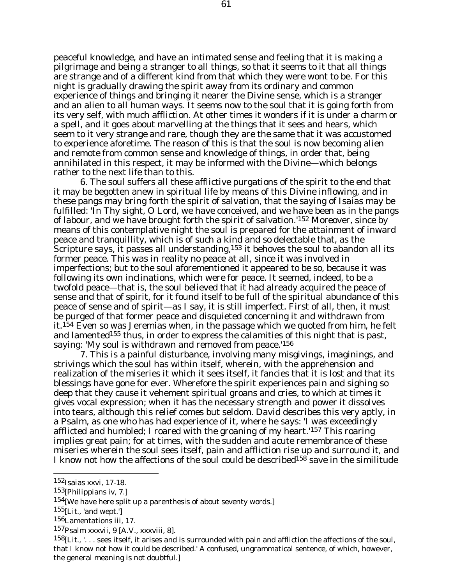peaceful knowledge, and have an intimated sense and feeling that it is making a pilgrimage and being a stranger to all things, so that it seems to it that all things are strange and of a different kind from that which they were wont to be. For this night is gradually drawing the spirit away from its ordinary and common experience of things and bringing it nearer the Divine sense, which is a stranger and an alien to all human ways. It seems now to the soul that it is going forth from its very self, with much affliction. At other times it wonders if it is under a charm or a spell, and it goes about marvelling at the things that it sees and hears, which seem to it very strange and rare, though they are the same that it was accustomed to experience aforetime. The reason of this is that the soul is now becoming alien and remote from common sense and knowledge of things, in order that, being annihilated in this respect, it may be informed with the Divine—which belongs rather to the next life than to this.

6. The soul suffers all these afflictive purgations of the spirit to the end that it may be begotten anew in spiritual life by means of this Divine inflowing, and in these pangs may bring forth the spirit of salvation, that the saying of Isaias may be fulfilled: 'In Thy sight, O Lord, we have conceived, and we have been as in the pangs of labour, and we have brought forth the spirit of salvation.'152 Moreover, since by means of this contemplative night the soul is prepared for the attainment of inward peace and tranquillity, which is of such a kind and so delectable that, as the Scripture says, it passes all understanding,  $153$  it behoves the soul to abandon all its former peace. This was in reality no peace at all, since it was involved in imperfections; but to the soul aforementioned it appeared to be so, because it was following its own inclinations, which were for peace. It seemed, indeed, to be a twofold peace—that is, the soul believed that it had already acquired the peace of sense and that of spirit, for it found itself to be full of the spiritual abundance of this peace of sense and of spirit—as I say, it is still imperfect. First of all, then, it must be purged of that former peace and disquieted concerning it and withdrawn from it.154 Even so was Jeremias when, in the passage which we quoted from him, he felt and lamented155 thus, in order to express the calamities of this night that is past, saying: 'My soul is withdrawn and removed from peace.'<sup>156</sup>

7. This is a painful disturbance, involving many misgivings, imaginings, and strivings which the soul has within itself, wherein, with the apprehension and realization of the miseries it which it sees itself, it fancies that it is lost and that its blessings have gone for ever. Wherefore the spirit experiences pain and sighing so deep that they cause it vehement spiritual groans and cries, to which at times it gives vocal expression; when it has the necessary strength and power it dissolves into tears, although this relief comes but seldom. David describes this very aptly, in a Psalm, as one who has had experience of it, where he says: 'I was exceedingly afflicted and humbled; I roared with the groaning of my heart.'157 This roaring implies great pain; for at times, with the sudden and acute remembrance of these miseries wherein the soul sees itself, pain and affliction rise up and surround it, and I know not how the affections of the soul could be described<sup>158</sup> save in the similitude

<sup>152</sup>Isaias xxvi, 17-18.

<sup>153</sup>[Philippians iv, 7.]

<sup>154</sup>[We have here split up a parenthesis of about seventy words.]

<sup>155</sup>[*Lit.*, 'and wept.']

<sup>156</sup>Lamentations iii, 17.

<sup>157</sup>Psalm xxxvii, 9 [A.V., xxxviii, 8].

<sup>158</sup>[*Lit.*, '. . . sees itself, it arises and is surrounded with pain and affliction the affections of the soul, that I know not how it could be described.' A confused, ungrammatical sentence, of which, however, the general meaning is not doubtful.]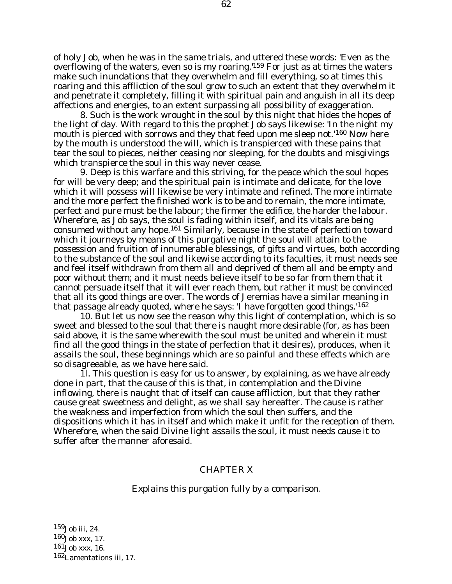of holy Job, when he was in the same trials, and uttered these words: 'Even as the overflowing of the waters, even so is my roaring.'159 For just as at times the waters make such inundations that they overwhelm and fill everything, so at times this roaring and this affliction of the soul grow to such an extent that they overwhelm it and penetrate it completely, filling it with spiritual pain and anguish in all its deep affections and energies, to an extent surpassing all possibility of exaggeration.

8. Such is the work wrought in the soul by this night that hides the hopes of the light of day. With regard to this the prophet Job says likewise: 'In the night my mouth is pierced with sorrows and they that feed upon me sleep not.<sup>'160</sup> Now here by the mouth is understood the will, which is transpierced with these pains that tear the soul to pieces, neither ceasing nor sleeping, for the doubts and misgivings which transpierce the soul in this way never cease.

9. Deep is this warfare and this striving, for the peace which the soul hopes for will be very deep; and the spiritual pain is intimate and delicate, for the love which it will possess will likewise be very intimate and refined. The more intimate and the more perfect the finished work is to be and to remain, the more intimate, perfect and pure must be the labour; the firmer the edifice, the harder the labour. Wherefore, as Job says, the soul is fading within itself, and its vitals are being consumed without any hope.161 Similarly, because in the state of perfection toward which it journeys by means of this purgative night the soul will attain to the possession and fruition of innumerable blessings, of gifts and virtues, both according to the substance of the soul and likewise according to its faculties, it must needs see and feel itself withdrawn from them all and deprived of them all and be empty and poor without them; and it must needs believe itself to be so far from them that it cannot persuade itself that it will ever reach them, but rather it must be convinced that all its good things are over. The words of Jeremias have a similar meaning in that passage already quoted, where he says: 'I have forgotten good things.'162

10. But let us now see the reason why this light of contemplation, which is so sweet and blessed to the soul that there is naught more desirable (for, as has been said above, it is the same wherewith the soul must be united and wherein it must find all the good things in the state of perfection that it desires), produces, when it assails the soul, these beginnings which are so painful and these effects which are so disagreeable, as we have here said.

1l. This question is easy for us to answer, by explaining, as we have already done in part, that the cause of this is that, in contemplation and the Divine inflowing, there is naught that of itself can cause affliction, but that they rather cause great sweetness and delight, as we shall say hereafter. The cause is rather the weakness and imperfection from which the soul then suffers, and the dispositions which it has in itself and which make it unfit for the reception of them. Wherefore, when the said Divine light assails the soul, it must needs cause it to suffer after the manner aforesaid.

### CHAPTER X

*Explains this purgation fully by a comparison.*

<sup>159</sup>Job iii, 24.

 $160$ Job xxx, 17.

 $161$  Job xxx, 16.

<sup>162</sup>Lamentations iii, 17.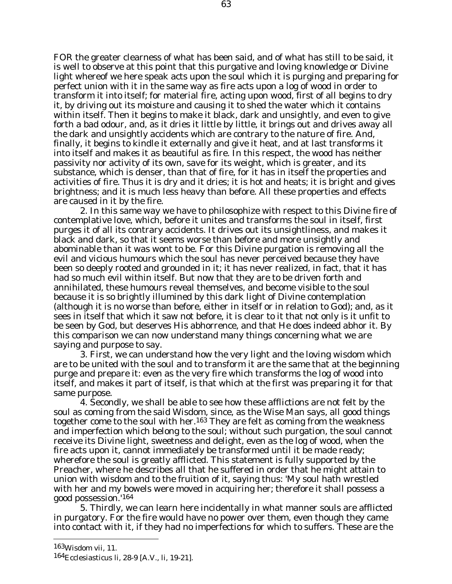FOR the greater clearness of what has been said, and of what has still to be said, it is well to observe at this point that this purgative and loving knowledge or Divine light whereof we here speak acts upon the soul which it is purging and preparing for perfect union with it in the same way as fire acts upon a log of wood in order to transform it into itself; for material fire, acting upon wood, first of all begins to dry it, by driving out its moisture and causing it to shed the water which it contains within itself. Then it begins to make it black, dark and unsightly, and even to give forth a bad odour, and, as it dries it little by little, it brings out and drives away all the dark and unsightly accidents which are contrary to the nature of fire. And, finally, it begins to kindle it externally and give it heat, and at last transforms it into itself and makes it as beautiful as fire. In this respect, the wood has neither passivity nor activity of its own, save for its weight, which is greater, and its substance, which is denser, than that of fire, for it has in itself the properties and activities of fire. Thus it is dry and it dries; it is hot and heats; it is bright and gives brightness; and it is much less heavy than before. All these properties and effects are caused in it by the fire.

2. In this same way we have to philosophize with respect to this Divine fire of contemplative love, which, before it unites and transforms the soul in itself, first purges it of all its contrary accidents. It drives out its unsightliness, and makes it black and dark, so that it seems worse than before and more unsightly and abominable than it was wont to be. For this Divine purgation is removing all the evil and vicious humours which the soul has never perceived because they have been so deeply rooted and grounded in it; it has never realized, in fact, that it has had so much evil within itself. But now that they are to be driven forth and annihilated, these humours reveal themselves, and become visible to the soul because it is so brightly illumined by this dark light of Divine contemplation (although it is no worse than before, either in itself or in relation to God); and, as it sees in itself that which it saw not before, it is clear to it that not only is it unfit to be seen by God, but deserves His abhorrence, and that He does indeed abhor it. By this comparison we can now understand many things concerning what we are saying and purpose to say.

3. First, we can understand how the very light and the loving wisdom which are to be united with the soul and to transform it are the same that at the beginning purge and prepare it: even as the very fire which transforms the log of wood into itself, and makes it part of itself, is that which at the first was preparing it for that same purpose.

4. Secondly, we shall be able to see how these afflictions are not felt by the soul as coming from the said Wisdom, since, as the Wise Man says, all good things together come to the soul with her.163 They are felt as coming from the weakness and imperfection which belong to the soul; without such purgation, the soul cannot receive its Divine light, sweetness and delight, even as the log of wood, when the fire acts upon it, cannot immediately be transformed until it be made ready; wherefore the soul is greatly afflicted. This statement is fully supported by the Preacher, where he describes all that he suffered in order that he might attain to union with wisdom and to the fruition of it, saying thus: 'My soul hath wrestled with her and my bowels were moved in acquiring her; therefore it shall possess a good possession.'164

5. Thirdly, we can learn here incidentally in what manner souls are afflicted in purgatory. For the fire would have no power over them, even though they came into contact with it, if they had no imperfections for which to suffers. These are the

<sup>164</sup>Ecclesiasticus li, 28-9 [A.V., li, 19-21].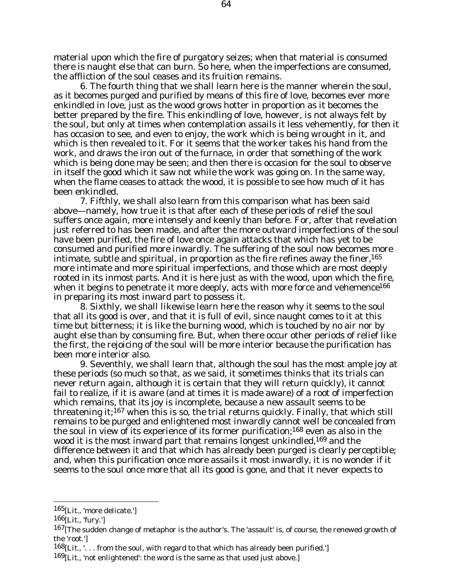material upon which the fire of purgatory seizes; when that material is consumed there is naught else that can burn. So here, when the imperfections are consumed, the affliction of the soul ceases and its fruition remains.

6. The fourth thing that we shall learn here is the manner wherein the soul, as it becomes purged and purified by means of this fire of love, becomes ever more enkindled in love, just as the wood grows hotter in proportion as it becomes the better prepared by the fire. This enkindling of love, however, is not always felt by the soul, but only at times when contemplation assails it less vehemently, for then it has occasion to see, and even to enjoy, the work which is being wrought in it, and which is then revealed to it. For it seems that the worker takes his hand from the work, and draws the iron out of the furnace, in order that something of the work which is being done may be seen; and then there is occasion for the soul to observe in itself the good which it saw not while the work was going on. In the same way, when the flame ceases to attack the wood, it is possible to see how much of it has been enkindled.

7. Fifthly, we shall also learn from this comparison what has been said above—namely, how true it is that after each of these periods of relief the soul suffers once again, more intensely and keenly than before. For, after that revelation just referred to has been made, and after the more outward imperfections of the soul have been purified, the fire of love once again attacks that which has yet to be consumed and purified more inwardly. The suffering of the soul now becomes more intimate, subtle and spiritual, in proportion as the fire refines away the finer,  $165$ more intimate and more spiritual imperfections, and those which are most deeply rooted in its inmost parts. And it is here just as with the wood, upon which the fire, when it begins to penetrate it more deeply, acts with more force and vehemence<sup>166</sup> in preparing its most inward part to possess it.

8. Sixthly, we shall likewise learn here the reason why it seems to the soul that all its good is over, and that it is full of evil, since naught comes to it at this time but bitterness; it is like the burning wood, which is touched by no air nor by aught else than by consuming fire. But, when there occur other periods of relief like the first, the rejoicing of the soul will be more interior because the purification has been more interior also.

9. Seventhly, we shall learn that, although the soul has the most ample joy at these periods (so much so that, as we said, it sometimes thinks that its trials can never return again, although it is certain that they will return quickly), it cannot fail to realize, if it is aware (and at times it is made aware) of a root of imperfection which remains, that its joy is incomplete, because a new assault seems to be threatening it;167 when this is so, the trial returns quickly. Finally, that which still remains to be purged and enlightened most inwardly cannot well be concealed from the soul in view of its experience of its former purification;168 even as also in the wood it is the most inward part that remains longest unkindled,<sup>169</sup> and the difference between it and that which has already been purged is clearly perceptible; and, when this purification once more assails it most inwardly, it is no wonder if it seems to the soul once more that all its good is gone, and that it never expects to

<sup>165</sup>[*Lit.*, 'more delicate.']

<sup>166</sup>[*Lit.*, 'fury.']

 $167$ [The sudden change of metaphor is the author's. The 'assault' is, of course, the renewed growth of the 'root.']

<sup>&</sup>lt;sup>168</sup>[*Lit.*, '... from the soul, with regard to that which has already been purified.']

<sup>&</sup>lt;sup>169</sup>[*Lit.,* 'not enlightened': the word is the same as that used just above.]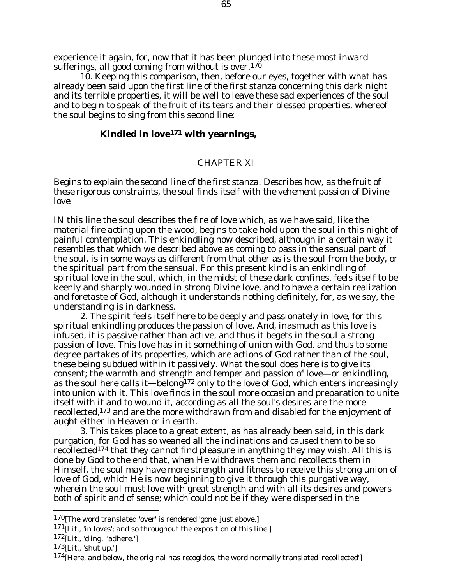experience it again, for, now that it has been plunged into these most inward sufferings, all good coming from without is over.  $170$ 

10. Keeping this comparison, then, before our eyes, together with what has already been said upon the first line of the first stanza concerning this dark night and its terrible properties, it will be well to leave these sad experiences of the soul and to begin to speak of the fruit of its tears and their blessed properties, whereof the soul begins to sing from this second line:

# **Kindled in love171 with yearnings,**

# CHAPTER XI

*Begins to explain the second line of the first stanza. Describes how, as the fruit of these rigorous constraints, the soul finds itself with the vehement passion of Divine love.*

IN this line the soul describes the fire of love which, as we have said, like the material fire acting upon the wood, begins to take hold upon the soul in this night of painful contemplation. This enkindling now described, although in a certain way it resembles that which we described above as coming to pass in the sensual part of the soul, is in some ways as different from that other as is the soul from the body, or the spiritual part from the sensual. For this present kind is an enkindling of spiritual love in the soul, which, in the midst of these dark confines, feels itself to be keenly and sharply wounded in strong Divine love, and to have a certain realization and foretaste of God, although it understands nothing definitely, for, as we say, the understanding is in darkness.

2. The spirit feels itself here to be deeply and passionately in love, for this spiritual enkindling produces the passion of love. And, inasmuch as this love is infused, it is passive rather than active, and thus it begets in the soul a strong passion of love. This love has in it something of union with God, and thus to some degree partakes of its properties, which are actions of God rather than of the soul, these being subdued within it passively. What the soul does here is to give its consent; the warmth and strength and temper and passion of love—or enkindling, as the soul here calls it—belong172 only to the love of God, which enters increasingly into union with it. This love finds in the soul more occasion and preparation to unite itself with it and to wound it, according as all the soul's desires are the more recollected,173 and are the more withdrawn from and disabled for the enjoyment of aught either in Heaven or in earth.

3. This takes place to a great extent, as has already been said, in this dark purgation, for God has so weaned all the inclinations and caused them to be so recollected174 that they cannot find pleasure in anything they may wish. All this is done by God to the end that, when He withdraws them and recollects them in Himself, the soul may have more strength and fitness to receive this strong union of love of God, which He is now beginning to give it through this purgative way, wherein the soul must love with great strength and with all its desires and powers both of spirit and of sense; which could not be if they were dispersed in the

<sup>170</sup>[The word translated 'over' is rendered 'gone' just above.]

<sup>171</sup>[*Lit.*, 'in loves'; and so throughout the exposition of this line.]

<sup>172</sup>[*Lit.*, 'cling,' 'adhere.']

<sup>173</sup>[*Lit.*, 'shut up.']

<sup>174</sup>[Here, and below, the original has *recogidos*, the word normally translated 'recollected']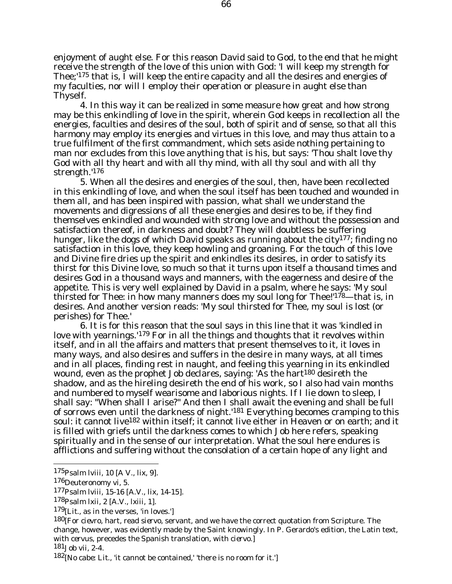enjoyment of aught else. For this reason David said to God, to the end that he might receive the strength of the love of this union with God: 'I will keep my strength for Thee;<sup>'175</sup> that is, I will keep the entire capacity and all the desires and energies of my faculties, nor will I employ their operation or pleasure in aught else than Thyself.

4. In this way it can be realized in some measure how great and how strong may be this enkindling of love in the spirit, wherein God keeps in recollection all the energies, faculties and desires of the soul, both of spirit and of sense, so that all this harmony may employ its energies and virtues in this love, and may thus attain to a true fulfilment of the first commandment, which sets aside nothing pertaining to man nor excludes from this love anything that is his, but says: 'Thou shalt love thy God with all thy heart and with all thy mind, with all thy soul and with all thy strength.'176

5. When all the desires and energies of the soul, then, have been recollected in this enkindling of love, and when the soul itself has been touched and wounded in them all, and has been inspired with passion, what shall we understand the movements and digressions of all these energies and desires to be, if they find themselves enkindled and wounded with strong love and without the possession and satisfaction thereof, in darkness and doubt? They will doubtless be suffering hunger, like the dogs of which David speaks as running about the city<sup>177</sup>; finding no satisfaction in this love, they keep howling and groaning. For the touch of this love and Divine fire dries up the spirit and enkindles its desires, in order to satisfy its thirst for this Divine love, so much so that it turns upon itself a thousand times and desires God in a thousand ways and manners, with the eagerness and desire of the appetite. This is very well explained by David in a psalm, where he says: 'My soul thirsted for Thee: in how many manners does my soul long for Thee!' $178$ —that is, in desires. And another version reads: 'My soul thirsted for Thee, my soul is lost (or perishes) for Thee.'

6. It is for this reason that the soul says in this line that it was 'kindled in love with yearnings.<sup>'179</sup> For in all the things and thoughts that it revolves within itself, and in all the affairs and matters that present themselves to it, it loves in many ways, and also desires and suffers in the desire in many ways, at all times and in all places, finding rest in naught, and feeling this yearning in its enkindled wound, even as the prophet Job declares, saying: 'As the hart180 desireth the shadow, and as the hireling desireth the end of his work, so I also had vain months and numbered to myself wearisome and laborious nights. If I lie down to sleep, I shall say: "When shall I arise?" And then I shall await the evening and shall be full of sorrows even until the darkness of night.'181 Everything becomes cramping to this soul: it cannot live<sup>182</sup> within itself; it cannot live either in Heaven or on earth; and it is filled with griefs until the darkness comes to which Job here refers, speaking spiritually and in the sense of our interpretation. What the soul here endures is afflictions and suffering without the consolation of a certain hope of any light and

181Job vii, 2-4.

<sup>175</sup>Psalm lviii, 10 [A V., lix, 9].

<sup>176</sup>Deuteronomy vi, 5.

<sup>177</sup>Psalm lviii, 15-16 [A.V., lix, 14-15].

<sup>178</sup>Psalm lxii, 2 [A.V., lxiii, 1].

 $179$ [*Lit.*, as in the verses, 'in loves.']

<sup>180</sup>[For *cievro*, hart, read *siervo*, servant, and we have the correct quotation from Scripture. The change, however, was evidently made by the Saint knowingly. In P. Gerardo's edition, the Latin text, with *cervus*, precedes the Spanish translation, with *ciervo*.]

<sup>182</sup>[*No cabe: Lit.*, 'it cannot be contained,' 'there is no room for it.']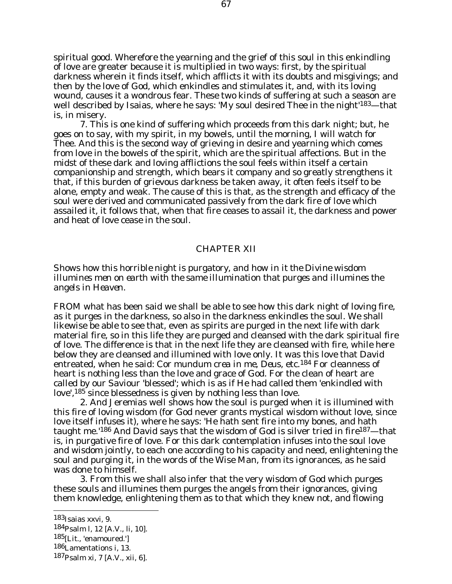spiritual good. Wherefore the yearning and the grief of this soul in this enkindling of love are greater because it is multiplied in two ways: first, by the spiritual darkness wherein it finds itself, which afflicts it with its doubts and misgivings; and then by the love of God, which enkindles and stimulates it, and, with its loving wound, causes it a wondrous fear. These two kinds of suffering at such a season are well described by Isaias, where he says: 'My soul desired Thee in the night'183—that is, in misery.

7. This is one kind of suffering which proceeds from this dark night; but, he goes on to say, with my spirit, in my bowels, until the morning, I will watch for Thee. And this is the second way of grieving in desire and yearning which comes from love in the bowels of the spirit, which are the spiritual affections. But in the midst of these dark and loving afflictions the soul feels within itself a certain companionship and strength, which bears it company and so greatly strengthens it that, if this burden of grievous darkness be taken away, it often feels itself to be alone, empty and weak. The cause of this is that, as the strength and efficacy of the soul were derived and communicated passively from the dark fire of love which assailed it, it follows that, when that fire ceases to assail it, the darkness and power and heat of love cease in the soul.

### CHAPTER XII

### *Shows how this horrible night is purgatory, and how in it the Divine wisdom illumines men on earth with the same illumination that purges and illumines the angels in Heaven.*

FROM what has been said we shall be able to see how this dark night of loving fire, as it purges in the darkness, so also in the darkness enkindles the soul. We shall likewise be able to see that, even as spirits are purged in the next life with dark material fire, so in this life they are purged and cleansed with the dark spiritual fire of love. The difference is that in the next life they are cleansed with fire, while here below they are cleansed and illumined with love only. It was this love that David entreated, when he said: *Cor mundum crea in me, Deus*, etc.184 For cleanness of heart is nothing less than the love and grace of God. For the clean of heart are called by our Saviour 'blessed'; which is as if He had called them 'enkindled with love',185 since blessedness is given by nothing less than love.

2. And Jeremias well shows how the soul is purged when it is illumined with this fire of loving wisdom (for God never grants mystical wisdom without love, since love itself infuses it), where he says: 'He hath sent fire into my bones, and hath taught me.'186 And David says that the wisdom of God is silver tried in fire187—that is, in purgative fire of love. For this dark contemplation infuses into the soul love and wisdom jointly, to each one according to his capacity and need, enlightening the soul and purging it, in the words of the Wise Man, from its ignorances, as he said was done to himself.

3. From this we shall also infer that the very wisdom of God which purges these souls and illumines them purges the angels from their ignorances, giving them knowledge, enlightening them as to that which they knew not, and flowing

<sup>183</sup>Isaias xxvi, 9.

<sup>184</sup>Psalm l, 12 [A.V., li, 10].

<sup>185</sup>[*Lit.*, 'enamoured.']

<sup>186</sup>Lamentations i, 13.

<sup>187</sup>Psalm xi, 7 [A.V., xii, 6].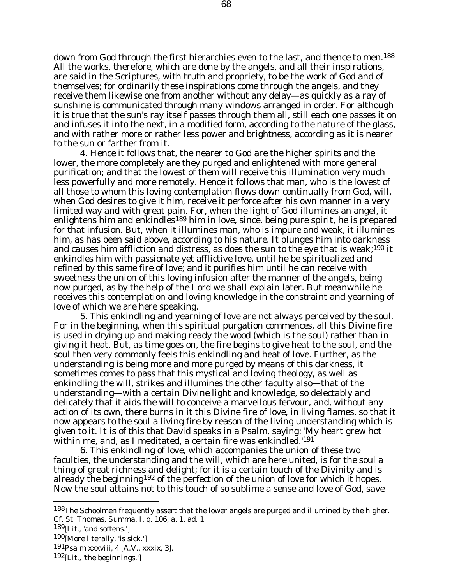down from God through the first hierarchies even to the last, and thence to men.<sup>188</sup> All the works, therefore, which are done by the angels, and all their inspirations, are said in the Scriptures, with truth and propriety, to be the work of God and of themselves; for ordinarily these inspirations come through the angels, and they receive them likewise one from another without any delay—as quickly as a ray of sunshine is communicated through many windows arranged in order. For although it is true that the sun's ray itself passes through them all, still each one passes it on and infuses it into the next, in a modified form, according to the nature of the glass, and with rather more or rather less power and brightness, according as it is nearer to the sun or farther from it.

4. Hence it follows that, the nearer to God are the higher spirits and the lower, the more completely are they purged and enlightened with more general purification; and that the lowest of them will receive this illumination very much less powerfully and more remotely. Hence it follows that man, who is the lowest of all those to whom this loving contemplation flows down continually from God, will, when God desires to give it him, receive it perforce after his own manner in a very limited way and with great pain. For, when the light of God illumines an angel, it enlightens him and enkindles<sup>189</sup> him in love, since, being pure spirit, he is prepared for that infusion. But, when it illumines man, who is impure and weak, it illumines him, as has been said above, according to his nature. It plunges him into darkness and causes him affliction and distress, as does the sun to the eye that is weak;<sup>190</sup> it enkindles him with passionate yet afflictive love, until he be spiritualized and refined by this same fire of love; and it purifies him until he can receive with sweetness the union of this loving infusion after the manner of the angels, being now purged, as by the help of the Lord we shall explain later. But meanwhile he receives this contemplation and loving knowledge in the constraint and yearning of love of which we are here speaking.

5. This enkindling and yearning of love are not always perceived by the soul. For in the beginning, when this spiritual purgation commences, all this Divine fire is used in drying up and making ready the wood (which is the soul) rather than in giving it heat. But, as time goes on, the fire begins to give heat to the soul, and the soul then very commonly feels this enkindling and heat of love. Further, as the understanding is being more and more purged by means of this darkness, it sometimes comes to pass that this mystical and loving theology, as well as enkindling the will, strikes and illumines the other faculty also—that of the understanding—with a certain Divine light and knowledge, so delectably and delicately that it aids the will to conceive a marvellous fervour, and, without any action of its own, there burns in it this Divine fire of love, in living flames, so that it now appears to the soul a living fire by reason of the living understanding which is given to it. It is of this that David speaks in a Psalm, saying: 'My heart grew hot within me, and, as I meditated, a certain fire was enkindled.'191

6. This enkindling of love, which accompanies the union of these two faculties, the understanding and the will, which are here united, is for the soul a thing of great richness and delight; for it is a certain touch of the Divinity and is already the beginning192 of the perfection of the union of love for which it hopes. Now the soul attains not to this touch of so sublime a sense and love of God, save

<sup>188</sup>The Schoolmen frequently assert that the lower angels are purged and illumined by the higher. Cf. St. Thomas, *Summa*, I, q. 106, a. 1, ad. 1.

<sup>189</sup>[*Lit.*, 'and softens.']

<sup>190</sup>[More literally, 'is sick.']

 $191$ Psalm xxxviii, 4 [A.V., xxxix, 3].

<sup>192</sup>[*Lit.*, 'the beginnings.']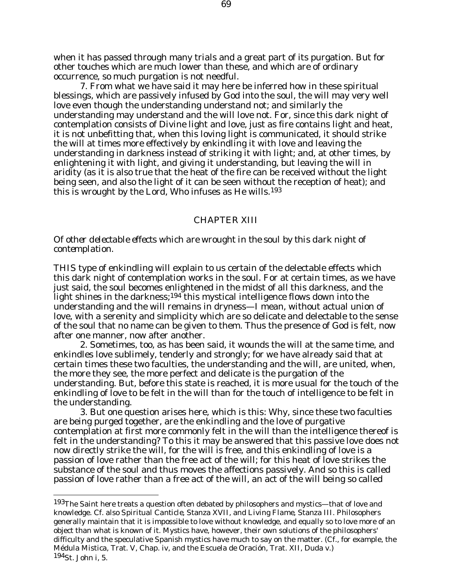when it has passed through many trials and a great part of its purgation. But for other touches which are much lower than these, and which are of ordinary occurrence, so much purgation is not needful.

7. From what we have said it may here be inferred how in these spiritual blessings, which are passively infused by God into the soul, the will may very well love even though the understanding understand not; and similarly the understanding may understand and the will love not. For, since this dark night of contemplation consists of Divine light and love, just as fire contains light and heat, it is not unbefitting that, when this loving light is communicated, it should strike the will at times more effectively by enkindling it with love and leaving the understanding in darkness instead of striking it with light; and, at other times, by enlightening it with light, and giving it understanding, but leaving the will in aridity (as it is also true that the heat of the fire can be received without the light being seen, and also the light of it can be seen without the reception of heat); and this is wrought by the Lord, Who infuses as He wills.<sup>193</sup>

### CHAPTER XIII

### *Of other delectable effects which are wrought in the soul by this dark night of contemplation.*

THIS type of enkindling will explain to us certain of the delectable effects which this dark night of contemplation works in the soul. For at certain times, as we have just said, the soul becomes enlightened in the midst of all this darkness, and the light shines in the darkness;<sup>194</sup> this mystical intelligence flows down into the understanding and the will remains in dryness—I mean, without actual union of love, with a serenity and simplicity which are so delicate and delectable to the sense of the soul that no name can be given to them. Thus the presence of God is felt, now after one manner, now after another.

2. Sometimes, too, as has been said, it wounds the will at the same time, and enkindles love sublimely, tenderly and strongly; for we have already said that at certain times these two faculties, the understanding and the will, are united, when, the more they see, the more perfect and delicate is the purgation of the understanding. But, before this state is reached, it is more usual for the touch of the enkindling of love to be felt in the will than for the touch of intelligence to be felt in the understanding.

3. But one question arises here, which is this: Why, since these two faculties are being purged together, are the enkindling and the love of purgative contemplation at first more commonly felt in the will than the intelligence thereof is felt in the understanding? To this it may be answered that this passive love does not now directly strike the will, for the will is free, and this enkindling of love is a passion of love rather than the free act of the will; for this heat of love strikes the substance of the soul and thus moves the affections passively. And so this is called passion of love rather than a free act of the will, an act of the will being so called

<sup>193</sup>The Saint here treats a question often debated by philosophers and mystics—that of love and knowledge. Cf. also *Spiritual Canticle*, Stanza XVII, and *Living Flame*, Stanza III. Philosophers generally maintain that it is impossible to love without knowledge, and equally so to love more of an object than what is known of it. Mystics have, however, their own solutions of the philosophers' difficulty and the speculative Spanish mystics have much to say on the matter. (Cf., for example, the Médula Mistica, Trat. V, Chap. iv, and the Escuela de Oración, Trat. XII, Duda v.) 194St. John i, 5.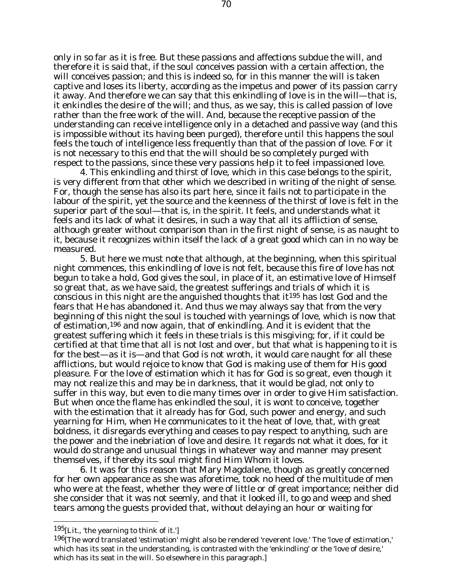only in so far as it is free. But these passions and affections subdue the will, and therefore it is said that, if the soul conceives passion with a certain affection, the will conceives passion; and this is indeed so, for in this manner the will is taken captive and loses its liberty, according as the impetus and power of its passion carry it away. And therefore we can say that this enkindling of love is in the will—that is, it enkindles the desire of the will; and thus, as we say, this is called passion of love rather than the free work of the will. And, because the receptive passion of the understanding can receive intelligence only in a detached and passive way (and this is impossible without its having been purged), therefore until this happens the soul feels the touch of intelligence less frequently than that of the passion of love. For it is not necessary to this end that the will should be so completely purged with respect to the passions, since these very passions help it to feel impassioned love.

4. This enkindling and thirst of love, which in this case belongs to the spirit, is very different from that other which we described in writing of the night of sense. For, though the sense has also its part here, since it fails not to participate in the labour of the spirit, yet the source and the keenness of the thirst of love is felt in the superior part of the soul—that is, in the spirit. It feels, and understands what it feels and its lack of what it desires, in such a way that all its affliction of sense, although greater without comparison than in the first night of sense, is as naught to it, because it recognizes within itself the lack of a great good which can in no way be measured.

5. But here we must note that although, at the beginning, when this spiritual night commences, this enkindling of love is not felt, because this fire of love has not begun to take a hold, God gives the soul, in place of it, an estimative love of Himself so great that, as we have said, the greatest sufferings and trials of which it is conscious in this night are the anguished thoughts that it195 has lost God and the fears that He has abandoned it. And thus we may always say that from the very beginning of this night the soul is touched with yearnings of love, which is now that of estimation,196 and now again, that of enkindling. And it is evident that the greatest suffering which it feels in these trials is this misgiving; for, if it could be certified at that time that all is not lost and over, but that what is happening to it is for the best—as it is—and that God is not wroth, it would care naught for all these afflictions, but would rejoice to know that God is making use of them for His good pleasure. For the love of estimation which it has for God is so great, even though it may not realize this and may be in darkness, that it would be glad, not only to suffer in this way, but even to die many times over in order to give Him satisfaction. But when once the flame has enkindled the soul, it is wont to conceive, together with the estimation that it already has for God, such power and energy, and such yearning for Him, when He communicates to it the heat of love, that, with great boldness, it disregards everything and ceases to pay respect to anything, such are the power and the inebriation of love and desire. It regards not what it does, for it would do strange and unusual things in whatever way and manner may present themselves, if thereby its soul might find Him Whom it loves.

6. It was for this reason that Mary Magdalene, though as greatly concerned for her own appearance as she was aforetime, took no heed of the multitude of men who were at the feast, whether they were of little or of great importance; neither did she consider that it was not seemly, and that it looked ill, to go and weep and shed tears among the guests provided that, without delaying an hour or waiting for

<sup>195</sup>[*Lit.*, 'the yearning to think of it.']

<sup>196</sup>[The word translated 'estimation' might also be rendered 'reverent love.' The 'love of estimation,' which has its seat in the understanding, is contrasted with the 'enkindling' or the 'love of desire,' which has its seat in the will. So elsewhere in this paragraph.]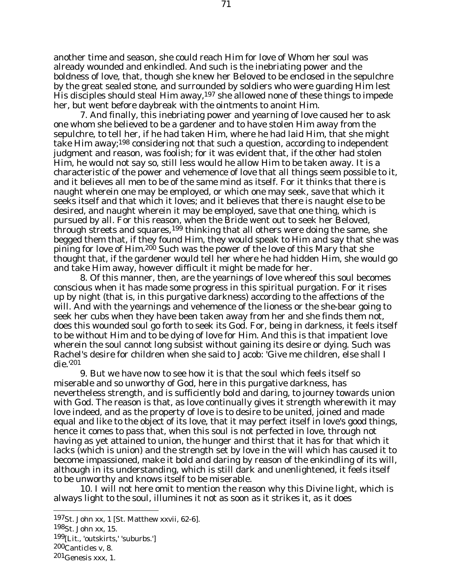another time and season, she could reach Him for love of Whom her soul was already wounded and enkindled. And such is the inebriating power and the boldness of love, that, though she knew her Beloved to be enclosed in the sepulchre by the great sealed stone, and surrounded by soldiers who were guarding Him lest His disciples should steal Him away,<sup>197</sup> she allowed none of these things to impede her, but went before daybreak with the ointments to anoint Him.

7. And finally, this inebriating power and yearning of love caused her to ask one whom she believed to be a gardener and to have stolen Him away from the sepulchre, to tell her, if he had taken Him, where he had laid Him, that she might take Him away;198 considering not that such a question, according to independent judgment and reason, was foolish; for it was evident that, if the other had stolen Him, he would not say so, still less would he allow Him to be taken away. It is a characteristic of the power and vehemence of love that all things seem possible to it, and it believes all men to be of the same mind as itself. For it thinks that there is naught wherein one may be employed, or which one may seek, save that which it seeks itself and that which it loves; and it believes that there is naught else to be desired, and naught wherein it may be employed, save that one thing, which is pursued by all. For this reason, when the Bride went out to seek her Beloved, through streets and squares,199 thinking that all others were doing the same, she begged them that, if they found Him, they would speak to Him and say that she was pining for love of Him.<sup>200</sup> Such was the power of the love of this Mary that she thought that, if the gardener would tell her where he had hidden Him, she would go and take Him away, however difficult it might be made for her.

8. Of this manner, then, are the yearnings of love whereof this soul becomes conscious when it has made some progress in this spiritual purgation. For it rises up by night (that is, in this purgative darkness) according to the affections of the will. And with the yearnings and vehemence of the lioness or the she-bear going to seek her cubs when they have been taken away from her and she finds them not, does this wounded soul go forth to seek its God. For, being in darkness, it feels itself to be without Him and to be dying of love for Him. And this is that impatient love wherein the soul cannot long subsist without gaining its desire or dying. Such was Rachel's desire for children when she said to Jacob: 'Give me children, else shall I die.'201

9. But we have now to see how it is that the soul which feels itself so miserable and so unworthy of God, here in this purgative darkness, has nevertheless strength, and is sufficiently bold and daring, to journey towards union with God. The reason is that, as love continually gives it strength wherewith it may love indeed, and as the property of love is to desire to be united, joined and made equal and like to the object of its love, that it may perfect itself in love's good things, hence it comes to pass that, when this soul is not perfected in love, through not having as yet attained to union, the hunger and thirst that it has for that which it lacks (which is union) and the strength set by love in the will which has caused it to become impassioned, make it bold and daring by reason of the enkindling of its will, although in its understanding, which is still dark and unenlightened, it feels itself to be unworthy and knows itself to be miserable.

10. I will not here omit to mention the reason why this Divine light, which is always light to the soul, illumines it not as soon as it strikes it, as it does

<sup>197</sup>St. John xx, 1 [St. Matthew xxvii, 62-6].

<sup>198</sup>St. John xx, 15.

<sup>199</sup>[*Lit.*, 'outskirts,' 'suburbs.']

<sup>200</sup>Canticles v, 8.

<sup>201</sup>Genesis xxx, 1.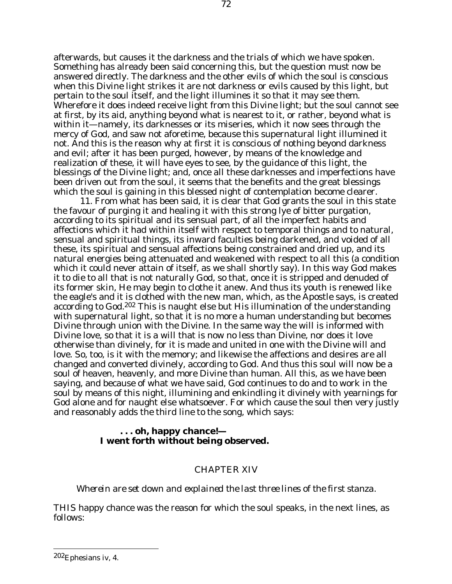afterwards, but causes it the darkness and the trials of which we have spoken. Something has already been said concerning this, but the question must now be answered directly. The darkness and the other evils of which the soul is conscious when this Divine light strikes it are not darkness or evils caused by this light, but pertain to the soul itself, and the light illumines it so that it may see them. Wherefore it does indeed receive light from this Divine light; but the soul cannot see at first, by its aid, anything beyond what is nearest to it, or rather, beyond what is within it—namely, its darknesses or its miseries, which it now sees through the mercy of God, and saw not aforetime, because this supernatural light illumined it not. And this is the reason why at first it is conscious of nothing beyond darkness and evil; after it has been purged, however, by means of the knowledge and realization of these, it will have eyes to see, by the guidance of this light, the blessings of the Divine light; and, once all these darknesses and imperfections have been driven out from the soul, it seems that the benefits and the great blessings which the soul is gaining in this blessed night of contemplation become clearer.

11. From what has been said, it is clear that God grants the soul in this state the favour of purging it and healing it with this strong lye of bitter purgation, according to its spiritual and its sensual part, of all the imperfect habits and affections which it had within itself with respect to temporal things and to natural, sensual and spiritual things, its inward faculties being darkened, and voided of all these, its spiritual and sensual affections being constrained and dried up, and its natural energies being attenuated and weakened with respect to all this (a condition which it could never attain of itself, as we shall shortly say). In this way God makes it to die to all that is not naturally God, so that, once it is stripped and denuded of its former skin, He may begin to clothe it anew. And thus its youth is renewed like the eagle's and it is clothed with the new man, which, as the Apostle says, is created according to God.202 This is naught else but His illumination of the understanding with supernatural light, so that it is no more a human understanding but becomes Divine through union with the Divine. In the same way the will is informed with Divine love, so that it is a will that is now no less than Divine, nor does it love otherwise than divinely, for it is made and united in one with the Divine will and love. So, too, is it with the memory; and likewise the affections and desires are all changed and converted divinely, according to God. And thus this soul will now be a soul of heaven, heavenly, and more Divine than human. All this, as we have been saying, and because of what we have said, God continues to do and to work in the soul by means of this night, illumining and enkindling it divinely with yearnings for God alone and for naught else whatsoever. For which cause the soul then very justly and reasonably adds the third line to the song, which says:

# **. . . oh, happy chance!— I went forth without being observed.**

# CHAPTER XIV

*Wherein are set down and explained the last three lines of the first stanza.*

THIS happy chance was the reason for which the soul speaks, in the next lines, as follows:

<sup>202</sup>Ephesians iv, 4.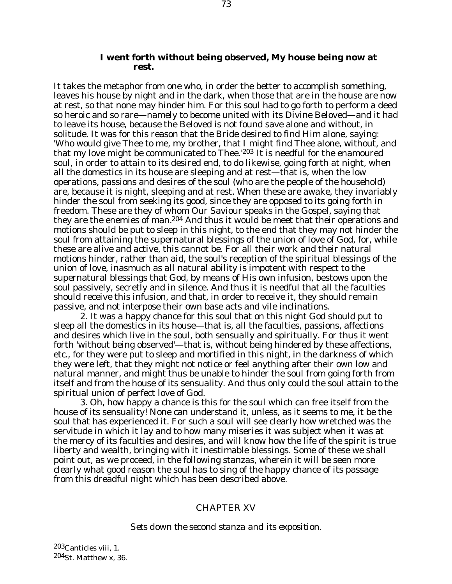# **I went forth without being observed, My house being now at rest.**

It takes the metaphor from one who, in order the better to accomplish something, leaves his house by night and in the dark, when those that are in the house are now at rest, so that none may hinder him. For this soul had to go forth to perform a deed so heroic and so rare—namely to become united with its Divine Beloved—and it had to leave its house, because the Beloved is not found save alone and without, in solitude. It was for this reason that the Bride desired to find Him alone, saying: 'Who would give Thee to me, my brother, that I might find Thee alone, without, and that my love might be communicated to Thee.' $203$  It is needful for the enamoured soul, in order to attain to its desired end, to do likewise, going forth at night, when all the domestics in its house are sleeping and at rest—that is, when the low operations, passions and desires of the soul (who are the people of the household) are, because it is night, sleeping and at rest. When these are awake, they invariably hinder the soul from seeking its good, since they are opposed to its going forth in freedom. These are they of whom Our Saviour speaks in the Gospel, saying that they are the enemies of man.204 And thus it would be meet that their operations and motions should be put to sleep in this night, to the end that they may not hinder the soul from attaining the supernatural blessings of the union of love of God, for, while these are alive and active, this cannot be. For all their work and their natural motions hinder, rather than aid, the soul's reception of the spiritual blessings of the union of love, inasmuch as all natural ability is impotent with respect to the supernatural blessings that God, by means of His own infusion, bestows upon the soul passively, secretly and in silence. And thus it is needful that all the faculties should receive this infusion, and that, in order to receive it, they should remain passive, and not interpose their own base acts and vile inclinations.

2. It was a happy chance for this soul that on this night God should put to sleep all the domestics in its house—that is, all the faculties, passions, affections and desires which live in the soul, both sensually and spiritually. For thus it went forth 'without being observed'—that is, without being hindered by these affections, etc., for they were put to sleep and mortified in this night, in the darkness of which they were left, that they might not notice or feel anything after their own low and natural manner, and might thus be unable to hinder the soul from going forth from itself and from the house of its sensuality. And thus only could the soul attain to the spiritual union of perfect love of God.

3. Oh, how happy a chance is this for the soul which can free itself from the house of its sensuality! None can understand it, unless, as it seems to me, it be the soul that has experienced it. For such a soul will see clearly how wretched was the servitude in which it lay and to how many miseries it was subject when it was at the mercy of its faculties and desires, and will know how the life of the spirit is true liberty and wealth, bringing with it inestimable blessings. Some of these we shall point out, as we proceed, in the following stanzas, wherein it will be seen more clearly what good reason the soul has to sing of the happy chance of its passage from this dreadful night which has been described above.

## CHAPTER XV

*Sets down the second stanza and its exposition.*

<sup>203</sup>Canticles viii, 1. 204St. Matthew x, 36.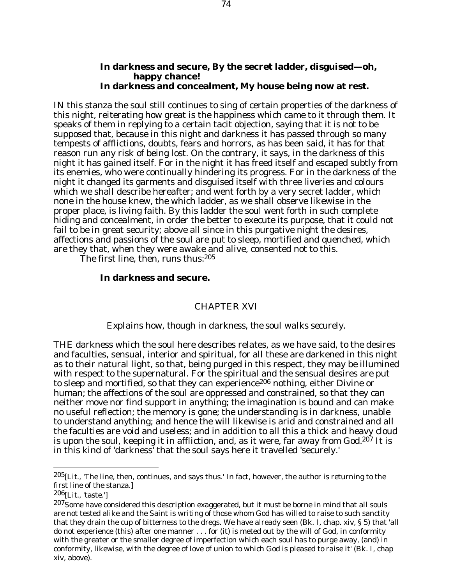#### **In darkness and secure, By the secret ladder, disguised—oh, happy chance! In darkness and concealment, My house being now at rest.**

IN this stanza the soul still continues to sing of certain properties of the darkness of this night, reiterating how great is the happiness which came to it through them. It speaks of them in replying to a certain tacit objection, saying that it is not to be supposed that, because in this night and darkness it has passed through so many tempests of afflictions, doubts, fears and horrors, as has been said, it has for that reason run any risk of being lost. On the contrary, it says, in the darkness of this night it has gained itself. For in the night it has freed itself and escaped subtly from its enemies, who were continually hindering its progress. For in the darkness of the night it changed its garments and disguised itself with three liveries and colours which we shall describe hereafter; and went forth by a very secret ladder, which none in the house knew, the which ladder, as we shall observe likewise in the proper place, is living faith. By this ladder the soul went forth in such complete hiding and concealment, in order the better to execute its purpose, that it could not fail to be in great security; above all since in this purgative night the desires, affections and passions of the soul are put to sleep, mortified and quenched, which are they that, when they were awake and alive, consented not to this.

The first line, then, runs thus:205

# **In darkness and secure.**

## CHAPTER XVI

## *Explains how, though in darkness, the soul walks securely.*

THE darkness which the soul here describes relates, as we have said, to the desires and faculties, sensual, interior and spiritual, for all these are darkened in this night as to their natural light, so that, being purged in this respect, they may be illumined with respect to the supernatural. For the spiritual and the sensual desires are put to sleep and mortified, so that they can experience<sup>206</sup> nothing, either Divine or human; the affections of the soul are oppressed and constrained, so that they can neither move nor find support in anything; the imagination is bound and can make no useful reflection; the memory is gone; the understanding is in darkness, unable to understand anything; and hence the will likewise is arid and constrained and all the faculties are void and useless; and in addition to all this a thick and heavy cloud is upon the soul, keeping it in affliction, and, as it were, far away from  $God.^{207}$  It is in this kind of 'darkness' that the soul says here it travelled 'securely.'

<sup>205</sup>[*Lit.*, 'The line, then, continues, and says thus.' In fact, however, the author is returning to the first line of the stanza.]

<sup>206</sup>[*Lit.*, 'taste.']

<sup>207</sup>Some have considered this description exaggerated, but it must be borne in mind that all souls are not tested alike and the Saint is writing of those whom God has willed to raise to such sanctity that they drain the cup of bitterness to the dregs. We have already seen (Bk. I, chap. xiv, § 5) that 'all do not experience (this) after one manner . . . for (it) is meted out by the will of God, in conformity with the greater or the smaller degree of imperfection which each soul has to purge away, (and) in conformity, likewise, with the degree of love of union to which God is pleased to raise it' (Bk. I, chap xiv, above).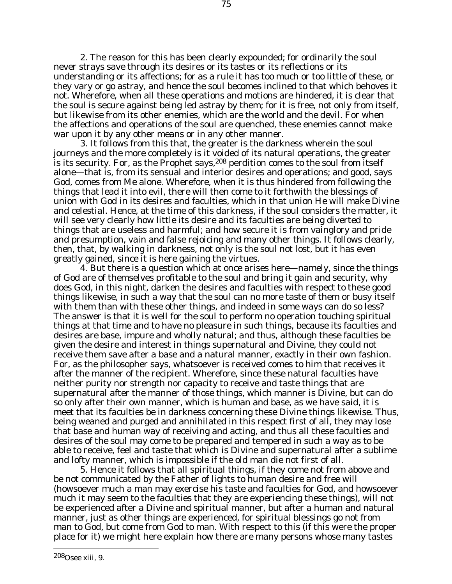2. The reason for this has been clearly expounded; for ordinarily the soul never strays save through its desires or its tastes or its reflections or its understanding or its affections; for as a rule it has too much or too little of these, or they vary or go astray, and hence the soul becomes inclined to that which behoves it not. Wherefore, when all these operations and motions are hindered, it is clear that the soul is secure against being led astray by them; for it is free, not only from itself, but likewise from its other enemies, which are the world and the devil. For when the affections and operations of the soul are quenched, these enemies cannot make war upon it by any other means or in any other manner.

3. It follows from this that, the greater is the darkness wherein the soul journeys and the more completely is it voided of its natural operations, the greater is its security. For, as the Prophet says, <sup>208</sup> perdition comes to the soul from itself alone—that is, from its sensual and interior desires and operations; and good, says God, comes from Me alone. Wherefore, when it is thus hindered from following the things that lead it into evil, there will then come to it forthwith the blessings of union with God in its desires and faculties, which in that union He will make Divine and celestial. Hence, at the time of this darkness, if the soul considers the matter, it will see very clearly how little its desire and its faculties are being diverted to things that are useless and harmful; and how secure it is from vainglory and pride and presumption, vain and false rejoicing and many other things. It follows clearly, then, that, by walking in darkness, not only is the soul not lost, but it has even greatly gained, since it is here gaining the virtues.

4. But there is a question which at once arises here—namely, since the things of God are of themselves profitable to the soul and bring it gain and security, why does God, in this night, darken the desires and faculties with respect to these good things likewise, in such a way that the soul can no more taste of them or busy itself with them than with these other things, and indeed in some ways can do so less? The answer is that it is well for the soul to perform no operation touching spiritual things at that time and to have no pleasure in such things, because its faculties and desires are base, impure and wholly natural; and thus, although these faculties be given the desire and interest in things supernatural and Divine, they could not receive them save after a base and a natural manner, exactly in their own fashion. For, as the philosopher says, whatsoever is received comes to him that receives it after the manner of the recipient. Wherefore, since these natural faculties have neither purity nor strength nor capacity to receive and taste things that are supernatural after the manner of those things, which manner is Divine, but can do so only after their own manner, which is human and base, as we have said, it is meet that its faculties be in darkness concerning these Divine things likewise. Thus, being weaned and purged and annihilated in this respect first of all, they may lose that base and human way of receiving and acting, and thus all these faculties and desires of the soul may come to be prepared and tempered in such a way as to be able to receive, feel and taste that which is Divine and supernatural after a sublime and lofty manner, which is impossible if the old man die not first of all.

5. Hence it follows that all spiritual things, if they come not from above and be not communicated by the Father of lights to human desire and free will (howsoever much a man may exercise his taste and faculties for God, and howsoever much it may seem to the faculties that they are experiencing these things), will not be experienced after a Divine and spiritual manner, but after a human and natural manner, just as other things are experienced, for spiritual blessings go not from man to God, but come from God to man. With respect to this (if this were the proper place for it) we might here explain how there are many persons whose many tastes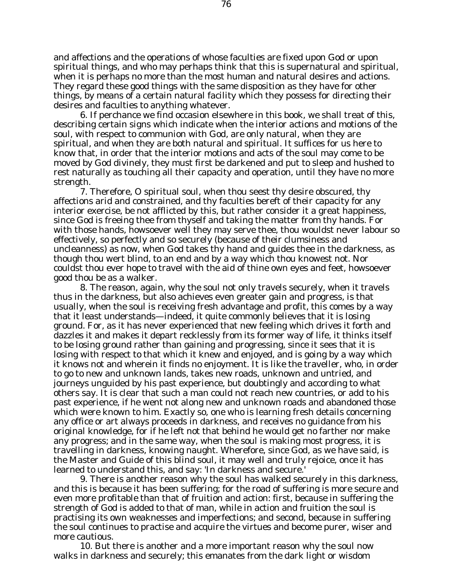and affections and the operations of whose faculties are fixed upon God or upon spiritual things, and who may perhaps think that this is supernatural and spiritual, when it is perhaps no more than the most human and natural desires and actions. They regard these good things with the same disposition as they have for other things, by means of a certain natural facility which they possess for directing their desires and faculties to anything whatever.

6. If perchance we find occasion elsewhere in this book, we shall treat of this, describing certain signs which indicate when the interior actions and motions of the soul, with respect to communion with God, are only natural, when they are spiritual, and when they are both natural and spiritual. It suffices for us here to know that, in order that the interior motions and acts of the soul may come to be moved by God divinely, they must first be darkened and put to sleep and hushed to rest naturally as touching all their capacity and operation, until they have no more strength.

7. Therefore, O spiritual soul, when thou seest thy desire obscured, thy affections arid and constrained, and thy faculties bereft of their capacity for any interior exercise, be not afflicted by this, but rather consider it a great happiness, since God is freeing thee from thyself and taking the matter from thy hands. For with those hands, howsoever well they may serve thee, thou wouldst never labour so effectively, so perfectly and so securely (because of their clumsiness and uncleanness) as now, when God takes thy hand and guides thee in the darkness, as though thou wert blind, to an end and by a way which thou knowest not. Nor couldst thou ever hope to travel with the aid of thine own eyes and feet, howsoever good thou be as a walker.

8. The reason, again, why the soul not only travels securely, when it travels thus in the darkness, but also achieves even greater gain and progress, is that usually, when the soul is receiving fresh advantage and profit, this comes by a way that it least understands—indeed, it quite commonly believes that it is losing ground. For, as it has never experienced that new feeling which drives it forth and dazzles it and makes it depart recklessly from its former way of life, it thinks itself to be losing ground rather than gaining and progressing, since it sees that it is losing with respect to that which it knew and enjoyed, and is going by a way which it knows not and wherein it finds no enjoyment. It is like the traveller, who, in order to go to new and unknown lands, takes new roads, unknown and untried, and journeys unguided by his past experience, but doubtingly and according to what others say. It is clear that such a man could not reach new countries, or add to his past experience, if he went not along new and unknown roads and abandoned those which were known to him. Exactly so, one who is learning fresh details concerning any office or art always proceeds in darkness, and receives no guidance from his original knowledge, for if he left not that behind he would get no farther nor make any progress; and in the same way, when the soul is making most progress, it is travelling in darkness, knowing naught. Wherefore, since God, as we have said, is the Master and Guide of this blind soul, it may well and truly rejoice, once it has learned to understand this, and say: 'In darkness and secure.'

9. There is another reason why the soul has walked securely in this darkness, and this is because it has been suffering; for the road of suffering is more secure and even more profitable than that of fruition and action: first, because in suffering the strength of God is added to that of man, while in action and fruition the soul is practising its own weaknesses and imperfections; and second, because in suffering the soul continues to practise and acquire the virtues and become purer, wiser and more cautious.

10. But there is another and a more important reason why the soul now walks in darkness and securely; this emanates from the dark light or wisdom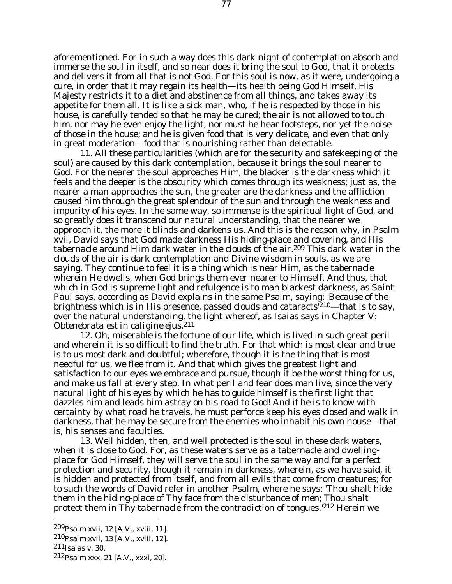aforementioned. For in such a way does this dark night of contemplation absorb and immerse the soul in itself, and so near does it bring the soul to God, that it protects and delivers it from all that is not God. For this soul is now, as it were, undergoing a cure, in order that it may regain its health—its health being God Himself. His Majesty restricts it to a diet and abstinence from all things, and takes away its appetite for them all. It is like a sick man, who, if he is respected by those in his house, is carefully tended so that he may be cured; the air is not allowed to touch him, nor may he even enjoy the light, nor must he hear footsteps, nor yet the noise of those in the house; and he is given food that is very delicate, and even that only in great moderation—food that is nourishing rather than delectable.

11. All these particularities (which are for the security and safekeeping of the soul) are caused by this dark contemplation, because it brings the soul nearer to God. For the nearer the soul approaches Him, the blacker is the darkness which it feels and the deeper is the obscurity which comes through its weakness; just as, the nearer a man approaches the sun, the greater are the darkness and the affliction caused him through the great splendour of the sun and through the weakness and impurity of his eyes. In the same way, so immense is the spiritual light of God, and so greatly does it transcend our natural understanding, that the nearer we approach it, the more it blinds and darkens us. And this is the reason why, in Psalm xvii, David says that God made darkness His hiding-place and covering, and His tabernacle around Him dark water in the clouds of the air.209 This dark water in the clouds of the air is dark contemplation and Divine wisdom in souls, as we are saying. They continue to feel it is a thing which is near Him, as the tabernacle wherein He dwells, when God brings them ever nearer to Himself. And thus, that which in God is supreme light and refulgence is to man blackest darkness, as Saint Paul says, according as David explains in the same Psalm, saying: 'Because of the brightness which is in His presence, passed clouds and cataracts<sup>'210</sup>—that is to say, over the natural understanding, the light whereof, as Isaias says in Chapter V: *Obtenebrata est in caligine ejus*. 211

12. Oh, miserable is the fortune of our life, which is lived in such great peril and wherein it is so difficult to find the truth. For that which is most clear and true is to us most dark and doubtful; wherefore, though it is the thing that is most needful for us, we flee from it. And that which gives the greatest light and satisfaction to our eyes we embrace and pursue, though it be the worst thing for us, and make us fall at every step. In what peril and fear does man live, since the very natural light of his eyes by which he has to guide himself is the first light that dazzles him and leads him astray on his road to God! And if he is to know with certainty by what road he travels, he must perforce keep his eyes closed and walk in darkness, that he may be secure from the enemies who inhabit his own house—that is, his senses and faculties.

13. Well hidden, then, and well protected is the soul in these dark waters, when it is close to God. For, as these waters serve as a tabernacle and dwellingplace for God Himself, they will serve the soul in the same way and for a perfect protection and security, though it remain in darkness, wherein, as we have said, it is hidden and protected from itself, and from all evils that come from creatures; for to such the words of David refer in another Psalm, where he says: 'Thou shalt hide them in the hiding-place of Thy face from the disturbance of men; Thou shalt protect them in Thy tabernacle from the contradiction of tongues.'212 Herein we

<sup>209</sup>Psalm xvii, 12 [A.V., xviii, 11].

<sup>210</sup>Psalm xvii, 13 [A.V., xviii, 12].

 $211$ Isaias v, 30.

<sup>212</sup>Psalm xxx, 21 [A.V., xxxi, 20].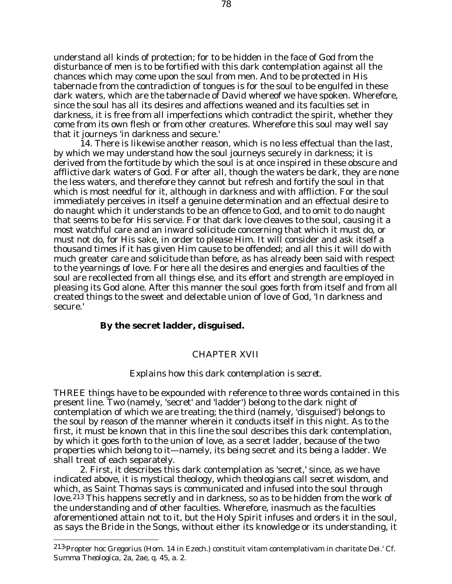understand all kinds of protection; for to be hidden in the face of God from the disturbance of men is to be fortified with this dark contemplation against all the chances which may come upon the soul from men. And to be protected in His tabernacle from the contradiction of tongues is for the soul to be engulfed in these dark waters, which are the tabernacle of David whereof we have spoken. Wherefore, since the soul has all its desires and affections weaned and its faculties set in darkness, it is free from all imperfections which contradict the spirit, whether they come from its own flesh or from other creatures. Wherefore this soul may well say that it journeys 'in darkness and secure.'

14. There is likewise another reason, which is no less effectual than the last, by which we may understand how the soul journeys securely in darkness; it is derived from the fortitude by which the soul is at once inspired in these obscure and afflictive dark waters of God. For after all, though the waters be dark, they are none the less waters, and therefore they cannot but refresh and fortify the soul in that which is most needful for it, although in darkness and with affliction. For the soul immediately perceives in itself a genuine determination and an effectual desire to do naught which it understands to be an offence to God, and to omit to do naught that seems to be for His service. For that dark love cleaves to the soul, causing it a most watchful care and an inward solicitude concerning that which it must do, or must not do, for His sake, in order to please Him. It will consider and ask itself a thousand times if it has given Him cause to be offended; and all this it will do with much greater care and solicitude than before, as has already been said with respect to the yearnings of love. For here all the desires and energies and faculties of the soul are recollected from all things else, and its effort and strength are employed in pleasing its God alone. After this manner the soul goes forth from itself and from all created things to the sweet and delectable union of love of God, 'In darkness and secure.'

## **By the secret ladder, disguised.**

## CHAPTER XVII

#### *Explains how this dark contemplation is secret.*

THREE things have to be expounded with reference to three words contained in this present line. Two (namely, 'secret' and 'ladder') belong to the dark night of contemplation of which we are treating; the third (namely, 'disguised') belongs to the soul by reason of the manner wherein it conducts itself in this night. As to the first, it must be known that in this line the soul describes this dark contemplation, by which it goes forth to the union of love, as a secret ladder, because of the two properties which belong to it—namely, its being secret and its being a ladder. We shall treat of each separately.

2. First, it describes this dark contemplation as 'secret,' since, as we have indicated above, it is mystical theology, which theologians call secret wisdom, and which, as Saint Thomas says is communicated and infused into the soul through love.<sup>213</sup> This happens secretly and in darkness, so as to be hidden from the work of the understanding and of other faculties. Wherefore, inasmuch as the faculties aforementioned attain not to it, but the Holy Spirit infuses and orders it in the soul, as says the Bride in the Songs, without either its knowledge or its understanding, it

<sup>213</sup>'Propter hoc Gregorius (Hom. 14 in Ezech.) constituit vitam contemplativam in charitate Dei.' Cf. *Summa Theologica*, 2a, 2ae, q. 45, a. 2.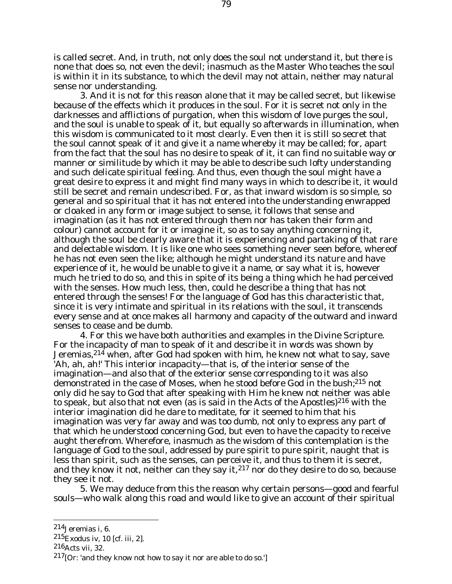is called secret. And, in truth, not only does the soul not understand it, but there is none that does so, not even the devil; inasmuch as the Master Who teaches the soul is within it in its substance, to which the devil may not attain, neither may natural sense nor understanding.

3. And it is not for this reason alone that it may be called secret, but likewise because of the effects which it produces in the soul. For it is secret not only in the darknesses and afflictions of purgation, when this wisdom of love purges the soul, and the soul is unable to speak of it, but equally so afterwards in illumination, when this wisdom is communicated to it most clearly. Even then it is still so secret that the soul cannot speak of it and give it a name whereby it may be called; for, apart from the fact that the soul has no desire to speak of it, it can find no suitable way or manner or similitude by which it may be able to describe such lofty understanding and such delicate spiritual feeling. And thus, even though the soul might have a great desire to express it and might find many ways in which to describe it, it would still be secret and remain undescribed. For, as that inward wisdom is so simple, so general and so spiritual that it has not entered into the understanding enwrapped or cloaked in any form or image subject to sense, it follows that sense and imagination (as it has not entered through them nor has taken their form and colour) cannot account for it or imagine it, so as to say anything concerning it, although the soul be clearly aware that it is experiencing and partaking of that rare and delectable wisdom. It is like one who sees something never seen before, whereof he has not even seen the like; although he might understand its nature and have experience of it, he would be unable to give it a name, or say what it is, however much he tried to do so, and this in spite of its being a thing which he had perceived with the senses. How much less, then, could he describe a thing that has not entered through the senses! For the language of God has this characteristic that, since it is very intimate and spiritual in its relations with the soul, it transcends every sense and at once makes all harmony and capacity of the outward and inward senses to cease and be dumb.

4. For this we have both authorities and examples in the Divine Scripture. For the incapacity of man to speak of it and describe it in words was shown by Jeremias,214 when, after God had spoken with him, he knew not what to say, save 'Ah, ah, ah!' This interior incapacity—that is, of the interior sense of the imagination—and also that of the exterior sense corresponding to it was also demonstrated in the case of Moses, when he stood before God in the bush;215 not only did he say to God that after speaking with Him he knew not neither was able to speak, but also that not even (as is said in the Acts of the Apostles)<sup>216</sup> with the interior imagination did he dare to meditate, for it seemed to him that his imagination was very far away and was too dumb, not only to express any part of that which he understood concerning God, but even to have the capacity to receive aught therefrom. Wherefore, inasmuch as the wisdom of this contemplation is the language of God to the soul, addressed by pure spirit to pure spirit, naught that is less than spirit, such as the senses, can perceive it, and thus to them it is secret, and they know it not, neither can they say it,  $217$  nor do they desire to do so, because they see it not.

5. We may deduce from this the reason why certain persons—good and fearful souls—who walk along this road and would like to give an account of their spiritual

<sup>214</sup>Jeremias i, 6.

 $215$ Exodus iv, 10 [cf. iii, 2].

 $216$ Acts vii, 32.

 $217$ [Or: 'and they know not how to say it nor are able to do so.']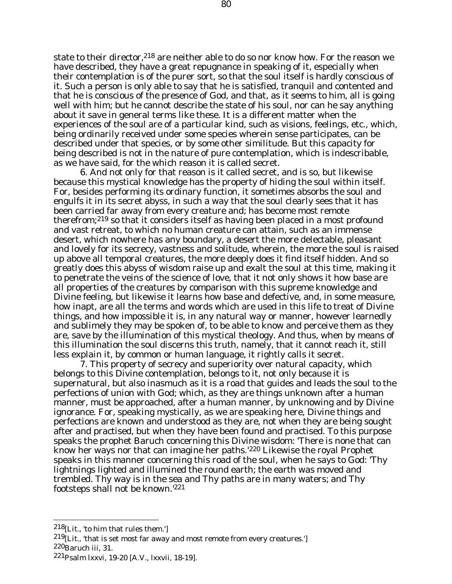state to their director, <sup>218</sup> are neither able to do so nor know how. For the reason we have described, they have a great repugnance in speaking of it, especially when their contemplation is of the purer sort, so that the soul itself is hardly conscious of it. Such a person is only able to say that he is satisfied, tranquil and contented and that he is conscious of the presence of God, and that, as it seems to him, all is going well with him; but he cannot describe the state of his soul, nor can he say anything about it save in general terms like these. It is a different matter when the experiences of the soul are of a particular kind, such as visions, feelings, etc., which, being ordinarily received under some species wherein sense participates, can be described under that species, or by some other similitude. But this capacity for being described is not in the nature of pure contemplation, which is indescribable, as we have said, for the which reason it is called secret.

6. And not only for that reason is it called secret, and is so, but likewise because this mystical knowledge has the property of hiding the soul within itself. For, besides performing its ordinary function, it sometimes absorbs the soul and engulfs it in its secret abyss, in such a way that the soul clearly sees that it has been carried far away from every creature and; has become most remote therefrom;219 so that it considers itself as having been placed in a most profound and vast retreat, to which no human creature can attain, such as an immense desert, which nowhere has any boundary, a desert the more delectable, pleasant and lovely for its secrecy, vastness and solitude, wherein, the more the soul is raised up above all temporal creatures, the more deeply does it find itself hidden. And so greatly does this abyss of wisdom raise up and exalt the soul at this time, making it to penetrate the veins of the science of love, that it not only shows it how base are all properties of the creatures by comparison with this supreme knowledge and Divine feeling, but likewise it learns how base and defective, and, in some measure, how inapt, are all the terms and words which are used in this life to treat of Divine things, and how impossible it is, in any natural way or manner, however learnedly and sublimely they may be spoken of, to be able to know and perceive them as they are, save by the illumination of this mystical theology. And thus, when by means of this illumination the soul discerns this truth, namely, that it cannot reach it, still less explain it, by common or human language, it rightly calls it secret.

7. This property of secrecy and superiority over natural capacity, which belongs to this Divine contemplation, belongs to it, not only because it is supernatural, but also inasmuch as it is a road that guides and leads the soul to the perfections of union with God; which, as they are things unknown after a human manner, must be approached, after a human manner, by unknowing and by Divine ignorance. For, speaking mystically, as we are speaking here, Divine things and perfections are known and understood as they are, not when they are being sought after and practised, but when they have been found and practised. To this purpose speaks the prophet Baruch concerning this Divine wisdom: 'There is none that can know her ways nor that can imagine her paths.'220 Likewise the royal Prophet speaks in this manner concerning this road of the soul, when he says to God: 'Thy lightnings lighted and illumined the round earth; the earth was moved and trembled. Thy way is in the sea and Thy paths are in many waters; and Thy footsteps shall not be known.'221

219[*Lit.*, 'that is set most far away and most remote from every creatures.'] 220Baruch iii, 31.

<sup>218</sup>[*Lit.*, 'to him that rules them.']

<sup>221</sup>Psalm lxxvi, 19-20 [A.V., lxxvii, 18-19].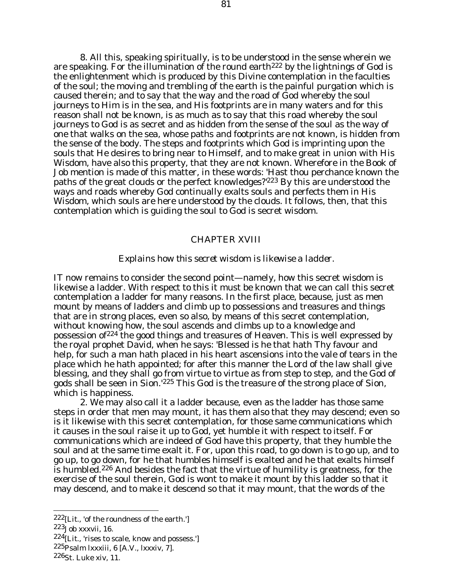8. All this, speaking spiritually, is to be understood in the sense wherein we are speaking. For the illumination of the round earth<sup>222</sup> by the lightnings of God is the enlightenment which is produced by this Divine contemplation in the faculties of the soul; the moving and trembling of the earth is the painful purgation which is caused therein; and to say that the way and the road of God whereby the soul journeys to Him is in the sea, and His footprints are in many waters and for this reason shall not be known, is as much as to say that this road whereby the soul journeys to God is as secret and as hidden from the sense of the soul as the way of one that walks on the sea, whose paths and footprints are not known, is hidden from the sense of the body. The steps and footprints which God is imprinting upon the souls that He desires to bring near to Himself, and to make great in union with His Wisdom, have also this property, that they are not known. Wherefore in the Book of Job mention is made of this matter, in these words: 'Hast thou perchance known the paths of the great clouds or the perfect knowledges?'223 By this are understood the ways and roads whereby God continually exalts souls and perfects them in His Wisdom, which souls are here understood by the clouds. It follows, then, that this contemplation which is guiding the soul to God is secret wisdom.

# CHAPTER XVIII

## *Explains how this secret wisdom is likewise a ladder.*

IT now remains to consider the second point—namely, how this secret wisdom is likewise a ladder. With respect to this it must be known that we can call this secret contemplation a ladder for many reasons. In the first place, because, just as men mount by means of ladders and climb up to possessions and treasures and things that are in strong places, even so also, by means of this secret contemplation, without knowing how, the soul ascends and climbs up to a knowledge and possession of224 the good things and treasures of Heaven. This is well expressed by the royal prophet David, when he says: 'Blessed is he that hath Thy favour and help, for such a man hath placed in his heart ascensions into the vale of tears in the place which he hath appointed; for after this manner the Lord of the law shall give blessing, and they shall go from virtue to virtue as from step to step, and the God of gods shall be seen in Sion.'225 This God is the treasure of the strong place of Sion, which is happiness.

2. We may also call it a ladder because, even as the ladder has those same steps in order that men may mount, it has them also that they may descend; even so is it likewise with this secret contemplation, for those same communications which it causes in the soul raise it up to God, yet humble it with respect to itself. For communications which are indeed of God have this property, that they humble the soul and at the same time exalt it. For, upon this road, to go down is to go up, and to go up, to go down, for he that humbles himself is exalted and he that exalts himself is humbled.226 And besides the fact that the virtue of humility is greatness, for the exercise of the soul therein, God is wont to make it mount by this ladder so that it may descend, and to make it descend so that it may mount, that the words of the

<sup>222</sup>[*Lit.*, 'of the roundness of the earth.']

<sup>223</sup>Job xxxvii, 16.

<sup>224</sup>[*Lit.*, 'rises to scale, know and possess.']

<sup>225</sup>Psalm lxxxiii, 6 [A.V., lxxxiv, 7].

<sup>226</sup>St. Luke xiv, 11.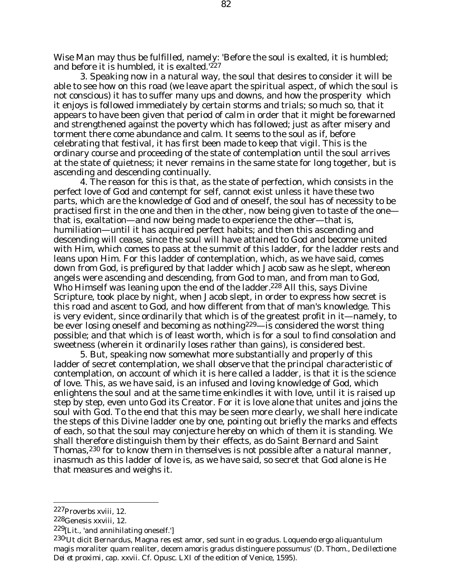Wise Man may thus be fulfilled, namely: 'Before the soul is exalted, it is humbled; and before it is humbled, it is exalted. $227$ 

3. Speaking now in a natural way, the soul that desires to consider it will be able to see how on this road (we leave apart the spiritual aspect, of which the soul is not conscious) it has to suffer many ups and downs, and how the prosperity which it enjoys is followed immediately by certain storms and trials; so much so, that it appears to have been given that period of calm in order that it might be forewarned and strengthened against the poverty which has followed; just as after misery and torment there come abundance and calm. It seems to the soul as if, before celebrating that festival, it has first been made to keep that vigil. This is the ordinary course and proceeding of the state of contemplation until the soul arrives at the state of quietness; it never remains in the same state for long together, but is ascending and descending continually.

4. The reason for this is that, as the state of perfection, which consists in the perfect love of God and contempt for self, cannot exist unless it have these two parts, which are the knowledge of God and of oneself, the soul has of necessity to be practised first in the one and then in the other, now being given to taste of the one that is, exaltation—and now being made to experience the other—that is, humiliation—until it has acquired perfect habits; and then this ascending and descending will cease, since the soul will have attained to God and become united with Him, which comes to pass at the summit of this ladder, for the ladder rests and leans upon Him. For this ladder of contemplation, which, as we have said, comes down from God, is prefigured by that ladder which Jacob saw as he slept, whereon angels were ascending and descending, from God to man, and from man to God, Who Himself was leaning upon the end of the ladder.<sup>228</sup> All this, says Divine Scripture, took place by night, when Jacob slept, in order to express how secret is this road and ascent to God, and how different from that of man's knowledge. This is very evident, since ordinarily that which is of the greatest profit in it—namely, to be ever losing oneself and becoming as nothing229—is considered the worst thing possible; and that which is of least worth, which is for a soul to find consolation and sweetness (wherein it ordinarily loses rather than gains), is considered best.

5. But, speaking now somewhat more substantially and properly of this ladder of secret contemplation, we shall observe that the principal characteristic of contemplation, on account of which it is here called a ladder, is that it is the science of love. This, as we have said, is an infused and loving knowledge of God, which enlightens the soul and at the same time enkindles it with love, until it is raised up step by step, even unto God its Creator. For it is love alone that unites and joins the soul with God. To the end that this may be seen more clearly, we shall here indicate the steps of this Divine ladder one by one, pointing out briefly the marks and effects of each, so that the soul may conjecture hereby on which of them it is standing. We shall therefore distinguish them by their effects, as do Saint Bernard and Saint Thomas,<sup>230</sup> for to know them in themselves is not possible after a natural manner, inasmuch as this ladder of love is, as we have said, so secret that God alone is He that measures and weighs it.

<sup>227</sup>Proverbs xviii, 12.

<sup>228</sup>Genesis xxviii, 12.

<sup>229</sup>[*Lit.*, 'and annihilating oneself.']

<sup>230</sup>'Ut dicit Bernardus, Magna res est amor, sed sunt in eo gradus. Loquendo ergo aliquantulum magis moraliter quam realiter, decem amoris gradus distinguere possumus' (D. Thom., *De dilectione Dei et proximi*, cap. xxvii. Cf. Opusc. LXI of the edition of Venice, 1595).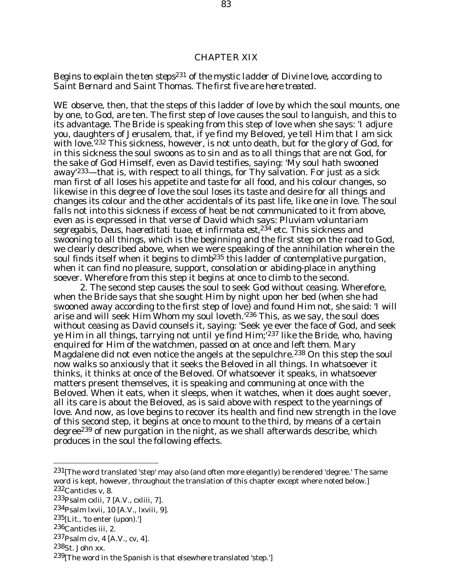#### CHAPTER XIX

# *Begins to explain the ten steps231 of the mystic ladder of Divine love, according to Saint Bernard and Saint Thomas. The first five are here treated.*

WE observe, then, that the steps of this ladder of love by which the soul mounts, one by one, to God, are ten. The first step of love causes the soul to languish, and this to its advantage. The Bride is speaking from this step of love when she says: 'I adjure you, daughters of Jerusalem, that, if ye find my Beloved, ye tell Him that I am sick with love.<sup>'232</sup> This sickness, however, is not unto death, but for the glory of God, for in this sickness the soul swoons as to sin and as to all things that are not God, for the sake of God Himself, even as David testifies, saying: 'My soul hath swooned away'233—that is, with respect to all things, for Thy salvation. For just as a sick man first of all loses his appetite and taste for all food, and his colour changes, so likewise in this degree of love the soul loses its taste and desire for all things and changes its colour and the other accidentals of its past life, like one in love. The soul falls not into this sickness if excess of heat be not communicated to it from above, even as is expressed in that verse of David which says: *Pluviam voluntariam segregabis, Deus, haereditati tuae, et infirmata est*, 234 etc. This sickness and swooning to all things, which is the beginning and the first step on the road to God, we clearly described above, when we were speaking of the annihilation wherein the soul finds itself when it begins to climb235 this ladder of contemplative purgation, when it can find no pleasure, support, consolation or abiding-place in anything soever. Wherefore from this step it begins at once to climb to the second.

2. The second step causes the soul to seek God without ceasing. Wherefore, when the Bride says that she sought Him by night upon her bed (when she had swooned away according to the first step of love) and found Him not, she said: 'I will arise and will seek Him Whom my soul loveth.'236 This, as we say, the soul does without ceasing as David counsels it, saying: 'Seek ye ever the face of God, and seek ye Him in all things, tarrying not until ye find Him;'237 like the Bride, who, having enquired for Him of the watchmen, passed on at once and left them. Mary Magdalene did not even notice the angels at the sepulchre.<sup>238</sup> On this step the soul now walks so anxiously that it seeks the Beloved in all things. In whatsoever it thinks, it thinks at once of the Beloved. Of whatsoever it speaks, in whatsoever matters present themselves, it is speaking and communing at once with the Beloved. When it eats, when it sleeps, when it watches, when it does aught soever, all its care is about the Beloved, as is said above with respect to the yearnings of love. And now, as love begins to recover its health and find new strength in the love of this second step, it begins at once to mount to the third, by means of a certain degree239 of new purgation in the night, as we shall afterwards describe, which produces in the soul the following effects.

 $231$ [The word translated 'step' may also (and often more elegantly) be rendered 'degree.' The same word is kept, however, throughout the translation of this chapter except where noted below.] 232Canticles v, 8.

<sup>233</sup>Psalm cxlii, 7 [A.V., cxliii, 7].

 $234$ Psalm lxvii, 10 [A.V., lxviii, 9].

 $235$ [*Lit.*, 'to enter (upon).']

<sup>236</sup>Canticles iii, 2.

<sup>237</sup>Psalm civ, 4 [A.V., cv, 4].

<sup>238</sup>St. John xx.

<sup>239</sup>[The word in the Spanish is that elsewhere translated 'step.']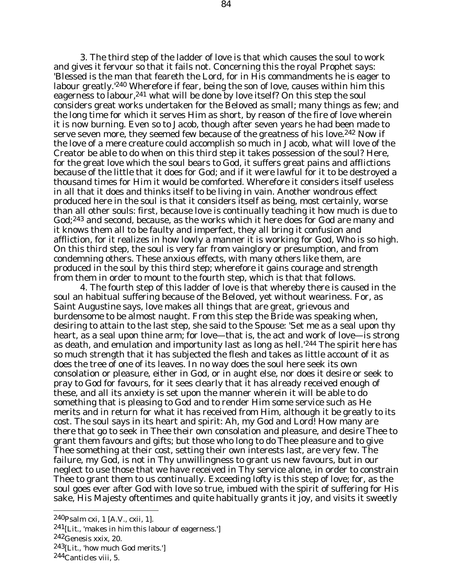3. The third step of the ladder of love is that which causes the soul to work and gives it fervour so that it fails not. Concerning this the royal Prophet says: 'Blessed is the man that feareth the Lord, for in His commandments he is eager to labour greatly.'240 Wherefore if fear, being the son of love, causes within him this eagerness to labour,<sup>241</sup> what will be done by love itself? On this step the soul considers great works undertaken for the Beloved as small; many things as few; and the long time for which it serves Him as short, by reason of the fire of love wherein it is now burning. Even so to Jacob, though after seven years he had been made to serve seven more, they seemed few because of the greatness of his love.<sup>242</sup> Now if the love of a mere creature could accomplish so much in Jacob, what will love of the Creator be able to do when on this third step it takes possession of the soul? Here, for the great love which the soul bears to God, it suffers great pains and afflictions because of the little that it does for God; and if it were lawful for it to be destroyed a thousand times for Him it would be comforted. Wherefore it considers itself useless in all that it does and thinks itself to be living in vain. Another wondrous effect produced here in the soul is that it considers itself as being, most certainly, worse than all other souls: first, because love is continually teaching it how much is due to God;<sup>243</sup> and second, because, as the works which it here does for God are many and it knows them all to be faulty and imperfect, they all bring it confusion and affliction, for it realizes in how lowly a manner it is working for God, Who is so high. On this third step, the soul is very far from vainglory or presumption, and from condemning others. These anxious effects, with many others like them, are produced in the soul by this third step; wherefore it gains courage and strength from them in order to mount to the fourth step, which is that that follows.

4. The fourth step of this ladder of love is that whereby there is caused in the soul an habitual suffering because of the Beloved, yet without weariness. For, as Saint Augustine says, love makes all things that are great, grievous and burdensome to be almost naught. From this step the Bride was speaking when, desiring to attain to the last step, she said to the Spouse: 'Set me as a seal upon thy heart, as a seal upon thine arm; for love—that is, the act and work of love—is strong as death, and emulation and importunity last as long as hell.'244 The spirit here has so much strength that it has subjected the flesh and takes as little account of it as does the tree of one of its leaves. In no way does the soul here seek its own consolation or pleasure, either in God, or in aught else, nor does it desire or seek to pray to God for favours, for it sees clearly that it has already received enough of these, and all its anxiety is set upon the manner wherein it will be able to do something that is pleasing to God and to render Him some service such as He merits and in return for what it has received from Him, although it be greatly to its cost. The soul says in its heart and spirit: Ah, my God and Lord! How many are there that go to seek in Thee their own consolation and pleasure, and desire Thee to grant them favours and gifts; but those who long to do Thee pleasure and to give Thee something at their cost, setting their own interests last, are very few. The failure, my God, is not in Thy unwillingness to grant us new favours, but in our neglect to use those that we have received in Thy service alone, in order to constrain Thee to grant them to us continually. Exceeding lofty is this step of love; for, as the soul goes ever after God with love so true, imbued with the spirit of suffering for His sake, His Majesty oftentimes and quite habitually grants it joy, and visits it sweetly

<sup>240</sup>Psalm cxi, 1 [A.V., cxii, 1].

<sup>241</sup>[*Lit.*, 'makes in him this labour of eagerness.']

<sup>242</sup>Genesis xxix, 20.

<sup>243</sup>[*Lit.*, 'how much God merits.']

<sup>244</sup>Canticles viii, 5.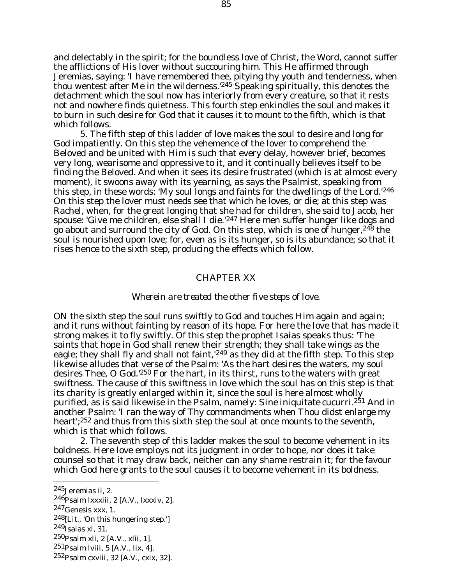and delectably in the spirit; for the boundless love of Christ, the Word, cannot suffer the afflictions of His lover without succouring him. This He affirmed through Jeremias, saying: 'I have remembered thee, pitying thy youth and tenderness, when thou wentest after Me in the wilderness.'245 Speaking spiritually, this denotes the detachment which the soul now has interiorly from every creature, so that it rests not and nowhere finds quietness. This fourth step enkindles the soul and makes it to burn in such desire for God that it causes it to mount to the fifth, which is that which follows.

5. The fifth step of this ladder of love makes the soul to desire and long for God impatiently. On this step the vehemence of the lover to comprehend the Beloved and be united with Him is such that every delay, however brief, becomes very long, wearisome and oppressive to it, and it continually believes itself to be finding the Beloved. And when it sees its desire frustrated (which is at almost every moment), it swoons away with its yearning, as says the Psalmist, speaking from this step, in these words: 'My soul longs and faints for the dwellings of the Lord.'246 On this step the lover must needs see that which he loves, or die; at this step was Rachel, when, for the great longing that she had for children, she said to Jacob, her spouse: 'Give me children, else shall I die.'247 Here men suffer hunger like dogs and go about and surround the city of God. On this step, which is one of hunger,248 the soul is nourished upon love; for, even as is its hunger, so is its abundance; so that it rises hence to the sixth step, producing the effects which follow.

#### CHAPTER XX

#### *Wherein are treated the other five steps of love.*

ON the sixth step the soul runs swiftly to God and touches Him again and again; and it runs without fainting by reason of its hope. For here the love that has made it strong makes it to fly swiftly. Of this step the prophet Isaias speaks thus: 'The saints that hope in God shall renew their strength; they shall take wings as the eagle; they shall fly and shall not faint, <sup>249</sup> as they did at the fifth step. To this step likewise alludes that verse of the Psalm: 'As the hart desires the waters, my soul desires Thee, O God.'250 For the hart, in its thirst, runs to the waters with great swiftness. The cause of this swiftness in love which the soul has on this step is that its charity is greatly enlarged within it, since the soul is here almost wholly purified, as is said likewise in the Psalm, namely: *Sine iniquitate cucurri*. 251 And in another Psalm: 'I ran the way of Thy commandments when Thou didst enlarge my heart';<sup>252</sup> and thus from this sixth step the soul at once mounts to the seventh, which is that which follows.

2. The seventh step of this ladder makes the soul to become vehement in its boldness. Here love employs not its judgment in order to hope, nor does it take counsel so that it may draw back, neither can any shame restrain it; for the favour which God here grants to the soul causes it to become vehement in its boldness.

<sup>245</sup>Jeremias ii, 2.

<sup>246</sup>Psalm lxxxiii, 2 [A.V., lxxxiv, 2].

 $247$ Genesis xxx, 1.

<sup>248</sup>[*Lit.*, 'On this hungering step.']

 $249$ Isaias xl, 31.

<sup>250</sup>Psalm xli, 2 [A.V., xlii, 1].

 $251$ Psalm lviii, 5 [A.V., lix, 4].

<sup>252</sup>Psalm cxviii, 32 [A.V., cxix, 32].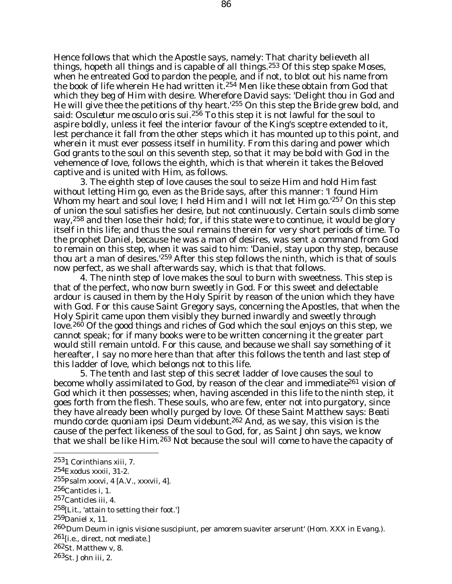Hence follows that which the Apostle says, namely: That charity believeth all things, hopeth all things and is capable of all things.253 Of this step spake Moses, when he entreated God to pardon the people, and if not, to blot out his name from the book of life wherein He had written it.254 Men like these obtain from God that which they beg of Him with desire. Wherefore David says: 'Delight thou in God and He will give thee the petitions of thy heart.<sup>'255</sup> On this step the Bride grew bold, and said: *Osculetur me osculo oris sui*. 256 To this step it is not lawful for the soul to aspire boldly, unless it feel the interior favour of the King's sceptre extended to it, lest perchance it fall from the other steps which it has mounted up to this point, and wherein it must ever possess itself in humility. From this daring and power which God grants to the soul on this seventh step, so that it may be bold with God in the vehemence of love, follows the eighth, which is that wherein it takes the Beloved captive and is united with Him, as follows.

3. The eighth step of love causes the soul to seize Him and hold Him fast without letting Him go, even as the Bride says, after this manner: 'I found Him Whom my heart and soul love; I held Him and I will not let Him go.<sup>'257</sup> On this step of union the soul satisfies her desire, but not continuously. Certain souls climb some way,258 and then lose their hold; for, if this state were to continue, it would be glory itself in this life; and thus the soul remains therein for very short periods of time. To the prophet Daniel, because he was a man of desires, was sent a command from God to remain on this step, when it was said to him: 'Daniel, stay upon thy step, because thou art a man of desires.'259 After this step follows the ninth, which is that of souls now perfect, as we shall afterwards say, which is that that follows.

4. The ninth step of love makes the soul to burn with sweetness. This step is that of the perfect, who now burn sweetly in God. For this sweet and delectable ardour is caused in them by the Holy Spirit by reason of the union which they have with God. For this cause Saint Gregory says, concerning the Apostles, that when the Holy Spirit came upon them visibly they burned inwardly and sweetly through love.260 Of the good things and riches of God which the soul enjoys on this step, we cannot speak; for if many books were to be written concerning it the greater part would still remain untold. For this cause, and because we shall say something of it hereafter, I say no more here than that after this follows the tenth and last step of this ladder of love, which belongs not to this life.

5. The tenth and last step of this secret ladder of love causes the soul to become wholly assimilated to God, by reason of the clear and immediate<sup>261</sup> vision of God which it then possesses; when, having ascended in this life to the ninth step, it goes forth from the flesh. These souls, who are few, enter not into purgatory, since they have already been wholly purged by love. Of these Saint Matthew says: *Beati mundo corde: quoniam ipsi Deum videbunt.*262 And, as we say, this vision is the cause of the perfect likeness of the soul to God, for, as Saint John says, we know that we shall be like Him.263 Not because the soul will come to have the capacity of

<sup>253</sup>1 Corinthians xiii, 7.

<sup>254</sup>Exodus xxxii, 31-2.

 $255$ Psalm xxxvi, 4 [A.V., xxxvii, 4].

 $256$ Canticles i, 1.

<sup>257</sup>Canticles iii, 4.

<sup>258</sup>[*Lit.*, 'attain to setting their foot.']

<sup>259</sup>Daniel x, 11.

<sup>260</sup>'Dum Deum in ignis visione suscipiunt, per amorem suaviter arserunt' (*Hom. XXX in Evang*.).

 $^{261}$ [i.e., direct, not mediate.]

<sup>262</sup>St. Matthew v, 8.

<sup>263</sup>St. John iii, 2.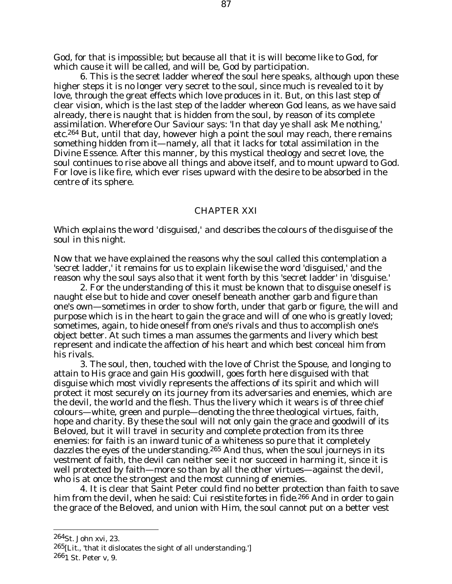God, for that is impossible; but because all that it is will become like to God, for which cause it will be called, and will be, God by participation.

6. This is the secret ladder whereof the soul here speaks, although upon these higher steps it is no longer very secret to the soul, since much is revealed to it by love, through the great effects which love produces in it. But, on this last step of clear vision, which is the last step of the ladder whereon God leans, as we have said already, there is naught that is hidden from the soul, by reason of its complete assimilation. Wherefore Our Saviour says: 'In that day ye shall ask Me nothing,' etc.264 But, until that day, however high a point the soul may reach, there remains something hidden from it—namely, all that it lacks for total assimilation in the Divine Essence. After this manner, by this mystical theology and secret love, the soul continues to rise above all things and above itself, and to mount upward to God. For love is like fire, which ever rises upward with the desire to be absorbed in the centre of its sphere.

## CHAPTER XXI

# *Which explains the word 'disguised,' and describes the colours of the disguise of the soul in this night.*

Now that we have explained the reasons why the soul called this contemplation a 'secret ladder,' it remains for us to explain likewise the word 'disguised,' and the reason why the soul says also that it went forth by this 'secret ladder' in 'disguise.'

2. For the understanding of this it must be known that to disguise oneself is naught else but to hide and cover oneself beneath another garb and figure than one's own—sometimes in order to show forth, under that garb or figure, the will and purpose which is in the heart to gain the grace and will of one who is greatly loved; sometimes, again, to hide oneself from one's rivals and thus to accomplish one's object better. At such times a man assumes the garments and livery which best represent and indicate the affection of his heart and which best conceal him from his rivals.

3. The soul, then, touched with the love of Christ the Spouse, and longing to attain to His grace and gain His goodwill, goes forth here disguised with that disguise which most vividly represents the affections of its spirit and which will protect it most securely on its journey from its adversaries and enemies, which are the devil, the world and the flesh. Thus the livery which it wears is of three chief colours—white, green and purple—denoting the three theological virtues, faith, hope and charity. By these the soul will not only gain the grace and goodwill of its Beloved, but it will travel in security and complete protection from its three enemies: for faith is an inward tunic of a whiteness so pure that it completely dazzles the eyes of the understanding.265 And thus, when the soul journeys in its vestment of faith, the devil can neither see it nor succeed in harming it, since it is well protected by faith—more so than by all the other virtues—against the devil, who is at once the strongest and the most cunning of enemies.

4. It is clear that Saint Peter could find no better protection than faith to save him from the devil, when he said: *Cui resistite fortes in fide*. 266 And in order to gain the grace of the Beloved, and union with Him, the soul cannot put on a better vest

<sup>264</sup>St. John xvi, 23.

<sup>265</sup>[*Lit.*, 'that it dislocates the sight of all understanding.'] 2661 St. Peter v, 9.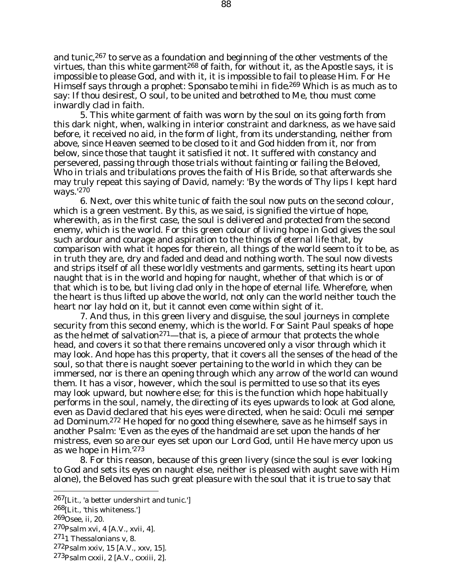and tunic,267 to serve as a foundation and beginning of the other vestments of the virtues, than this white garment<sup>268</sup> of faith, for without it, as the Apostle says, it is impossible to please God, and with it, it is impossible to fail to please Him. For He Himself says through a prophet: *Sponsabo te mihi in fide*. 269 Which is as much as to say: If thou desirest, O soul, to be united and betrothed to Me, thou must come inwardly clad in faith.

5. This white garment of faith was worn by the soul on its going forth from this dark night, when, walking in interior constraint and darkness, as we have said before, it received no aid, in the form of light, from its understanding, neither from above, since Heaven seemed to be closed to it and God hidden from it, nor from below, since those that taught it satisfied it not. It suffered with constancy and persevered, passing through those trials without fainting or failing the Beloved, Who in trials and tribulations proves the faith of His Bride, so that afterwards she may truly repeat this saying of David, namely: 'By the words of Thy lips I kept hard ways.'270

6. Next, over this white tunic of faith the soul now puts on the second colour, which is a green vestment. By this, as we said, is signified the virtue of hope, wherewith, as in the first case, the soul is delivered and protected from the second enemy, which is the world. For this green colour of living hope in God gives the soul such ardour and courage and aspiration to the things of eternal life that, by comparison with what it hopes for therein, all things of the world seem to it to be, as in truth they are, dry and faded and dead and nothing worth. The soul now divests and strips itself of all these worldly vestments and garments, setting its heart upon naught that is in the world and hoping for naught, whether of that which is or of that which is to be, but living clad only in the hope of eternal life. Wherefore, when the heart is thus lifted up above the world, not only can the world neither touch the heart nor lay hold on it, but it cannot even come within sight of it.

7. And thus, in this green livery and disguise, the soul journeys in complete security from this second enemy, which is the world. For Saint Paul speaks of hope as the helmet of salvation<sup>271</sup>—that is, a piece of armour that protects the whole head, and covers it so that there remains uncovered only a visor through which it may look. And hope has this property, that it covers all the senses of the head of the soul, so that there is naught soever pertaining to the world in which they can be immersed, nor is there an opening through which any arrow of the world can wound them. It has a visor, however, which the soul is permitted to use so that its eyes may look upward, but nowhere else; for this is the function which hope habitually performs in the soul, namely, the directing of its eyes upwards to look at God alone, even as David declared that his eyes were directed, when he said: *Oculi mei semper ad Dominum*. 272 He hoped for no good thing elsewhere, save as he himself says in another Psalm: 'Even as the eyes of the handmaid are set upon the hands of her mistress, even so are our eyes set upon our Lord God, until He have mercy upon us as we hope in Him.'273

8. For this reason, because of this green livery (since the soul is ever looking to God and sets its eyes on naught else, neither is pleased with aught save with Him alone), the Beloved has such great pleasure with the soul that it is true to say that

<sup>267</sup>[*Lit.*, 'a better undershirt and tunic.']

<sup>268</sup>[*Lit.*, 'this whiteness.']

<sup>269</sup>Osee, ii, 20.

<sup>270</sup>Psalm xvi, 4 [A.V., xvii, 4].

 $2711$  Thessalonians v, 8.

<sup>272</sup>Psalm xxiv, 15 [A.V., xxv, 15].

 $273$ Psalm cxxii, 2 [A.V., cxxiii, 2].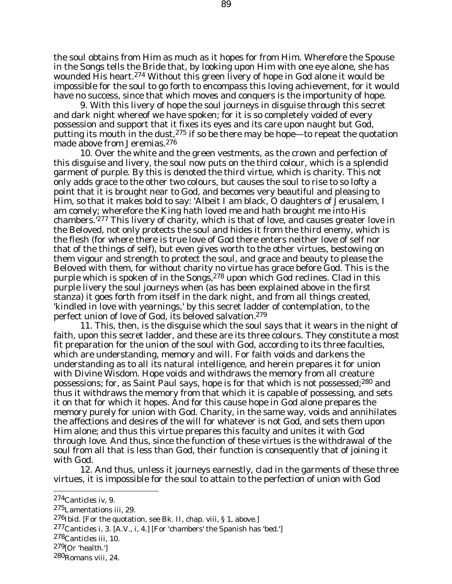the soul obtains from Him as much as it hopes for from Him. Wherefore the Spouse in the Songs tells the Bride that, by looking upon Him with one eye alone, she has wounded His heart.274 Without this green livery of hope in God alone it would be impossible for the soul to go forth to encompass this loving achievement, for it would have no success, since that which moves and conquers is the importunity of hope.

9. With this livery of hope the soul journeys in disguise through this secret and dark night whereof we have spoken; for it is so completely voided of every possession and support that it fixes its eyes and its care upon naught but God, putting its mouth in the dust,  $275$  if so be there may be hope—to repeat the quotation made above from Jeremias.276

10. Over the white and the green vestments, as the crown and perfection of this disguise and livery, the soul now puts on the third colour, which is a splendid garment of purple. By this is denoted the third virtue, which is charity. This not only adds grace to the other two colours, but causes the soul to rise to so lofty a point that it is brought near to God, and becomes very beautiful and pleasing to Him, so that it makes bold to say: 'Albeit I am black, O daughters of Jerusalem, I am comely; wherefore the King hath loved me and hath brought me into His chambers.'277 This livery of charity, which is that of love, and causes greater love in the Beloved, not only protects the soul and hides it from the third enemy, which is the flesh (for where there is true love of God there enters neither love of self nor that of the things of self), but even gives worth to the other virtues, bestowing on them vigour and strength to protect the soul, and grace and beauty to please the Beloved with them, for without charity no virtue has grace before God. This is the purple which is spoken of in the Songs,  $278$  upon which God reclines. Clad in this purple livery the soul journeys when (as has been explained above in the first stanza) it goes forth from itself in the dark night, and from all things created, 'kindled in love with yearnings,' by this secret ladder of contemplation, to the perfect union of love of God, its beloved salvation.279

11. This, then, is the disguise which the soul says that it wears in the night of faith, upon this secret ladder, and these are its three colours. They constitute a most fit preparation for the union of the soul with God, according to its three faculties, which are understanding, memory and will. For faith voids and darkens the understanding as to all its natural intelligence, and herein prepares it for union with Divine Wisdom. Hope voids and withdraws the memory from all creature possessions; for, as Saint Paul says, hope is for that which is not possessed;280 and thus it withdraws the memory from that which it is capable of possessing, and sets it on that for which it hopes. And for this cause hope in God alone prepares the memory purely for union with God. Charity, in the same way, voids and annihilates the affections and desires of the will for whatever is not God, and sets them upon Him alone; and thus this virtue prepares this faculty and unites it with God through love. And thus, since the function of these virtues is the withdrawal of the soul from all that is less than God, their function is consequently that of joining it with God.

12. And thus, unless it journeys earnestly, clad in the garments of these three virtues, it is impossible for the soul to attain to the perfection of union with God

<sup>274</sup>Canticles iv, 9.

<sup>275</sup>Lamentations iii, 29.

<sup>276</sup>*Ibid*. [For the quotation, see Bk. II, chap. viii, § 1, above.]

<sup>277</sup>Canticles i, 3. [A.V., i, 4.] [For 'chambers' the Spanish has 'bed.']

<sup>278</sup>Canticles iii, 10.

 $279$ [Or 'health.']

<sup>280</sup>Romans viii, 24.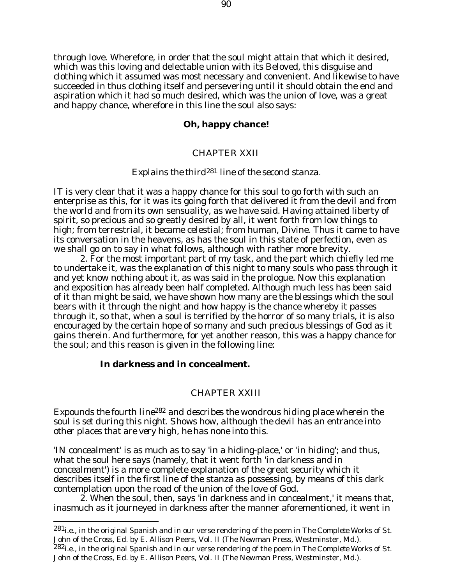through love. Wherefore, in order that the soul might attain that which it desired, which was this loving and delectable union with its Beloved, this disguise and clothing which it assumed was most necessary and convenient. And likewise to have succeeded in thus clothing itself and persevering until it should obtain the end and aspiration which it had so much desired, which was the union of love, was a great and happy chance, wherefore in this line the soul also says:

# **Oh, happy chance!**

## CHAPTER XXII

## *Explains the third281 line of the second stanza.*

IT is very clear that it was a happy chance for this soul to go forth with such an enterprise as this, for it was its going forth that delivered it from the devil and from the world and from its own sensuality, as we have said. Having attained liberty of spirit, so precious and so greatly desired by all, it went forth from low things to high; from terrestrial, it became celestial; from human, Divine. Thus it came to have its conversation in the heavens, as has the soul in this state of perfection, even as we shall go on to say in what follows, although with rather more brevity.

2. For the most important part of my task, and the part which chiefly led me to undertake it, was the explanation of this night to many souls who pass through it and yet know nothing about it, as was said in the prologue. Now this explanation and exposition has already been half completed. Although much less has been said of it than might be said, we have shown how many are the blessings which the soul bears with it through the night and how happy is the chance whereby it passes through it, so that, when a soul is terrified by the horror of so many trials, it is also encouraged by the certain hope of so many and such precious blessings of God as it gains therein. And furthermore, for yet another reason, this was a happy chance for the soul; and this reason is given in the following line:

### **In darkness and in concealment.**

# CHAPTER XXIII

*Expounds the fourth line282 and describes the wondrous hiding place wherein the soul is set during this night. Shows how, although the devil has an entrance into other places that are very high, he has none into this.*

'IN concealment' is as much as to say 'in a hiding-place,' or 'in hiding'; and thus, what the soul here says (namely, that it went forth 'in darkness and in concealment') is a more complete explanation of the great security which it describes itself in the first line of the stanza as possessing, by means of this dark contemplation upon the road of the union of the love of God.

2. When the soul, then, says 'in darkness and in concealment,' it means that, inasmuch as it journeyed in darkness after the manner aforementioned, it went in

<sup>281</sup>i.e., in the original Spanish and in our verse rendering of the poem in *The Complete Works of St. John of the Cross*, Ed. by E. Allison Peers, Vol. II (The Newman Press, Westminster, Md.). 282i.e., in the original Spanish and in our verse rendering of the poem in *The Complete Works of St. John of the Cross*, Ed. by E. Allison Peers, Vol. II (The Newman Press, Westminster, Md.).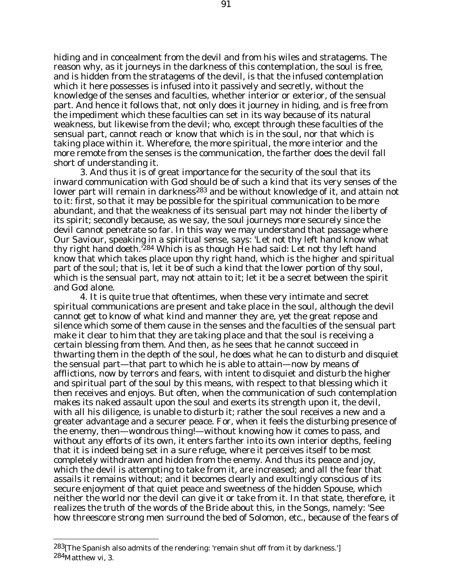hiding and in concealment from the devil and from his wiles and stratagems. The reason why, as it journeys in the darkness of this contemplation, the soul is free, and is hidden from the stratagems of the devil, is that the infused contemplation which it here possesses is infused into it passively and secretly, without the knowledge of the senses and faculties, whether interior or exterior, of the sensual part. And hence it follows that, not only does it journey in hiding, and is free from the impediment which these faculties can set in its way because of its natural weakness, but likewise from the devil; who, except through these faculties of the sensual part, cannot reach or know that which is in the soul, nor that which is taking place within it. Wherefore, the more spiritual, the more interior and the more remote from the senses is the communication, the farther does the devil fall short of understanding it.

3. And thus it is of great importance for the security of the soul that its inward communication with God should be of such a kind that its very senses of the lower part will remain in darkness<sup>283</sup> and be without knowledge of it, and attain not to it: first, so that it may be possible for the spiritual communication to be more abundant, and that the weakness of its sensual part may not hinder the liberty of its spirit; secondly because, as we say, the soul journeys more securely since the devil cannot penetrate so far. In this way we may understand that passage where Our Saviour, speaking in a spiritual sense, says: 'Let not thy left hand know what thy right hand doeth.'284 Which is as though He had said: Let not thy left hand know that which takes place upon thy right hand, which is the higher and spiritual part of the soul; that is, let it be of such a kind that the lower portion of thy soul, which is the sensual part, may not attain to it; let it be a secret between the spirit and God alone.

4. It is quite true that oftentimes, when these very intimate and secret spiritual communications are present and take place in the soul, although the devil cannot get to know of what kind and manner they are, yet the great repose and silence which some of them cause in the senses and the faculties of the sensual part make it clear to him that they are taking place and that the soul is receiving a certain blessing from them. And then, as he sees that he cannot succeed in thwarting them in the depth of the soul, he does what he can to disturb and disquiet the sensual part—that part to which he is able to attain—now by means of afflictions, now by terrors and fears, with intent to disquiet and disturb the higher and spiritual part of the soul by this means, with respect to that blessing which it then receives and enjoys. But often, when the communication of such contemplation makes its naked assault upon the soul and exerts its strength upon it, the devil, with all his diligence, is unable to disturb it; rather the soul receives a new and a greater advantage and a securer peace. For, when it feels the disturbing presence of the enemy, then—wondrous thing!—without knowing how it comes to pass, and without any efforts of its own, it enters farther into its own interior depths, feeling that it is indeed being set in a sure refuge, where it perceives itself to be most completely withdrawn and hidden from the enemy. And thus its peace and joy, which the devil is attempting to take from it, are increased; and all the fear that assails it remains without; and it becomes clearly and exultingly conscious of its secure enjoyment of that quiet peace and sweetness of the hidden Spouse, which neither the world nor the devil can give it or take from it. In that state, therefore, it realizes the truth of the words of the Bride about this, in the Songs, namely: 'See how threescore strong men surround the bed of Solomon, etc., because of the fears of

<sup>283</sup>[The Spanish also admits of the rendering: 'remain shut off from it by darkness.'] 284Matthew vi, 3.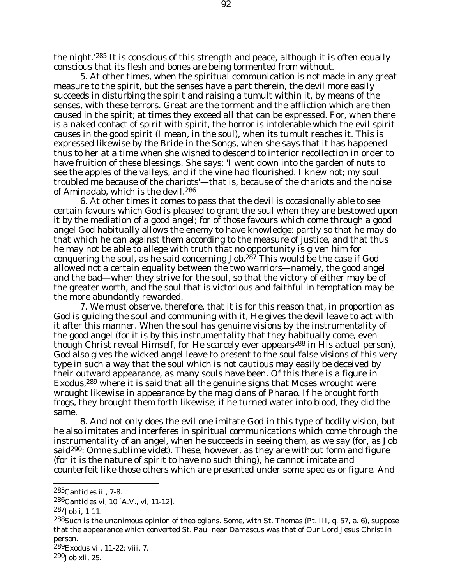the night.'285 It is conscious of this strength and peace, although it is often equally conscious that its flesh and bones are being tormented from without.

5. At other times, when the spiritual communication is not made in any great measure to the spirit, but the senses have a part therein, the devil more easily succeeds in disturbing the spirit and raising a tumult within it, by means of the senses, with these terrors. Great are the torment and the affliction which are then caused in the spirit; at times they exceed all that can be expressed. For, when there is a naked contact of spirit with spirit, the horror is intolerable which the evil spirit causes in the good spirit (I mean, in the soul), when its tumult reaches it. This is expressed likewise by the Bride in the Songs, when she says that it has happened thus to her at a time when she wished to descend to interior recollection in order to have fruition of these blessings. She says: 'I went down into the garden of nuts to see the apples of the valleys, and if the vine had flourished. I knew not; my soul troubled me because of the chariots'—that is, because of the chariots and the noise of Aminadab, which is the devil.286

6. At other times it comes to pass that the devil is occasionally able to see certain favours which God is pleased to grant the soul when they are bestowed upon it by the mediation of a good angel; for of those favours which come through a good angel God habitually allows the enemy to have knowledge: partly so that he may do that which he can against them according to the measure of justice, and that thus he may not be able to allege with truth that no opportunity is given him for conquering the soul, as he said concerning Job.<sup>287</sup> This would be the case if God allowed not a certain equality between the two warriors—namely, the good angel and the bad—when they strive for the soul, so that the victory of either may be of the greater worth, and the soul that is victorious and faithful in temptation may be the more abundantly rewarded.

7. We must observe, therefore, that it is for this reason that, in proportion as God is guiding the soul and communing with it, He gives the devil leave to act with it after this manner. When the soul has genuine visions by the instrumentality of the good angel (for it is by this instrumentality that they habitually come, even though Christ reveal Himself, for He scarcely ever appears288 in His actual person), God also gives the wicked angel leave to present to the soul false visions of this very type in such a way that the soul which is not cautious may easily be deceived by their outward appearance, as many souls have been. Of this there is a figure in Exodus,289 where it is said that all the genuine signs that Moses wrought were wrought likewise in appearance by the magicians of Pharao. If he brought forth frogs, they brought them forth likewise; if he turned water into blood, they did the same.

8. And not only does the evil one imitate God in this type of bodily vision, but he also imitates and interferes in spiritual communications which come through the instrumentality of an angel, when he succeeds in seeing them, as we say (for, as Job said290: *Omne sublime videt*). These, however, as they are without form and figure (for it is the nature of spirit to have no such thing), he cannot imitate and counterfeit like those others which are presented under some species or figure. And

<sup>285</sup>Canticles iii, 7-8.

<sup>286</sup>Canticles vi, 10 [A.V., vi, 11-12].

<sup>287</sup>Job i, 1-11.

<sup>288</sup>Such is the unanimous opinion of theologians. Some, with St. Thomas (Pt. III, q. 57, a. 6), suppose that the appearance which converted St. Paul near Damascus was that of Our Lord Jesus Christ in person.

<sup>289</sup>Exodus vii, 11-22; viii, 7. 290Job xli, 25.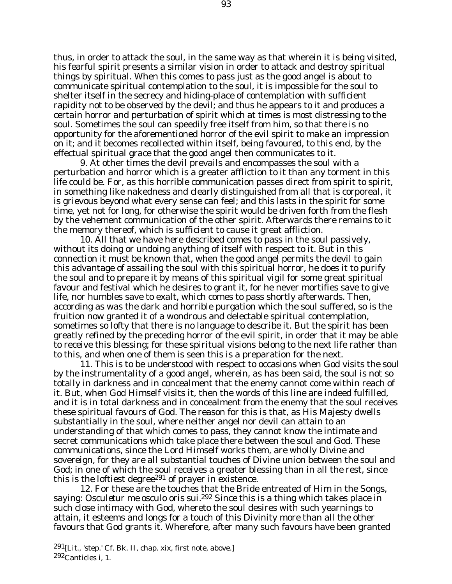thus, in order to attack the soul, in the same way as that wherein it is being visited, his fearful spirit presents a similar vision in order to attack and destroy spiritual things by spiritual. When this comes to pass just as the good angel is about to communicate spiritual contemplation to the soul, it is impossible for the soul to shelter itself in the secrecy and hiding-place of contemplation with sufficient rapidity not to be observed by the devil; and thus he appears to it and produces a certain horror and perturbation of spirit which at times is most distressing to the soul. Sometimes the soul can speedily free itself from him, so that there is no opportunity for the aforementioned horror of the evil spirit to make an impression on it; and it becomes recollected within itself, being favoured, to this end, by the effectual spiritual grace that the good angel then communicates to it.

9. At other times the devil prevails and encompasses the soul with a perturbation and horror which is a greater affliction to it than any torment in this life could be. For, as this horrible communication passes direct from spirit to spirit, in something like nakedness and clearly distinguished from all that is corporeal, it is grievous beyond what every sense can feel; and this lasts in the spirit for some time, yet not for long, for otherwise the spirit would be driven forth from the flesh by the vehement communication of the other spirit. Afterwards there remains to it the memory thereof, which is sufficient to cause it great affliction.

10. All that we have here described comes to pass in the soul passively, without its doing or undoing anything of itself with respect to it. But in this connection it must be known that, when the good angel permits the devil to gain this advantage of assailing the soul with this spiritual horror, he does it to purify the soul and to prepare it by means of this spiritual vigil for some great spiritual favour and festival which he desires to grant it, for he never mortifies save to give life, nor humbles save to exalt, which comes to pass shortly afterwards. Then, according as was the dark and horrible purgation which the soul suffered, so is the fruition now granted it of a wondrous and delectable spiritual contemplation, sometimes so lofty that there is no language to describe it. But the spirit has been greatly refined by the preceding horror of the evil spirit, in order that it may be able to receive this blessing; for these spiritual visions belong to the next life rather than to this, and when one of them is seen this is a preparation for the next.

11. This is to be understood with respect to occasions when God visits the soul by the instrumentality of a good angel, wherein, as has been said, the soul is not so totally in darkness and in concealment that the enemy cannot come within reach of it. But, when God Himself visits it, then the words of this line are indeed fulfilled, and it is in total darkness and in concealment from the enemy that the soul receives these spiritual favours of God. The reason for this is that, as His Majesty dwells substantially in the soul, where neither angel nor devil can attain to an understanding of that which comes to pass, they cannot know the intimate and secret communications which take place there between the soul and God. These communications, since the Lord Himself works them, are wholly Divine and sovereign, for they are all substantial touches of Divine union between the soul and God; in one of which the soul receives a greater blessing than in all the rest, since this is the loftiest degree<sup>291</sup> of prayer in existence.

12. For these are the touches that the Bride entreated of Him in the Songs, saying: *Osculetur me osculo oris sui*. 292 Since this is a thing which takes place in such close intimacy with God, whereto the soul desires with such yearnings to attain, it esteems and longs for a touch of this Divinity more than all the other favours that God grants it. Wherefore, after many such favours have been granted

<sup>291</sup>[*Lit.*, 'step.' Cf. Bk. II, chap. xix, first note, above.] 292Canticles i, 1.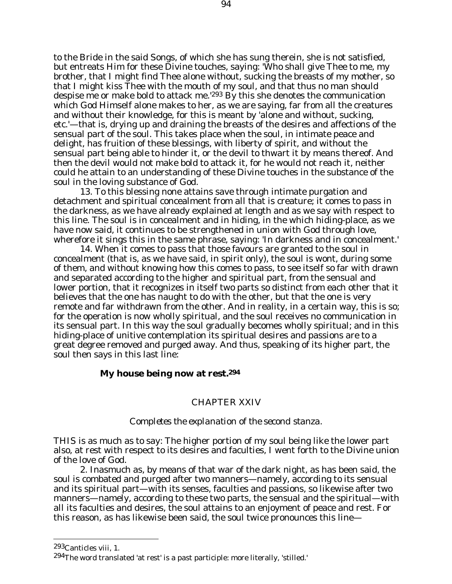to the Bride in the said Songs, of which she has sung therein, she is not satisfied, but entreats Him for these Divine touches, saying: 'Who shall give Thee to me, my brother, that I might find Thee alone without, sucking the breasts of my mother, so that I might kiss Thee with the mouth of my soul, and that thus no man should despise me or make bold to attack me.'293 By this she denotes the communication which God Himself alone makes to her, as we are saying, far from all the creatures and without their knowledge, for this is meant by 'alone and without, sucking, etc.'—that is, drying up and draining the breasts of the desires and affections of the sensual part of the soul. This takes place when the soul, in intimate peace and delight, has fruition of these blessings, with liberty of spirit, and without the sensual part being able to hinder it, or the devil to thwart it by means thereof. And then the devil would not make bold to attack it, for he would not reach it, neither could he attain to an understanding of these Divine touches in the substance of the soul in the loving substance of God.

13. To this blessing none attains save through intimate purgation and detachment and spiritual concealment from all that is creature; it comes to pass in the darkness, as we have already explained at length and as we say with respect to this line. The soul is in concealment and in hiding, in the which hiding-place, as we have now said, it continues to be strengthened in union with God through love, wherefore it sings this in the same phrase, saying: 'In darkness and in concealment.'

14. When it comes to pass that those favours are granted to the soul in concealment (that is, as we have said, in spirit only), the soul is wont, during some of them, and without knowing how this comes to pass, to see itself so far with drawn and separated according to the higher and spiritual part, from the sensual and lower portion, that it recognizes in itself two parts so distinct from each other that it believes that the one has naught to do with the other, but that the one is very remote and far withdrawn from the other. And in reality, in a certain way, this is so; for the operation is now wholly spiritual, and the soul receives no communication in its sensual part. In this way the soul gradually becomes wholly spiritual; and in this hiding-place of unitive contemplation its spiritual desires and passions are to a great degree removed and purged away. And thus, speaking of its higher part, the soul then says in this last line:

## **My house being now at rest.294**

# CHAPTER XXIV

## *Completes the explanation of the second stanza.*

THIS is as much as to say: The higher portion of my soul being like the lower part also, at rest with respect to its desires and faculties, I went forth to the Divine union of the love of God.

2. Inasmuch as, by means of that war of the dark night, as has been said, the soul is combated and purged after two manners—namely, according to its sensual and its spiritual part—with its senses, faculties and passions, so likewise after two manners—namely, according to these two parts, the sensual and the spiritual—with all its faculties and desires, the soul attains to an enjoyment of peace and rest. For this reason, as has likewise been said, the soul twice pronounces this line—

<sup>293</sup>Canticles viii, 1.

 $294$ The word translated 'at rest' is a past participle: more literally, 'stilled.'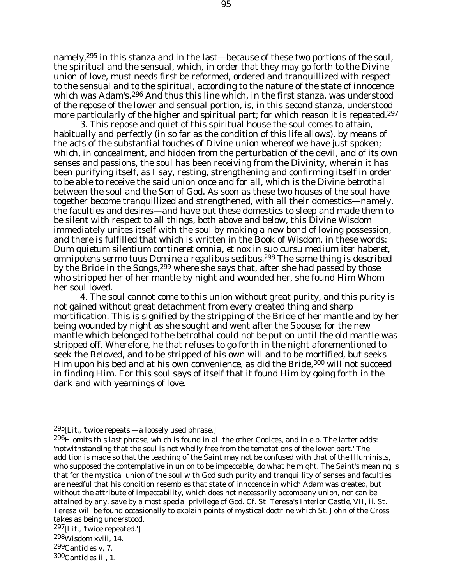namely,295 in this stanza and in the last—because of these two portions of the soul, the spiritual and the sensual, which, in order that they may go forth to the Divine union of love, must needs first be reformed, ordered and tranquillized with respect to the sensual and to the spiritual, according to the nature of the state of innocence which was Adam's.<sup>296</sup> And thus this line which, in the first stanza, was understood of the repose of the lower and sensual portion, is, in this second stanza, understood more particularly of the higher and spiritual part; for which reason it is repeated.<sup>297</sup>

3. This repose and quiet of this spiritual house the soul comes to attain, habitually and perfectly (in so far as the condition of this life allows), by means of the acts of the substantial touches of Divine union whereof we have just spoken; which, in concealment, and hidden from the perturbation of the devil, and of its own senses and passions, the soul has been receiving from the Divinity, wherein it has been purifying itself, as I say, resting, strengthening and confirming itself in order to be able to receive the said union once and for all, which is the Divine betrothal between the soul and the Son of God. As soon as these two houses of the soul have together become tranquillized and strengthened, with all their domestics—namely, the faculties and desires—and have put these domestics to sleep and made them to be silent with respect to all things, both above and below, this Divine Wisdom immediately unites itself with the soul by making a new bond of loving possession, and there is fulfilled that which is written in the Book of Wisdom, in these words: *Dum quietum silentium contineret omnia, et nox in suo cursu medium iter haberet, omnipotens sermo tuus Domine a regalibus sedibus*. 298 The same thing is described by the Bride in the Songs,<sup>299</sup> where she says that, after she had passed by those who stripped her of her mantle by night and wounded her, she found Him Whom her soul loved.

4. The soul cannot come to this union without great purity, and this purity is not gained without great detachment from every created thing and sharp mortification. This is signified by the stripping of the Bride of her mantle and by her being wounded by night as she sought and went after the Spouse; for the new mantle which belonged to the betrothal could not be put on until the old mantle was stripped off. Wherefore, he that refuses to go forth in the night aforementioned to seek the Beloved, and to be stripped of his own will and to be mortified, but seeks Him upon his bed and at his own convenience, as did the Bride,<sup>300</sup> will not succeed in finding Him. For this soul says of itself that it found Him by going forth in the dark and with yearnings of love.

<sup>295</sup>[*Lit.*, 'twice repeats'—a loosely used phrase.]

<sup>296</sup>H omits this last phrase, which is found in all the other Codices, and in e.p. The latter adds: 'notwithstanding that the soul is not wholly free from the temptations of the lower part.' The addition is made so that the teaching of the Saint may not be confused with that of the Illuminists, who supposed the contemplative in union to be impeccable, do what he might. The Saint's meaning is that for the mystical union of the soul with God such purity and tranquillity of senses and faculties are needful that his condition resembles that state of innocence in which Adam was created, but without the attribute of impeccability, which does not necessarily accompany union, nor can be attained by any, save by a most special privilege of God. Cf. St. Teresa's *Interior Castle*, VII, ii. St. Teresa will be found occasionally to explain points of mystical doctrine which St. John of the Cross takes as being understood.

<sup>297</sup>[*Lit.*, 'twice repeated.']

<sup>298</sup>Wisdom xviii, 14.

<sup>299</sup>Canticles v, 7.

<sup>300</sup>Canticles iii, 1.